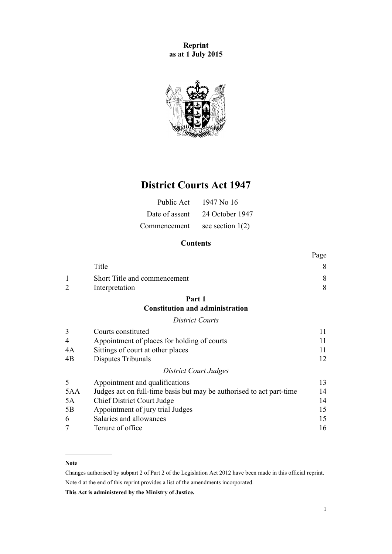**Reprint as at 1 July 2015**



# **District Courts Act 1947**

| Public Act     | 1947 No 16         |
|----------------|--------------------|
| Date of assent | 24 October 1947    |
| Commencement   | see section $1(2)$ |

# **Contents**

|                |                                                                      | Page |
|----------------|----------------------------------------------------------------------|------|
|                | Title                                                                | 8    |
|                | Short Title and commencement                                         | 8    |
| $\overline{2}$ | Interpretation                                                       | 8    |
|                | Part 1                                                               |      |
|                | <b>Constitution and administration</b>                               |      |
|                | <b>District Courts</b>                                               |      |
| 3              | Courts constituted                                                   | 11   |
| 4              | Appointment of places for holding of courts                          | 11   |
| 4A             | Sittings of court at other places                                    | 11   |
| 4B             | Disputes Tribunals                                                   | 12   |
|                | District Court Judges                                                |      |
| 5              | Appointment and qualifications                                       | 13   |
| 5AA            | Judges act on full-time basis but may be authorised to act part-time | 14   |
| 5A             | <b>Chief District Court Judge</b>                                    | 14   |
| 5B             | Appointment of jury trial Judges                                     | 15   |
| 6              | Salaries and allowances                                              | 15   |
|                | Tenure of office                                                     | 16   |

### **Note**

Changes authorised by [subpart 2](http://prd-lgnz-nlb.prd.pco.net.nz/pdflink.aspx?id=DLM2998524) of Part 2 of the Legislation Act 2012 have been made in this official reprint. Note 4 at the end of this reprint provides a list of the amendments incorporated.

**This Act is administered by the Ministry of Justice.**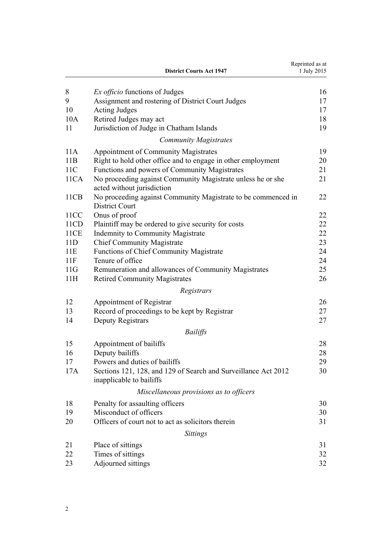|              | <b>District Courts Act 1947</b>                                                              | Reprinted as at<br>1 July 2015 |
|--------------|----------------------------------------------------------------------------------------------|--------------------------------|
| 8            | <i>Ex officio</i> functions of Judges                                                        | 16                             |
| 9            | Assignment and rostering of District Court Judges                                            | 17                             |
| 10           | <b>Acting Judges</b>                                                                         | 17                             |
| 10A          | Retired Judges may act                                                                       | 18                             |
| 11           | Jurisdiction of Judge in Chatham Islands                                                     | 19                             |
|              | <b>Community Magistrates</b>                                                                 |                                |
| 11A          | Appointment of Community Magistrates                                                         | 19                             |
| 11B          | Right to hold other office and to engage in other employment                                 | 20                             |
| 11C          | Functions and powers of Community Magistrates                                                | 21                             |
| 11CA         | No proceeding against Community Magistrate unless he or she                                  | 21                             |
|              | acted without jurisdiction                                                                   |                                |
| 11CB         | No proceeding against Community Magistrate to be commenced in                                | 22                             |
| 11CC         | <b>District Court</b><br>Onus of proof                                                       | 22                             |
|              |                                                                                              | 22                             |
| 11CD<br>11CE | Plaintiff may be ordered to give security for costs                                          |                                |
|              | <b>Indemnity to Community Magistrate</b>                                                     | 22                             |
| 11D          | <b>Chief Community Magistrate</b>                                                            | 23                             |
| 11E          | <b>Functions of Chief Community Magistrate</b>                                               | 24                             |
| 11F          | Tenure of office                                                                             | 24                             |
| 11G<br>11H   | Remuneration and allowances of Community Magistrates<br><b>Retired Community Magistrates</b> | 25<br>26                       |
|              | Registrars                                                                                   |                                |
|              |                                                                                              |                                |
| 12           | Appointment of Registrar                                                                     | 26                             |
| 13           | Record of proceedings to be kept by Registrar                                                | 27                             |
| 14           | Deputy Registrars                                                                            | 27                             |
|              | <b>Bailiffs</b>                                                                              |                                |
| 15           | Appointment of bailiffs                                                                      | 28                             |
| 16           | Deputy bailiffs                                                                              | 28                             |
| 17           | Powers and duties of bailiffs                                                                | 29                             |
| 17A          | Sections 121, 128, and 129 of Search and Surveillance Act 2012<br>inapplicable to bailiffs   | 30                             |
|              | Miscellaneous provisions as to officers                                                      |                                |
| 18           | Penalty for assaulting officers                                                              | 30                             |
| 19           | Misconduct of officers                                                                       | 30                             |
| 20           | Officers of court not to act as solicitors therein                                           | 31                             |
|              | <b>Sittings</b>                                                                              |                                |
| 21           |                                                                                              | 31                             |
| 22           | Place of sittings<br>Times of sittings                                                       | 32                             |
| 23           |                                                                                              | 32                             |
|              | Adjourned sittings                                                                           |                                |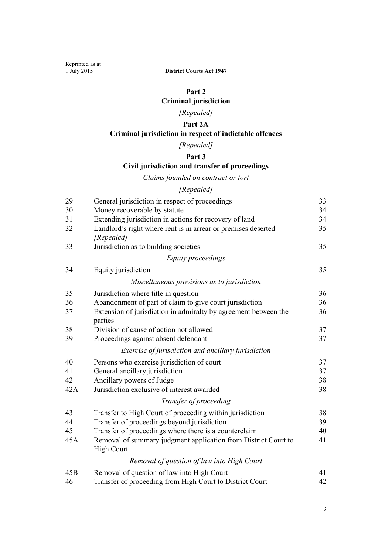# **[Part 2](#page-32-0) [Criminal jurisdiction](#page-32-0)**

# *[Repealed]*

# **[Part 2A](#page-32-0)**

# **[Criminal jurisdiction in respect of indictable offences](#page-32-0)**

*[Repealed]*

# **[Part 3](#page-32-0)**

# **[Civil jurisdiction and transfer of proceedings](#page-32-0)**

*[Claims founded on contract or tort](#page-32-0)*

# *[Repealed]*

| 29  | General jurisdiction in respect of proceedings                                      | 33 |
|-----|-------------------------------------------------------------------------------------|----|
| 30  | Money recoverable by statute                                                        | 34 |
| 31  | Extending jurisdiction in actions for recovery of land                              | 34 |
| 32  | Landlord's right where rent is in arrear or premises deserted                       | 35 |
|     | [Repealed]                                                                          |    |
| 33  | Jurisdiction as to building societies                                               | 35 |
|     | Equity proceedings                                                                  |    |
| 34  | Equity jurisdiction                                                                 | 35 |
|     | Miscellaneous provisions as to jurisdiction                                         |    |
| 35  | Jurisdiction where title in question                                                | 36 |
| 36  | Abandonment of part of claim to give court jurisdiction                             | 36 |
| 37  | Extension of jurisdiction in admiralty by agreement between the<br>parties          | 36 |
| 38  | Division of cause of action not allowed                                             | 37 |
| 39  | Proceedings against absent defendant                                                | 37 |
|     | Exercise of jurisdiction and ancillary jurisdiction                                 |    |
| 40  | Persons who exercise jurisdiction of court                                          | 37 |
| 41  | General ancillary jurisdiction                                                      | 37 |
| 42  | Ancillary powers of Judge                                                           | 38 |
| 42A | Jurisdiction exclusive of interest awarded                                          | 38 |
|     | Transfer of proceeding                                                              |    |
| 43  | Transfer to High Court of proceeding within jurisdiction                            | 38 |
| 44  | Transfer of proceedings beyond jurisdiction                                         | 39 |
| 45  | Transfer of proceedings where there is a counterclaim                               | 40 |
| 45A | Removal of summary judgment application from District Court to<br><b>High Court</b> | 41 |
|     | Removal of question of law into High Court                                          |    |
| 45B | Removal of question of law into High Court                                          | 41 |
| 46  | Transfer of proceeding from High Court to District Court                            | 42 |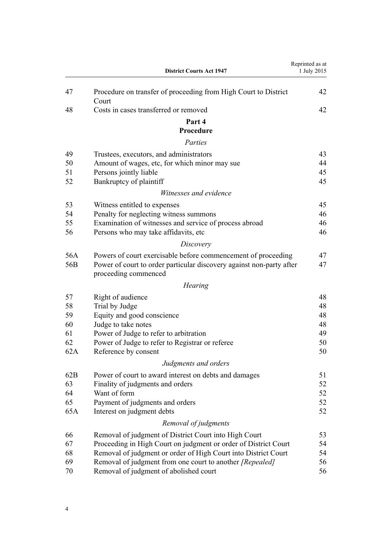|     | <b>District Courts Act 1947</b>                                          | Reprinted as at<br>1 July 2015 |
|-----|--------------------------------------------------------------------------|--------------------------------|
| 47  | Procedure on transfer of proceeding from High Court to District<br>Court | 42                             |
| 48  | Costs in cases transferred or removed                                    | 42                             |
|     | Part 4                                                                   |                                |
|     | Procedure                                                                |                                |
|     | Parties                                                                  |                                |
| 49  | Trustees, executors, and administrators                                  | 43                             |
| 50  | Amount of wages, etc, for which minor may sue                            | 44                             |
| 51  | Persons jointly liable                                                   | 45                             |
| 52  | Bankruptcy of plaintiff                                                  | 45                             |
|     | Witnesses and evidence                                                   |                                |
| 53  | Witness entitled to expenses                                             | 45                             |
| 54  | Penalty for neglecting witness summons                                   | 46                             |
| 55  | Examination of witnesses and service of process abroad                   | 46                             |
| 56  | Persons who may take affidavits, etc.                                    | 46                             |
|     | Discovery                                                                |                                |
| 56A | Powers of court exercisable before commencement of proceeding            | 47                             |
| 56B | Power of court to order particular discovery against non-party after     | 47                             |
|     | proceeding commenced                                                     |                                |
|     | <b>Hearing</b>                                                           |                                |
| 57  | Right of audience                                                        | 48                             |
| 58  | Trial by Judge                                                           | 48                             |
| 59  | Equity and good conscience                                               | 48                             |
| 60  | Judge to take notes                                                      | 48                             |
| 61  | Power of Judge to refer to arbitration                                   | 49                             |
| 62  | Power of Judge to refer to Registrar or referee                          | 50                             |
| 62A | Reference by consent                                                     | 50                             |
|     | Judgments and orders                                                     |                                |
| 62B | Power of court to award interest on debts and damages                    | 51                             |
| 63  | Finality of judgments and orders                                         | 52                             |
| 64  | Want of form                                                             | 52                             |
| 65  | Payment of judgments and orders                                          | 52                             |
| 65A | Interest on judgment debts                                               | 52                             |
|     | Removal of judgments                                                     |                                |
| 66  | Removal of judgment of District Court into High Court                    | 53                             |
| 67  | Proceeding in High Court on judgment or order of District Court          | 54                             |
| 68  | Removal of judgment or order of High Court into District Court           | 54                             |
| 69  | Removal of judgment from one court to another [Repealed]                 | 56                             |
| 70  | Removal of judgment of abolished court                                   | 56                             |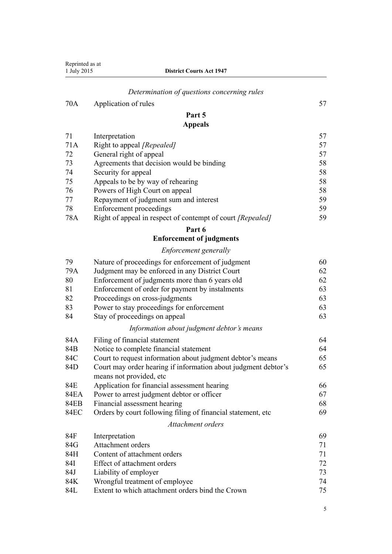|             | Reprinted as at<br><b>District Courts Act 1947</b><br>1 July 2015 |    |
|-------------|-------------------------------------------------------------------|----|
|             | Determination of questions concerning rules                       |    |
| 70A         | Application of rules                                              | 57 |
|             | Part 5                                                            |    |
|             | <b>Appeals</b>                                                    |    |
| 71          | Interpretation                                                    | 57 |
| 71A         | Right to appeal [Repealed]                                        | 57 |
| 72          | General right of appeal                                           | 57 |
| 73          | Agreements that decision would be binding                         | 58 |
| 74          | Security for appeal                                               | 58 |
| 75          | Appeals to be by way of rehearing                                 | 58 |
| 76          | Powers of High Court on appeal                                    | 58 |
| 77          | Repayment of judgment sum and interest                            | 59 |
| 78          | <b>Enforcement proceedings</b>                                    | 59 |
| 78A         | Right of appeal in respect of contempt of court [Repealed]        | 59 |
|             | Part 6                                                            |    |
|             | <b>Enforcement of judgments</b>                                   |    |
|             | Enforcement generally                                             |    |
| 79          | Nature of proceedings for enforcement of judgment                 | 60 |
| 79A         | Judgment may be enforced in any District Court                    | 62 |
| 80          | Enforcement of judgments more than 6 years old                    | 62 |
| 81          | Enforcement of order for payment by instalments                   | 63 |
| 82          | Proceedings on cross-judgments                                    | 63 |
| 83          | Power to stay proceedings for enforcement                         | 63 |
| 84          | Stay of proceedings on appeal                                     | 63 |
|             | Information about judgment debtor's means                         |    |
| 84A         | Filing of financial statement                                     | 64 |
| 84B         | Notice to complete financial statement                            | 64 |
| 84C         | Court to request information about judgment debtor's means        | 65 |
| 84D         | Court may order hearing if information about judgment debtor's    | 65 |
|             | means not provided, etc.                                          |    |
| 84E         | Application for financial assessment hearing                      | 66 |
| <b>84EA</b> | Power to arrest judgment debtor or officer                        | 67 |
| <b>84EB</b> | Financial assessment hearing                                      | 68 |
| <b>84EC</b> | Orders by court following filing of financial statement, etc      | 69 |
|             | Attachment orders                                                 |    |
| 84F         | Interpretation                                                    | 69 |
| 84G         | Attachment orders                                                 | 71 |
| 84H         | Content of attachment orders                                      | 71 |
| 84I         | Effect of attachment orders                                       | 72 |
| 84J         | Liability of employer                                             | 73 |
| 84K         | Wrongful treatment of employee                                    | 74 |
| 84L         | Extent to which attachment orders bind the Crown                  | 75 |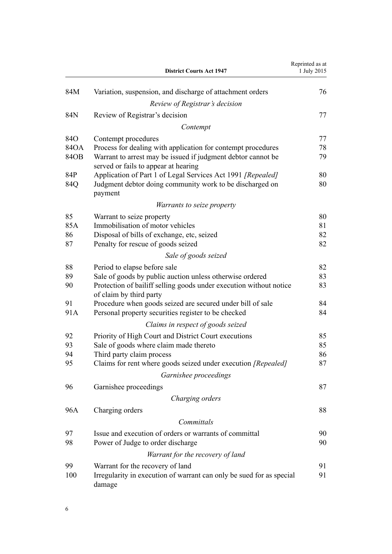|      | <b>District Courts Act 1947</b>                                                                      | Reprinted as at<br>1 July 2015 |
|------|------------------------------------------------------------------------------------------------------|--------------------------------|
| 84M  | Variation, suspension, and discharge of attachment orders                                            | 76                             |
|      | Review of Registrar's decision                                                                       |                                |
| 84N  | Review of Registrar's decision                                                                       | 77                             |
|      | Contempt                                                                                             |                                |
| 84O  | Contempt procedures                                                                                  | 77                             |
| 84OA | Process for dealing with application for contempt procedures                                         | 78                             |
| 84OB | Warrant to arrest may be issued if judgment debtor cannot be<br>served or fails to appear at hearing | 79                             |
| 84P  | Application of Part 1 of Legal Services Act 1991 [Repealed]                                          | 80                             |
| 84Q  | Judgment debtor doing community work to be discharged on<br>payment                                  | 80                             |
|      | <i>Warrants to seize property</i>                                                                    |                                |
| 85   | Warrant to seize property                                                                            | 80                             |
| 85A  | Immobilisation of motor vehicles                                                                     | 81                             |
| 86   | Disposal of bills of exchange, etc, seized                                                           | 82                             |
| 87   | Penalty for rescue of goods seized                                                                   | 82                             |
|      | Sale of goods seized                                                                                 |                                |
| 88   | Period to elapse before sale                                                                         | 82                             |
| 89   | Sale of goods by public auction unless otherwise ordered                                             | 83                             |
| 90   | Protection of bailiff selling goods under execution without notice<br>of claim by third party        | 83                             |
| 91   | Procedure when goods seized are secured under bill of sale                                           | 84                             |
| 91A  | Personal property securities register to be checked                                                  | 84                             |
|      | Claims in respect of goods seized                                                                    |                                |
| 92   | Priority of High Court and District Court executions                                                 | 85                             |
| 93   | Sale of goods where claim made thereto                                                               | 85                             |
| 94   | Third party claim process                                                                            | 86                             |
| 95   | Claims for rent where goods seized under execution [Repealed]                                        | 87                             |
|      | Garnishee proceedings                                                                                |                                |
| 96   | Garnishee proceedings                                                                                | 87                             |
|      | Charging orders                                                                                      |                                |
| 96A  | Charging orders                                                                                      | 88                             |
|      | Committals                                                                                           |                                |
| 97   | Issue and execution of orders or warrants of committal                                               | 90                             |
| 98   | Power of Judge to order discharge                                                                    | 90                             |
|      | Warrant for the recovery of land                                                                     |                                |
| 99   | Warrant for the recovery of land                                                                     | 91                             |
| 100  | Irregularity in execution of warrant can only be sued for as special<br>damage                       | 91                             |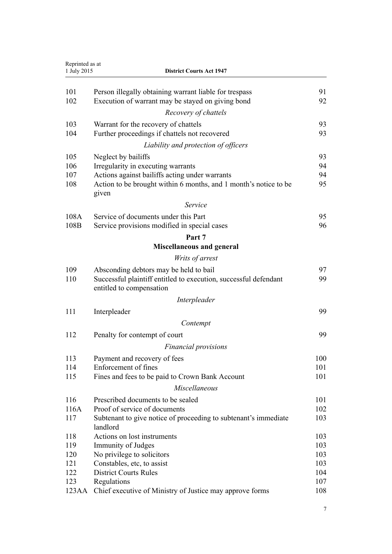| Reprinted as at<br>1 July 2015<br><b>District Courts Act 1947</b> |                                                                                              |     |
|-------------------------------------------------------------------|----------------------------------------------------------------------------------------------|-----|
|                                                                   |                                                                                              |     |
| 101                                                               | Person illegally obtaining warrant liable for trespass                                       | 91  |
| 102                                                               | Execution of warrant may be stayed on giving bond                                            | 92  |
|                                                                   | Recovery of chattels                                                                         |     |
| 103                                                               | Warrant for the recovery of chattels                                                         | 93  |
| 104                                                               | Further proceedings if chattels not recovered                                                | 93  |
|                                                                   | Liability and protection of officers                                                         |     |
| 105                                                               | Neglect by bailiffs                                                                          | 93  |
| 106                                                               | Irregularity in executing warrants                                                           | 94  |
| 107                                                               | Actions against bailiffs acting under warrants                                               | 94  |
| 108                                                               | Action to be brought within 6 months, and 1 month's notice to be<br>given                    | 95  |
|                                                                   | Service                                                                                      |     |
| 108A                                                              | Service of documents under this Part                                                         | 95  |
| 108B                                                              | Service provisions modified in special cases                                                 | 96  |
|                                                                   | Part 7                                                                                       |     |
|                                                                   | <b>Miscellaneous and general</b>                                                             |     |
|                                                                   | Writs of arrest                                                                              |     |
| 109                                                               | Absconding debtors may be held to bail                                                       | 97  |
| 110                                                               | Successful plaintiff entitled to execution, successful defendant<br>entitled to compensation | 99  |
|                                                                   | Interpleader                                                                                 |     |
| 111                                                               | Interpleader                                                                                 | 99  |
|                                                                   | Contempt                                                                                     |     |
| 112                                                               | Penalty for contempt of court                                                                | 99  |
|                                                                   | <b>Financial provisions</b>                                                                  |     |
| 113                                                               | Payment and recovery of fees                                                                 | 100 |
| 114                                                               | Enforcement of fines                                                                         | 101 |
| 115                                                               | Fines and fees to be paid to Crown Bank Account                                              | 101 |
|                                                                   | Miscellaneous                                                                                |     |
| 116                                                               | Prescribed documents to be sealed                                                            | 101 |
| 116A                                                              | Proof of service of documents                                                                | 102 |
| 117                                                               | Subtenant to give notice of proceeding to subtenant's immediate<br>landlord                  | 103 |
| 118                                                               | Actions on lost instruments                                                                  | 103 |
| 119                                                               | Immunity of Judges                                                                           | 103 |
| 120                                                               | No privilege to solicitors                                                                   | 103 |
| 121                                                               | Constables, etc, to assist                                                                   | 103 |
| 122                                                               | <b>District Courts Rules</b>                                                                 | 104 |
| 123                                                               | Regulations                                                                                  | 107 |
| 123AA                                                             | Chief executive of Ministry of Justice may approve forms                                     | 108 |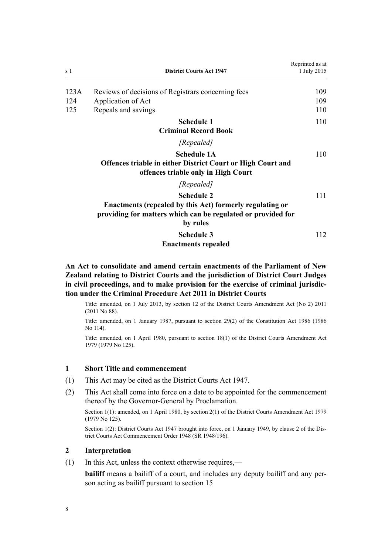<span id="page-7-0"></span>

| s 1  | <b>District Courts Act 1947</b>                                                                                                                           | Reprinted as at<br>1 July 2015 |
|------|-----------------------------------------------------------------------------------------------------------------------------------------------------------|--------------------------------|
| 123A | Reviews of decisions of Registrars concerning fees                                                                                                        | 109                            |
| 124  | Application of Act                                                                                                                                        | 109                            |
| 125  | Repeals and savings                                                                                                                                       | 110                            |
|      | <b>Schedule 1</b><br><b>Criminal Record Book</b>                                                                                                          | 110                            |
|      | [Repealed]                                                                                                                                                |                                |
|      | <b>Schedule 1A</b><br><b>Offences triable in either District Court or High Court and</b><br>offences triable only in High Court                           | 110                            |
|      | [Repealed]                                                                                                                                                |                                |
|      | <b>Schedule 2</b><br>Enactments (repealed by this Act) formerly regulating or<br>providing for matters which can be regulated or provided for<br>by rules | 111                            |
|      | <b>Schedule 3</b><br><b>Enactments repealed</b>                                                                                                           | 112                            |

**An Act to consolidate and amend certain enactments of the Parliament of New Zealand relating to District Courts and the jurisdiction of District Court Judges in civil proceedings, and to make provision for the exercise of criminal jurisdiction under the Criminal Procedure Act 2011 in District Courts**

Title: amended, on 1 July 2013, by [section 12](http://prd-lgnz-nlb.prd.pco.net.nz/pdflink.aspx?id=DLM4058121) of the District Courts Amendment Act (No 2) 2011 (2011 No 88).

Title: amended, on 1 January 1987, pursuant to [section 29\(2\)](http://prd-lgnz-nlb.prd.pco.net.nz/pdflink.aspx?id=DLM94263) of the Constitution Act 1986 (1986 No 114).

Title: amended, on 1 April 1980, pursuant to [section 18\(1\)](http://prd-lgnz-nlb.prd.pco.net.nz/pdflink.aspx?id=DLM35085) of the District Courts Amendment Act 1979 (1979 No 125).

#### **1 Short Title and commencement**

- (1) This Act may be cited as the District Courts Act 1947.
- (2) This Act shall come into force on a date to be appointed for the commencement thereof by the Governor-General by Proclamation.

Section 1(1): amended, on 1 April 1980, by [section 2\(1\)](http://prd-lgnz-nlb.prd.pco.net.nz/pdflink.aspx?id=DLM35057) of the District Courts Amendment Act 1979 (1979 No 125).

Section 1(2): District Courts Act 1947 brought into force, on 1 January 1949, by [clause 2](http://prd-lgnz-nlb.prd.pco.net.nz/pdflink.aspx?id=DLM3717) of the District Courts Act Commencement Order 1948 (SR 1948/196).

#### **2 Interpretation**

(1) In this Act, unless the context otherwise requires,—

**bailiff** means a bailiff of a court, and includes any deputy bailiff and any person acting as bailiff pursuant to [section 15](#page-27-0)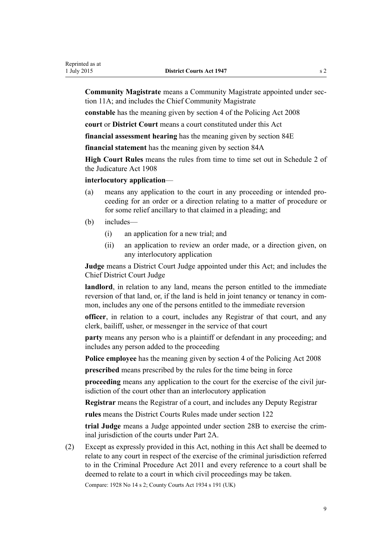**Community Magistrate** means a Community Magistrate appointed under [sec](#page-18-0)[tion 11A](#page-18-0); and includes the Chief Community Magistrate

**constable** has the meaning given by [section 4](http://prd-lgnz-nlb.prd.pco.net.nz/pdflink.aspx?id=DLM1102132) of the Policing Act 2008

**court** or **District Court** means a court constituted under this Act

**financial assessment hearing** has the meaning given by [section 84E](#page-65-0)

**financial statement** has the meaning given by [section 84A](#page-63-0)

**High Court Rules** means the rules from time to time set out in [Schedule 2](http://prd-lgnz-nlb.prd.pco.net.nz/pdflink.aspx?id=DLM147653) of the Judicature Act 1908

#### **interlocutory application**—

- (a) means any application to the court in any proceeding or intended proceeding for an order or a direction relating to a matter of procedure or for some relief ancillary to that claimed in a pleading; and
- (b) includes—
	- (i) an application for a new trial; and
	- (ii) an application to review an order made, or a direction given, on any interlocutory application

**Judge** means a District Court Judge appointed under this Act; and includes the Chief District Court Judge

**landlord**, in relation to any land, means the person entitled to the immediate reversion of that land, or, if the land is held in joint tenancy or tenancy in common, includes any one of the persons entitled to the immediate reversion

**officer**, in relation to a court, includes any Registrar of that court, and any clerk, bailiff, usher, or messenger in the service of that court

**party** means any person who is a plaintiff or defendant in any proceeding; and includes any person added to the proceeding

**Police employee** has the meaning given by [section 4](http://prd-lgnz-nlb.prd.pco.net.nz/pdflink.aspx?id=DLM1102132) of the Policing Act 2008

**prescribed** means prescribed by the rules for the time being in force

**proceeding** means any application to the court for the exercise of the civil jurisdiction of the court other than an interlocutory application

**Registrar** means the Registrar of a court, and includes any Deputy Registrar

**rules** means the District Courts Rules made under [section 122](#page-103-0)

**trial Judge** means a Judge appointed under section 28B to exercise the criminal jurisdiction of the courts under Part 2A.

(2) Except as expressly provided in this Act, nothing in this Act shall be deemed to relate to any court in respect of the exercise of the criminal jurisdiction referred to in the [Criminal Procedure Act 2011](http://prd-lgnz-nlb.prd.pco.net.nz/pdflink.aspx?id=DLM3359902) and every reference to a court shall be deemed to relate to a court in which civil proceedings may be taken.

Compare: 1928 No 14 s 2; County Courts Act 1934 s 191 (UK)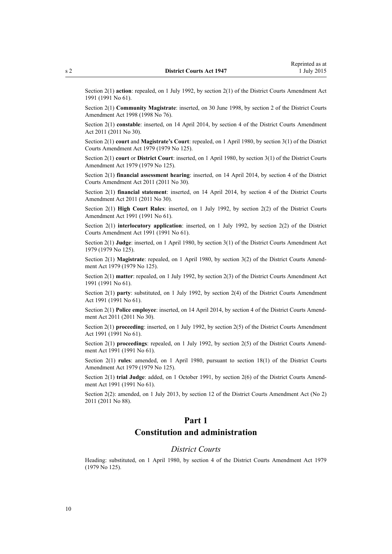<span id="page-9-0"></span>

Section 2(1) **action**: repealed, on 1 July 1992, by [section 2\(1\)](http://prd-lgnz-nlb.prd.pco.net.nz/pdflink.aspx?id=DLM230238) of the District Courts Amendment Act 1991 (1991 No 61).

Section 2(1) **Community Magistrate**: inserted, on 30 June 1998, by [section 2](http://prd-lgnz-nlb.prd.pco.net.nz/pdflink.aspx?id=DLM427915) of the District Courts Amendment Act 1998 (1998 No 76).

Section 2(1) **constable**: inserted, on 14 April 2014, by [section 4](http://prd-lgnz-nlb.prd.pco.net.nz/pdflink.aspx?id=DLM2929734) of the District Courts Amendment Act 2011 (2011 No 30).

Section 2(1) **court** and **Magistrate's Court**: repealed, on 1 April 1980, by [section 3\(1\)](http://prd-lgnz-nlb.prd.pco.net.nz/pdflink.aspx?id=DLM35058) of the District Courts Amendment Act 1979 (1979 No 125).

Section 2(1) **court** or **District Court**: inserted, on 1 April 1980, by [section 3\(1\)](http://prd-lgnz-nlb.prd.pco.net.nz/pdflink.aspx?id=DLM35058) of the District Courts Amendment Act 1979 (1979 No 125).

Section 2(1) **financial assessment hearing**: inserted, on 14 April 2014, by [section 4](http://prd-lgnz-nlb.prd.pco.net.nz/pdflink.aspx?id=DLM2929734) of the District Courts Amendment Act 2011 (2011 No 30).

Section 2(1) **financial statement**: inserted, on 14 April 2014, by [section 4](http://prd-lgnz-nlb.prd.pco.net.nz/pdflink.aspx?id=DLM2929734) of the District Courts Amendment Act 2011 (2011 No 30).

Section 2(1) **High Court Rules**: inserted, on 1 July 1992, by [section 2\(2\)](http://prd-lgnz-nlb.prd.pco.net.nz/pdflink.aspx?id=DLM230238) of the District Courts Amendment Act 1991 (1991 No 61).

Section 2(1) **interlocutory application**: inserted, on 1 July 1992, by [section 2\(2\)](http://prd-lgnz-nlb.prd.pco.net.nz/pdflink.aspx?id=DLM230238) of the District Courts Amendment Act 1991 (1991 No 61).

Section 2(1) **Judge**: inserted, on 1 April 1980, by [section 3\(1\)](http://prd-lgnz-nlb.prd.pco.net.nz/pdflink.aspx?id=DLM35058) of the District Courts Amendment Act 1979 (1979 No 125).

Section 2(1) **Magistrate**: repealed, on 1 April 1980, by [section 3\(2\)](http://prd-lgnz-nlb.prd.pco.net.nz/pdflink.aspx?id=DLM35058) of the District Courts Amendment Act 1979 (1979 No 125).

Section 2(1) **matter**: repealed, on 1 July 1992, by [section 2\(3\)](http://prd-lgnz-nlb.prd.pco.net.nz/pdflink.aspx?id=DLM230238) of the District Courts Amendment Act 1991 (1991 No 61).

Section 2(1) **party**: substituted, on 1 July 1992, by [section 2\(4\)](http://prd-lgnz-nlb.prd.pco.net.nz/pdflink.aspx?id=DLM230238) of the District Courts Amendment Act 1991 (1991 No 61).

Section 2(1) **Police employee**: inserted, on 14 April 2014, by [section 4](http://prd-lgnz-nlb.prd.pco.net.nz/pdflink.aspx?id=DLM2929734) of the District Courts Amendment Act 2011 (2011 No 30).

Section 2(1) **proceeding**: inserted, on 1 July 1992, by [section 2\(5\)](http://prd-lgnz-nlb.prd.pco.net.nz/pdflink.aspx?id=DLM230238) of the District Courts Amendment Act 1991 (1991 No 61).

Section 2(1) **proceedings**: repealed, on 1 July 1992, by [section 2\(5\)](http://prd-lgnz-nlb.prd.pco.net.nz/pdflink.aspx?id=DLM230238) of the District Courts Amendment Act 1991 (1991 No 61).

Section 2(1) **rules**: amended, on 1 April 1980, pursuant to [section 18\(1\)](http://prd-lgnz-nlb.prd.pco.net.nz/pdflink.aspx?id=DLM35085) of the District Courts Amendment Act 1979 (1979 No 125).

Section 2(1) **trial Judge**: added, on 1 October 1991, by [section 2\(6\)](http://prd-lgnz-nlb.prd.pco.net.nz/pdflink.aspx?id=DLM230238) of the District Courts Amendment Act 1991 (1991 No 61).

Section 2(2): amended, on 1 July 2013, by [section 12](http://prd-lgnz-nlb.prd.pco.net.nz/pdflink.aspx?id=DLM4058121) of the District Courts Amendment Act (No 2) 2011 (2011 No 88).

# **Part 1**

# **Constitution and administration**

#### *District Courts*

Heading: substituted, on 1 April 1980, by [section 4](http://prd-lgnz-nlb.prd.pco.net.nz/pdflink.aspx?id=DLM35059) of the District Courts Amendment Act 1979 (1979 No 125).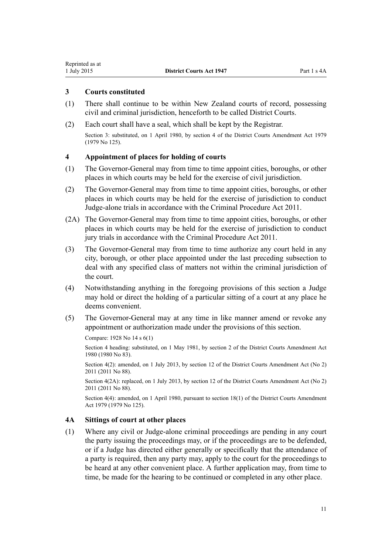# <span id="page-10-0"></span>**3 Courts constituted**

- (1) There shall continue to be within New Zealand courts of record, possessing civil and criminal jurisdiction, henceforth to be called District Courts.
- (2) Each court shall have a seal, which shall be kept by the Registrar.

Section 3: substituted, on 1 April 1980, by [section 4](http://prd-lgnz-nlb.prd.pco.net.nz/pdflink.aspx?id=DLM35059) of the District Courts Amendment Act 1979 (1979 No 125).

#### **4 Appointment of places for holding of courts**

- (1) The Governor-General may from time to time appoint cities, boroughs, or other places in which courts may be held for the exercise of civil jurisdiction.
- (2) The Governor-General may from time to time appoint cities, boroughs, or other places in which courts may be held for the exercise of jurisdiction to conduct Judge-alone trials in accordance with the [Criminal Procedure Act 2011](http://prd-lgnz-nlb.prd.pco.net.nz/pdflink.aspx?id=DLM3359902).
- (2A) The Governor-General may from time to time appoint cities, boroughs, or other places in which courts may be held for the exercise of jurisdiction to conduct jury trials in accordance with the [Criminal Procedure Act 2011](http://prd-lgnz-nlb.prd.pco.net.nz/pdflink.aspx?id=DLM3359902).
- (3) The Governor-General may from time to time authorize any court held in any city, borough, or other place appointed under the last preceding subsection to deal with any specified class of matters not within the criminal jurisdiction of the court.
- (4) Notwithstanding anything in the foregoing provisions of this section a Judge may hold or direct the holding of a particular sitting of a court at any place he deems convenient.
- (5) The Governor-General may at any time in like manner amend or revoke any appointment or authorization made under the provisions of this section.

Compare: 1928 No 14 s 6(1)

Section 4 heading: substituted, on 1 May 1981, by section 2 of the District Courts Amendment Act 1980 (1980 No 83).

Section 4(2): amended, on 1 July 2013, by [section 12](http://prd-lgnz-nlb.prd.pco.net.nz/pdflink.aspx?id=DLM4058121) of the District Courts Amendment Act (No 2) 2011 (2011 No 88).

Section 4(2A): replaced, on 1 July 2013, by [section 12](http://prd-lgnz-nlb.prd.pco.net.nz/pdflink.aspx?id=DLM4058121) of the District Courts Amendment Act (No 2) 2011 (2011 No 88).

Section 4(4): amended, on 1 April 1980, pursuant to [section 18\(1\)](http://prd-lgnz-nlb.prd.pco.net.nz/pdflink.aspx?id=DLM35085) of the District Courts Amendment Act 1979 (1979 No 125).

#### **4A Sittings of court at other places**

(1) Where any civil or Judge-alone criminal proceedings are pending in any court the party issuing the proceedings may, or if the proceedings are to be defended, or if a Judge has directed either generally or specifically that the attendance of a party is required, then any party may, apply to the court for the proceedings to be heard at any other convenient place. A further application may, from time to time, be made for the hearing to be continued or completed in any other place.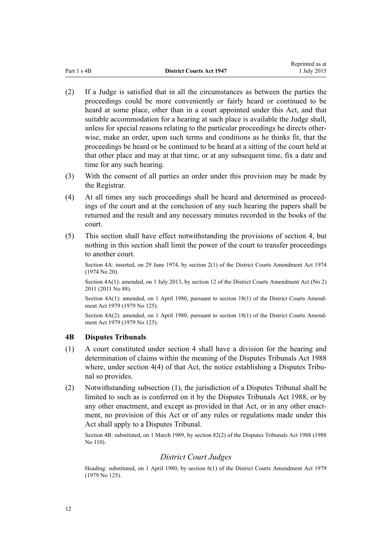Reprinted as at

- <span id="page-11-0"></span>(2) If a Judge is satisfied that in all the circumstances as between the parties the proceedings could be more conveniently or fairly heard or continued to be heard at some place, other than in a court appointed under this Act, and that suitable accommodation for a hearing at such place is available the Judge shall, unless for special reasons relating to the particular proceedings he directs otherwise, make an order, upon such terms and conditions as he thinks fit, that the proceedings be heard or be continued to be heard at a sitting of the court held at that other place and may at that time, or at any subsequent time, fix a date and time for any such hearing.
- (3) With the consent of all parties an order under this provision may be made by the Registrar.
- (4) At all times any such proceedings shall be heard and determined as proceedings of the court and at the conclusion of any such hearing the papers shall be returned and the result and any necessary minutes recorded in the books of the court.
- (5) This section shall have effect notwithstanding the provisions of [section 4,](#page-10-0) but nothing in this section shall limit the power of the court to transfer proceedings to another court.

Section 4A: inserted, on 29 June 1974, by section 2(1) of the District Courts Amendment Act 1974 (1974 No 20).

Section 4A(1): amended, on 1 July 2013, by [section 12](http://prd-lgnz-nlb.prd.pco.net.nz/pdflink.aspx?id=DLM4058121) of the District Courts Amendment Act (No 2) 2011 (2011 No 88).

Section 4A(1): amended, on 1 April 1980, pursuant to [section 18\(1\)](http://prd-lgnz-nlb.prd.pco.net.nz/pdflink.aspx?id=DLM35085) of the District Courts Amendment Act 1979 (1979 No 125).

Section  $4A(2)$ : amended, on 1 April 1980, pursuant to [section 18\(1\)](http://prd-lgnz-nlb.prd.pco.net.nz/pdflink.aspx?id=DLM35085) of the District Courts Amendment Act 1979 (1979 No 125).

# **4B Disputes Tribunals**

- (1) A court constituted under [section 4](#page-10-0) shall have a division for the hearing and determination of claims within the meaning of the [Disputes Tribunals Act 1988](http://prd-lgnz-nlb.prd.pco.net.nz/pdflink.aspx?id=DLM133281) where, under [section 4\(4\)](http://prd-lgnz-nlb.prd.pco.net.nz/pdflink.aspx?id=DLM133619) of that Act, the notice establishing a Disputes Tribunal so provides.
- (2) Notwithstanding subsection (1), the jurisdiction of a Disputes Tribunal shall be limited to such as is conferred on it by the [Disputes Tribunals Act 1988](http://prd-lgnz-nlb.prd.pco.net.nz/pdflink.aspx?id=DLM133281), or by any other enactment, and except as provided in that Act, or in any other enactment, no provision of this Act or of any rules or regulations made under this Act shall apply to a Disputes Tribunal.

Section 4B: substituted, on 1 March 1989, by [section 82\(2\)](http://prd-lgnz-nlb.prd.pco.net.nz/pdflink.aspx?id=DLM134169) of the Disputes Tribunals Act 1988 (1988 No 110).

# *District Court Judges*

Heading: substituted, on 1 April 1980, by [section 6\(1\)](http://prd-lgnz-nlb.prd.pco.net.nz/pdflink.aspx?id=DLM35062) of the District Courts Amendment Act 1979 (1979 No 125).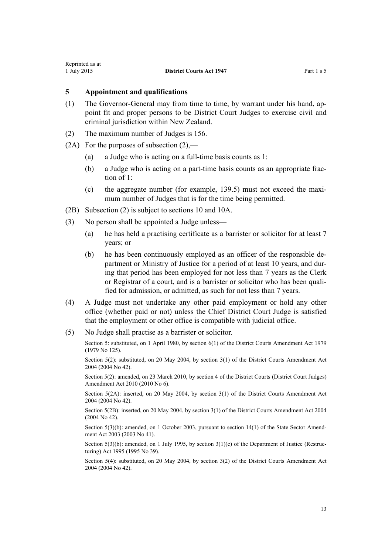## <span id="page-12-0"></span>**5 Appointment and qualifications**

- (1) The Governor-General may from time to time, by warrant under his hand, appoint fit and proper persons to be District Court Judges to exercise civil and criminal jurisdiction within New Zealand.
- (2) The maximum number of Judges is 156.
- (2A) For the purposes of subsection  $(2)$ ,—
	- (a) a Judge who is acting on a full-time basis counts as 1:
	- (b) a Judge who is acting on a part-time basis counts as an appropriate fraction of  $1$ .
	- (c) the aggregate number (for example, 139.5) must not exceed the maximum number of Judges that is for the time being permitted.
- (2B) Subsection (2) is subject to [sections 10](#page-16-0) and [10A](#page-17-0).
- (3) No person shall be appointed a Judge unless—
	- (a) he has held a practising certificate as a barrister or solicitor for at least 7 years; or
	- (b) he has been continuously employed as an officer of the responsible department or Ministry of Justice for a period of at least 10 years, and during that period has been employed for not less than 7 years as the Clerk or Registrar of a court, and is a barrister or solicitor who has been qualified for admission, or admitted, as such for not less than 7 years.
- (4) A Judge must not undertake any other paid employment or hold any other office (whether paid or not) unless the Chief District Court Judge is satisfied that the employment or other office is compatible with judicial office.
- (5) No Judge shall practise as a barrister or solicitor.

Section 5: substituted, on 1 April 1980, by [section 6\(1\)](http://prd-lgnz-nlb.prd.pco.net.nz/pdflink.aspx?id=DLM35062) of the District Courts Amendment Act 1979 (1979 No 125).

Section 5(2): substituted, on 20 May 2004, by [section 3\(1\)](http://prd-lgnz-nlb.prd.pco.net.nz/pdflink.aspx?id=DLM293788) of the District Courts Amendment Act 2004 (2004 No 42).

Section 5(2): amended, on 23 March 2010, by [section 4](http://prd-lgnz-nlb.prd.pco.net.nz/pdflink.aspx?id=DLM2753102) of the District Courts (District Court Judges) Amendment Act 2010 (2010 No 6).

Section 5(2A): inserted, on 20 May 2004, by [section 3\(1\)](http://prd-lgnz-nlb.prd.pco.net.nz/pdflink.aspx?id=DLM293788) of the District Courts Amendment Act 2004 (2004 No 42).

Section 5(2B): inserted, on 20 May 2004, by [section 3\(1\)](http://prd-lgnz-nlb.prd.pco.net.nz/pdflink.aspx?id=DLM293788) of the District Courts Amendment Act 2004 (2004 No 42).

Section 5(3)(b): amended, on 1 October 2003, pursuant to [section 14\(1\)](http://prd-lgnz-nlb.prd.pco.net.nz/pdflink.aspx?id=DLM201378) of the State Sector Amendment Act 2003 (2003 No 41).

Section  $5(3)(b)$ : amended, on 1 July 1995, by section  $3(1)(c)$  of the Department of Justice (Restructuring) Act 1995 (1995 No 39).

Section 5(4): substituted, on 20 May 2004, by [section 3\(2\)](http://prd-lgnz-nlb.prd.pco.net.nz/pdflink.aspx?id=DLM293788) of the District Courts Amendment Act 2004 (2004 No 42).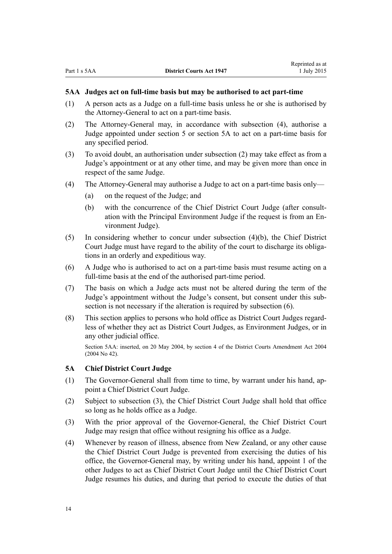#### <span id="page-13-0"></span>**5AA Judges act on full-time basis but may be authorised to act part-time**

- (1) A person acts as a Judge on a full-time basis unless he or she is authorised by the Attorney-General to act on a part-time basis.
- (2) The Attorney-General may, in accordance with subsection (4), authorise a Judge appointed under [section 5](#page-12-0) or section 5A to act on a part-time basis for any specified period.
- (3) To avoid doubt, an authorisation under subsection (2) may take effect as from a Judge's appointment or at any other time, and may be given more than once in respect of the same Judge.
- (4) The Attorney-General may authorise a Judge to act on a part-time basis only—
	- (a) on the request of the Judge; and
	- (b) with the concurrence of the Chief District Court Judge (after consultation with the Principal Environment Judge if the request is from an Environment Judge).
- (5) In considering whether to concur under subsection (4)(b), the Chief District Court Judge must have regard to the ability of the court to discharge its obligations in an orderly and expeditious way.
- (6) A Judge who is authorised to act on a part-time basis must resume acting on a full-time basis at the end of the authorised part-time period.
- (7) The basis on which a Judge acts must not be altered during the term of the Judge's appointment without the Judge's consent, but consent under this subsection is not necessary if the alteration is required by subsection (6).
- (8) This section applies to persons who hold office as District Court Judges regardless of whether they act as District Court Judges, as Environment Judges, or in any other judicial office.

Section 5AA: inserted, on 20 May 2004, by [section 4](http://prd-lgnz-nlb.prd.pco.net.nz/pdflink.aspx?id=DLM293789) of the District Courts Amendment Act 2004 (2004 No 42).

#### **5A Chief District Court Judge**

- (1) The Governor-General shall from time to time, by warrant under his hand, appoint a Chief District Court Judge.
- (2) Subject to subsection (3), the Chief District Court Judge shall hold that office so long as he holds office as a Judge.
- (3) With the prior approval of the Governor-General, the Chief District Court Judge may resign that office without resigning his office as a Judge.
- (4) Whenever by reason of illness, absence from New Zealand, or any other cause the Chief District Court Judge is prevented from exercising the duties of his office, the Governor-General may, by writing under his hand, appoint 1 of the other Judges to act as Chief District Court Judge until the Chief District Court Judge resumes his duties, and during that period to execute the duties of that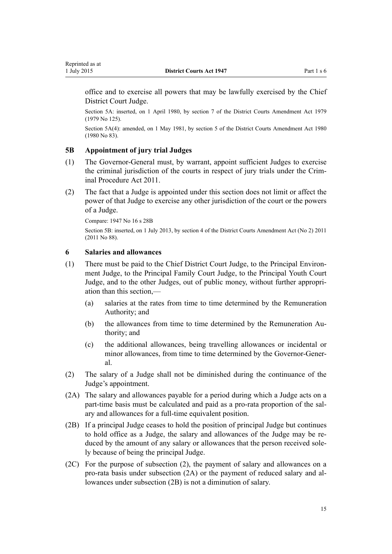<span id="page-14-0"></span>office and to exercise all powers that may be lawfully exercised by the Chief District Court Judge.

Section 5A: inserted, on 1 April 1980, by [section 7](http://prd-lgnz-nlb.prd.pco.net.nz/pdflink.aspx?id=DLM35063) of the District Courts Amendment Act 1979 (1979 No 125).

Section 5A(4): amended, on 1 May 1981, by section 5 of the District Courts Amendment Act 1980 (1980 No 83).

# **5B Appointment of jury trial Judges**

- (1) The Governor-General must, by warrant, appoint sufficient Judges to exercise the criminal jurisdiction of the courts in respect of jury trials under the [Crim](http://prd-lgnz-nlb.prd.pco.net.nz/pdflink.aspx?id=DLM3359902)[inal Procedure Act 2011.](http://prd-lgnz-nlb.prd.pco.net.nz/pdflink.aspx?id=DLM3359902)
- (2) The fact that a Judge is appointed under this section does not limit or affect the power of that Judge to exercise any other jurisdiction of the court or the powers of a Judge.

Compare: 1947 No 16 s 28B

Section 5B: inserted, on 1 July 2013, by [section 4](http://prd-lgnz-nlb.prd.pco.net.nz/pdflink.aspx?id=DLM4058113) of the District Courts Amendment Act (No 2) 2011 (2011 No 88).

#### **6 Salaries and allowances**

- (1) There must be paid to the Chief District Court Judge, to the Principal Environment Judge, to the Principal Family Court Judge, to the Principal Youth Court Judge, and to the other Judges, out of public money, without further appropriation than this section,—
	- (a) salaries at the rates from time to time determined by the Remuneration Authority; and
	- (b) the allowances from time to time determined by the Remuneration Authority; and
	- (c) the additional allowances, being travelling allowances or incidental or minor allowances, from time to time determined by the Governor-General.
- (2) The salary of a Judge shall not be diminished during the continuance of the Judge's appointment.
- (2A) The salary and allowances payable for a period during which a Judge acts on a part-time basis must be calculated and paid as a pro-rata proportion of the salary and allowances for a full-time equivalent position.
- (2B) If a principal Judge ceases to hold the position of principal Judge but continues to hold office as a Judge, the salary and allowances of the Judge may be reduced by the amount of any salary or allowances that the person received solely because of being the principal Judge.
- (2C) For the purpose of subsection (2), the payment of salary and allowances on a pro-rata basis under subsection (2A) or the payment of reduced salary and allowances under subsection (2B) is not a diminution of salary.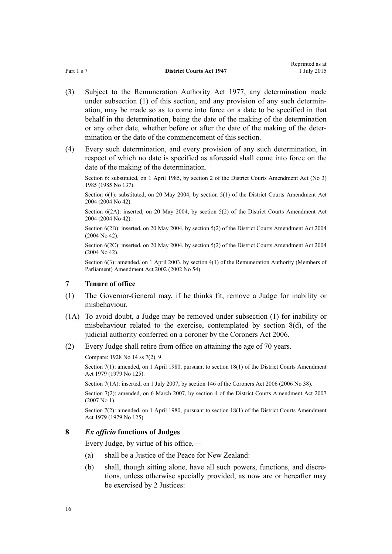- <span id="page-15-0"></span>(3) Subject to the [Remuneration Authority Act 1977,](http://prd-lgnz-nlb.prd.pco.net.nz/pdflink.aspx?id=DLM15636) any determination made under subsection (1) of this section, and any provision of any such determination, may be made so as to come into force on a date to be specified in that behalf in the determination, being the date of the making of the determination or any other date, whether before or after the date of the making of the determination or the date of the commencement of this section.
- (4) Every such determination, and every provision of any such determination, in respect of which no date is specified as aforesaid shall come into force on the date of the making of the determination.

Section 6: substituted, on 1 April 1985, by [section 2](http://prd-lgnz-nlb.prd.pco.net.nz/pdflink.aspx?id=DLM81032) of the District Courts Amendment Act (No 3) 1985 (1985 No 137).

Section 6(1): substituted, on 20 May 2004, by [section 5\(1\)](http://prd-lgnz-nlb.prd.pco.net.nz/pdflink.aspx?id=DLM293791) of the District Courts Amendment Act 2004 (2004 No 42).

Section 6(2A): inserted, on 20 May 2004, by [section 5\(2\)](http://prd-lgnz-nlb.prd.pco.net.nz/pdflink.aspx?id=DLM293791) of the District Courts Amendment Act 2004 (2004 No 42).

Section 6(2B): inserted, on 20 May 2004, by [section 5\(2\)](http://prd-lgnz-nlb.prd.pco.net.nz/pdflink.aspx?id=DLM293791) of the District Courts Amendment Act 2004 (2004 No 42).

Section 6(2C): inserted, on 20 May 2004, by [section 5\(2\)](http://prd-lgnz-nlb.prd.pco.net.nz/pdflink.aspx?id=DLM293791) of the District Courts Amendment Act 2004 (2004 No 42).

Section 6(3): amended, on 1 April 2003, by [section 4\(1\)](http://prd-lgnz-nlb.prd.pco.net.nz/pdflink.aspx?id=DLM167443) of the Remuneration Authority (Members of Parliament) Amendment Act 2002 (2002 No 54).

# **7 Tenure of office**

- (1) The Governor-General may, if he thinks fit, remove a Judge for inability or misbehaviour.
- (1A) To avoid doubt, a Judge may be removed under subsection (1) for inability or misbehaviour related to the exercise, contemplated by section 8(d), of the judicial authority conferred on a coroner by the [Coroners Act 2006](http://prd-lgnz-nlb.prd.pco.net.nz/pdflink.aspx?id=DLM377056).
- (2) Every Judge shall retire from office on attaining the age of 70 years.

Section 7(1): amended, on 1 April 1980, pursuant to [section 18\(1\)](http://prd-lgnz-nlb.prd.pco.net.nz/pdflink.aspx?id=DLM35085) of the District Courts Amendment Act 1979 (1979 No 125).

Section 7(1A): inserted, on 1 July 2007, by [section 146](http://prd-lgnz-nlb.prd.pco.net.nz/pdflink.aspx?id=DLM378303) of the Coroners Act 2006 (2006 No 38).

Section 7(2): amended, on 6 March 2007, by [section 4](http://prd-lgnz-nlb.prd.pco.net.nz/pdflink.aspx?id=DLM404764) of the District Courts Amendment Act 2007 (2007 No 1).

Section 7(2): amended, on 1 April 1980, pursuant to [section 18\(1\)](http://prd-lgnz-nlb.prd.pco.net.nz/pdflink.aspx?id=DLM35085) of the District Courts Amendment Act 1979 (1979 No 125).

#### **8** *Ex officio* **functions of Judges**

Every Judge, by virtue of his office,—

- (a) shall be a Justice of the Peace for New Zealand:
- (b) shall, though sitting alone, have all such powers, functions, and discretions, unless otherwise specially provided, as now are or hereafter may be exercised by 2 Justices:

Compare: 1928 No 14 ss 7(2), 9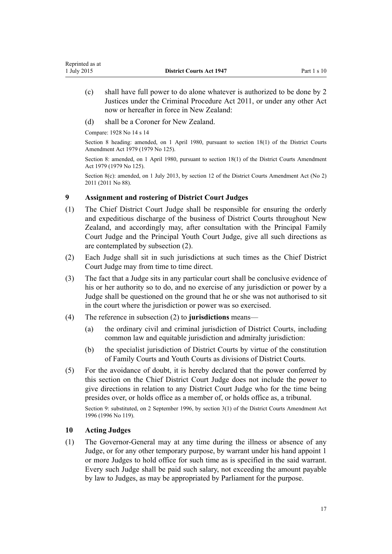- <span id="page-16-0"></span>(c) shall have full power to do alone whatever is authorized to be done by 2 Justices under the [Criminal Procedure Act 2011](http://prd-lgnz-nlb.prd.pco.net.nz/pdflink.aspx?id=DLM3359902), or under any other Act now or hereafter in force in New Zealand:
- (d) shall be a Coroner for New Zealand.

Compare: 1928 No 14 s 14

Section 8 heading: amended, on 1 April 1980, pursuant to [section 18\(1\)](http://prd-lgnz-nlb.prd.pco.net.nz/pdflink.aspx?id=DLM35085) of the District Courts Amendment Act 1979 (1979 No 125).

Section 8: amended, on 1 April 1980, pursuant to [section 18\(1\)](http://prd-lgnz-nlb.prd.pco.net.nz/pdflink.aspx?id=DLM35085) of the District Courts Amendment Act 1979 (1979 No 125).

Section 8(c): amended, on 1 July 2013, by [section 12](http://prd-lgnz-nlb.prd.pco.net.nz/pdflink.aspx?id=DLM4058121) of the District Courts Amendment Act (No 2) 2011 (2011 No 88).

# **9 Assignment and rostering of District Court Judges**

- (1) The Chief District Court Judge shall be responsible for ensuring the orderly and expeditious discharge of the business of District Courts throughout New Zealand, and accordingly may, after consultation with the Principal Family Court Judge and the Principal Youth Court Judge, give all such directions as are contemplated by subsection (2).
- (2) Each Judge shall sit in such jurisdictions at such times as the Chief District Court Judge may from time to time direct.
- (3) The fact that a Judge sits in any particular court shall be conclusive evidence of his or her authority so to do, and no exercise of any jurisdiction or power by a Judge shall be questioned on the ground that he or she was not authorised to sit in the court where the jurisdiction or power was so exercised.
- (4) The reference in subsection (2) to **jurisdictions** means—
	- (a) the ordinary civil and criminal jurisdiction of District Courts, including common law and equitable jurisdiction and admiralty jurisdiction:
	- (b) the specialist jurisdiction of District Courts by virtue of the constitution of Family Courts and Youth Courts as divisions of District Courts.
- (5) For the avoidance of doubt, it is hereby declared that the power conferred by this section on the Chief District Court Judge does not include the power to give directions in relation to any District Court Judge who for the time being presides over, or holds office as a member of, or holds office as, a tribunal.

Section 9: substituted, on 2 September 1996, by section 3(1) of the District Courts Amendment Act 1996 (1996 No 119).

#### **10 Acting Judges**

(1) The Governor-General may at any time during the illness or absence of any Judge, or for any other temporary purpose, by warrant under his hand appoint 1 or more Judges to hold office for such time as is specified in the said warrant. Every such Judge shall be paid such salary, not exceeding the amount payable by law to Judges, as may be appropriated by Parliament for the purpose.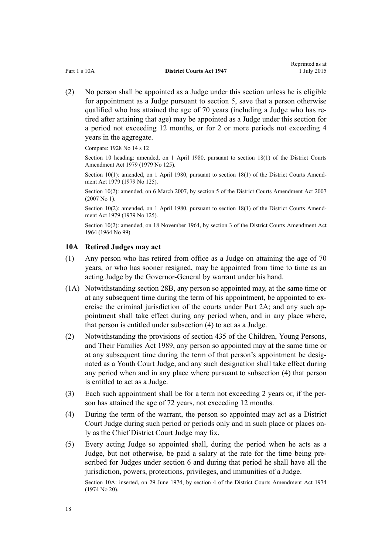<span id="page-17-0"></span>(2) No person shall be appointed as a Judge under this section unless he is eligible for appointment as a Judge pursuant to [section 5](#page-12-0), save that a person otherwise qualified who has attained the age of 70 years (including a Judge who has retired after attaining that age) may be appointed as a Judge under this section for a period not exceeding 12 months, or for 2 or more periods not exceeding 4 years in the aggregate.

Compare: 1928 No 14 s 12

Section 10 heading: amended, on 1 April 1980, pursuant to [section 18\(1\)](http://prd-lgnz-nlb.prd.pco.net.nz/pdflink.aspx?id=DLM35085) of the District Courts Amendment Act 1979 (1979 No 125).

Section 10(1): amended, on 1 April 1980, pursuant to [section 18\(1\)](http://prd-lgnz-nlb.prd.pco.net.nz/pdflink.aspx?id=DLM35085) of the District Courts Amendment Act 1979 (1979 No 125).

Section 10(2): amended, on 6 March 2007, by [section 5](http://prd-lgnz-nlb.prd.pco.net.nz/pdflink.aspx?id=DLM404765) of the District Courts Amendment Act 2007 (2007 No 1).

Section 10(2): amended, on 1 April 1980, pursuant to [section 18\(1\)](http://prd-lgnz-nlb.prd.pco.net.nz/pdflink.aspx?id=DLM35085) of the District Courts Amendment Act 1979 (1979 No 125).

Section 10(2): amended, on 18 November 1964, by section 3 of the District Courts Amendment Act 1964 (1964 No 99).

#### **10A Retired Judges may act**

- (1) Any person who has retired from office as a Judge on attaining the age of 70 years, or who has sooner resigned, may be appointed from time to time as an acting Judge by the Governor-General by warrant under his hand.
- (1A) Notwithstanding section 28B, any person so appointed may, at the same time or at any subsequent time during the term of his appointment, be appointed to exercise the criminal jurisdiction of the courts under Part 2A; and any such appointment shall take effect during any period when, and in any place where, that person is entitled under subsection (4) to act as a Judge.
- (2) Notwithstanding the provisions of [section 435](http://prd-lgnz-nlb.prd.pco.net.nz/pdflink.aspx?id=DLM155048) of the Children, Young Persons, and Their Families Act 1989, any person so appointed may at the same time or at any subsequent time during the term of that person's appointment be designated as a Youth Court Judge, and any such designation shall take effect during any period when and in any place where pursuant to subsection (4) that person is entitled to act as a Judge.
- (3) Each such appointment shall be for a term not exceeding 2 years or, if the person has attained the age of 72 years, not exceeding 12 months.
- (4) During the term of the warrant, the person so appointed may act as a District Court Judge during such period or periods only and in such place or places only as the Chief District Court Judge may fix.
- (5) Every acting Judge so appointed shall, during the period when he acts as a Judge, but not otherwise, be paid a salary at the rate for the time being prescribed for Judges under [section 6](#page-14-0) and during that period he shall have all the jurisdiction, powers, protections, privileges, and immunities of a Judge.

Section 10A: inserted, on 29 June 1974, by section 4 of the District Courts Amendment Act 1974 (1974 No 20).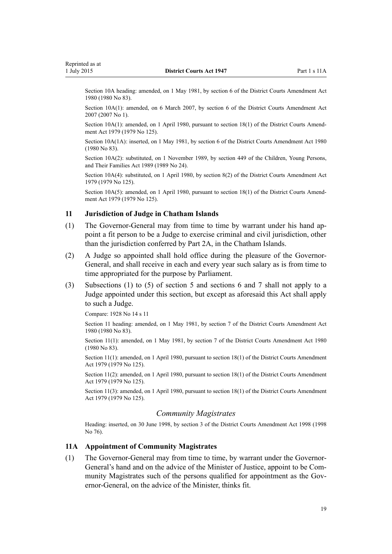<span id="page-18-0"></span>Section 10A heading: amended, on 1 May 1981, by section 6 of the District Courts Amendment Act 1980 (1980 No 83).

Section 10A(1): amended, on 6 March 2007, by [section 6](http://prd-lgnz-nlb.prd.pco.net.nz/pdflink.aspx?id=DLM404766) of the District Courts Amendment Act 2007 (2007 No 1).

Section 10A(1): amended, on 1 April 1980, pursuant to [section 18\(1\)](http://prd-lgnz-nlb.prd.pco.net.nz/pdflink.aspx?id=DLM35085) of the District Courts Amendment Act 1979 (1979 No 125).

Section 10A(1A): inserted, on 1 May 1981, by section 6 of the District Courts Amendment Act 1980 (1980 No 83).

Section 10A(2): substituted, on 1 November 1989, by [section 449](http://prd-lgnz-nlb.prd.pco.net.nz/pdflink.aspx?id=DLM155091) of the Children, Young Persons, and Their Families Act 1989 (1989 No 24).

Section 10A(4): substituted, on 1 April 1980, by [section 8\(2\)](http://prd-lgnz-nlb.prd.pco.net.nz/pdflink.aspx?id=DLM35066) of the District Courts Amendment Act 1979 (1979 No 125).

Section 10A(5): amended, on 1 April 1980, pursuant to [section 18\(1\)](http://prd-lgnz-nlb.prd.pco.net.nz/pdflink.aspx?id=DLM35085) of the District Courts Amendment Act 1979 (1979 No 125).

#### **11 Jurisdiction of Judge in Chatham Islands**

- (1) The Governor-General may from time to time by warrant under his hand appoint a fit person to be a Judge to exercise criminal and civil jurisdiction, other than the jurisdiction conferred by Part 2A, in the Chatham Islands.
- (2) A Judge so appointed shall hold office during the pleasure of the Governor-General, and shall receive in each and every year such salary as is from time to time appropriated for the purpose by Parliament.
- (3) Subsections (1) to (5) of [section 5](#page-12-0) and [sections 6](#page-14-0) and [7](#page-15-0) shall not apply to a Judge appointed under this section, but except as aforesaid this Act shall apply to such a Judge.

Compare: 1928 No 14 s 11

Section 11 heading: amended, on 1 May 1981, by section 7 of the District Courts Amendment Act 1980 (1980 No 83).

Section 11(1): amended, on 1 May 1981, by section 7 of the District Courts Amendment Act 1980 (1980 No 83).

Section 11(1): amended, on 1 April 1980, pursuant to [section 18\(1\)](http://prd-lgnz-nlb.prd.pco.net.nz/pdflink.aspx?id=DLM35085) of the District Courts Amendment Act 1979 (1979 No 125).

Section 11(2): amended, on 1 April 1980, pursuant to [section 18\(1\)](http://prd-lgnz-nlb.prd.pco.net.nz/pdflink.aspx?id=DLM35085) of the District Courts Amendment Act 1979 (1979 No 125).

Section 11(3): amended, on 1 April 1980, pursuant to [section 18\(1\)](http://prd-lgnz-nlb.prd.pco.net.nz/pdflink.aspx?id=DLM35085) of the District Courts Amendment Act 1979 (1979 No 125).

#### *Community Magistrates*

Heading: inserted, on 30 June 1998, by [section 3](http://prd-lgnz-nlb.prd.pco.net.nz/pdflink.aspx?id=DLM427916) of the District Courts Amendment Act 1998 (1998 No 76).

#### **11A Appointment of Community Magistrates**

(1) The Governor-General may from time to time, by warrant under the Governor-General's hand and on the advice of the Minister of Justice, appoint to be Community Magistrates such of the persons qualified for appointment as the Governor-General, on the advice of the Minister, thinks fit.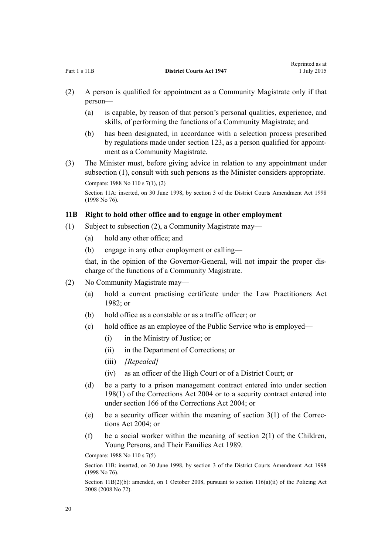- <span id="page-19-0"></span>(2) A person is qualified for appointment as a Community Magistrate only if that person—
	- (a) is capable, by reason of that person's personal qualities, experience, and skills, of performing the functions of a Community Magistrate; and
	- (b) has been designated, in accordance with a selection process prescribed by regulations made under [section 123,](#page-106-0) as a person qualified for appointment as a Community Magistrate.
- (3) The Minister must, before giving advice in relation to any appointment under subsection (1), consult with such persons as the Minister considers appropriate. Compare: 1988 No 110 [s 7\(1\), \(2\)](http://prd-lgnz-nlb.prd.pco.net.nz/pdflink.aspx?id=DLM133630)

Section 11A: inserted, on 30 June 1998, by [section 3](http://prd-lgnz-nlb.prd.pco.net.nz/pdflink.aspx?id=DLM427916) of the District Courts Amendment Act 1998 (1998 No 76).

#### **11B Right to hold other office and to engage in other employment**

- (1) Subject to subsection (2), a Community Magistrate may—
	- (a) hold any other office; and
	- (b) engage in any other employment or calling—

that, in the opinion of the Governor-General, will not impair the proper discharge of the functions of a Community Magistrate.

- (2) No Community Magistrate may—
	- (a) hold a current practising certificate under the [Law Practitioners Act](http://prd-lgnz-nlb.prd.pco.net.nz/pdflink.aspx?id=DLM62319)  $1982$ ; or
	- (b) hold office as a constable or as a traffic officer; or
	- (c) hold office as an employee of the Public Service who is employed—
		- (i) in the Ministry of Justice; or
		- (ii) in the Department of Corrections; or
		- (iii) *[Repealed]*
		- (iv) as an officer of the High Court or of a District Court; or
	- (d) be a party to a prison management contract entered into under [section](http://prd-lgnz-nlb.prd.pco.net.nz/pdflink.aspx?id=DLM297118) [198\(1\)](http://prd-lgnz-nlb.prd.pco.net.nz/pdflink.aspx?id=DLM297118) of the Corrections Act 2004 or to a security contract entered into under [section 166](http://prd-lgnz-nlb.prd.pco.net.nz/pdflink.aspx?id=DLM296556) of the Corrections Act 2004; or
	- (e) be a security officer within the meaning of section  $3(1)$  of the Corrections Act 2004; or
	- (f) be a social worker within the meaning of section  $2(1)$  of the Children, Young Persons, and Their Families Act 1989.

Compare: 1988 No 110 [s 7\(5\)](http://prd-lgnz-nlb.prd.pco.net.nz/pdflink.aspx?id=DLM133630)

Section 11B: inserted, on 30 June 1998, by [section 3](http://prd-lgnz-nlb.prd.pco.net.nz/pdflink.aspx?id=DLM427916) of the District Courts Amendment Act 1998 (1998 No 76).

Section 11B(2)(b): amended, on 1 October 2008, pursuant to [section 116\(a\)\(ii\)](http://prd-lgnz-nlb.prd.pco.net.nz/pdflink.aspx?id=DLM1102349) of the Policing Act 2008 (2008 No 72).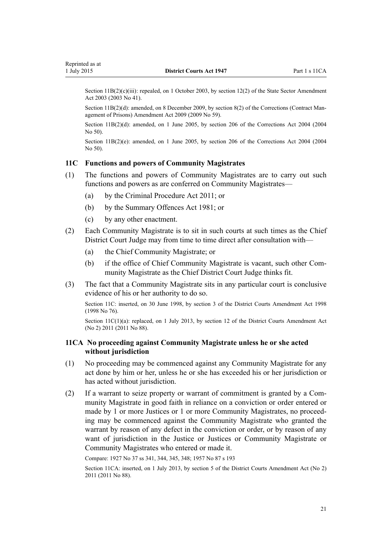<span id="page-20-0"></span>Section 11B(2)(c)(iii): repealed, on 1 October 2003, by [section 12\(2\)](http://prd-lgnz-nlb.prd.pco.net.nz/pdflink.aspx?id=DLM201376) of the State Sector Amendment Act 2003 (2003 No 41).

Section 11B(2)(d): amended, on 8 December 2009, by [section 8\(2\)](http://prd-lgnz-nlb.prd.pco.net.nz/pdflink.aspx?id=DLM1888329) of the Corrections (Contract Management of Prisons) Amendment Act 2009 (2009 No 59).

Section 11B(2)(d): amended, on 1 June 2005, by [section 206](http://prd-lgnz-nlb.prd.pco.net.nz/pdflink.aspx?id=DLM297136) of the Corrections Act 2004 (2004 No 50).

Section  $11B(2)(e)$ : amended, on 1 June 2005, by [section 206](http://prd-lgnz-nlb.prd.pco.net.nz/pdflink.aspx?id=DLM297136) of the Corrections Act 2004 (2004) No 50).

#### **11C Functions and powers of Community Magistrates**

- (1) The functions and powers of Community Magistrates are to carry out such functions and powers as are conferred on Community Magistrates—
	- (a) by the [Criminal Procedure Act 2011;](http://prd-lgnz-nlb.prd.pco.net.nz/pdflink.aspx?id=DLM3359902) or
	- (b) by the [Summary Offences Act 1981;](http://prd-lgnz-nlb.prd.pco.net.nz/pdflink.aspx?id=DLM53347) or
	- (c) by any other enactment.
- (2) Each Community Magistrate is to sit in such courts at such times as the Chief District Court Judge may from time to time direct after consultation with—
	- (a) the Chief Community Magistrate; or
	- (b) if the office of Chief Community Magistrate is vacant, such other Community Magistrate as the Chief District Court Judge thinks fit.
- (3) The fact that a Community Magistrate sits in any particular court is conclusive evidence of his or her authority to do so.

Section 11C: inserted, on 30 June 1998, by [section 3](http://prd-lgnz-nlb.prd.pco.net.nz/pdflink.aspx?id=DLM427916) of the District Courts Amendment Act 1998 (1998 No 76).

Section  $11C(1)(a)$ : replaced, on 1 July 2013, by [section 12](http://prd-lgnz-nlb.prd.pco.net.nz/pdflink.aspx?id=DLM4058121) of the District Courts Amendment Act (No 2) 2011 (2011 No 88).

## **11CA No proceeding against Community Magistrate unless he or she acted without jurisdiction**

- (1) No proceeding may be commenced against any Community Magistrate for any act done by him or her, unless he or she has exceeded his or her jurisdiction or has acted without jurisdiction.
- (2) If a warrant to seize property or warrant of commitment is granted by a Community Magistrate in good faith in reliance on a conviction or order entered or made by 1 or more Justices or 1 or more Community Magistrates, no proceeding may be commenced against the Community Magistrate who granted the warrant by reason of any defect in the conviction or order, or by reason of any want of jurisdiction in the Justice or Justices or Community Magistrate or Community Magistrates who entered or made it.

Compare: 1927 No 37 ss 341, 344, 345, 348; 1957 No 87 [s 193](http://prd-lgnz-nlb.prd.pco.net.nz/pdflink.aspx?id=DLM313782)

Section 11CA: inserted, on 1 July 2013, by [section 5](http://prd-lgnz-nlb.prd.pco.net.nz/pdflink.aspx?id=DLM4058115) of the District Courts Amendment Act (No 2) 2011 (2011 No 88).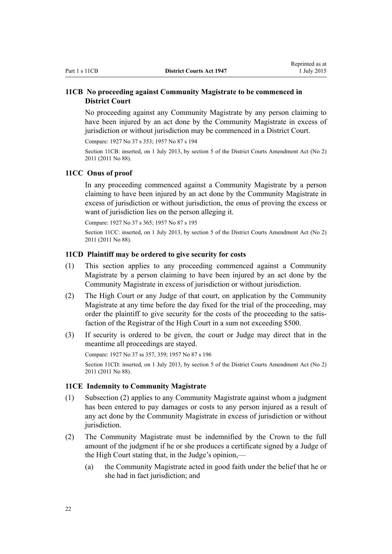# <span id="page-21-0"></span>**11CB No proceeding against Community Magistrate to be commenced in District Court**

No proceeding against any Community Magistrate by any person claiming to have been injured by an act done by the Community Magistrate in excess of jurisdiction or without jurisdiction may be commenced in a District Court.

Compare: 1927 No 37 s 353; 1957 No 87 [s 194](http://prd-lgnz-nlb.prd.pco.net.nz/pdflink.aspx?id=DLM313791)

Section 11CB: inserted, on 1 July 2013, by [section 5](http://prd-lgnz-nlb.prd.pco.net.nz/pdflink.aspx?id=DLM4058115) of the District Courts Amendment Act (No 2) 2011 (2011 No 88).

#### **11CC Onus of proof**

In any proceeding commenced against a Community Magistrate by a person claiming to have been injured by an act done by the Community Magistrate in excess of jurisdiction or without jurisdiction, the onus of proving the excess or want of jurisdiction lies on the person alleging it.

Compare: 1927 No 37 s 365; 1957 No 87 [s 195](http://prd-lgnz-nlb.prd.pco.net.nz/pdflink.aspx?id=DLM313795)

Section 11CC: inserted, on 1 July 2013, by [section 5](http://prd-lgnz-nlb.prd.pco.net.nz/pdflink.aspx?id=DLM4058115) of the District Courts Amendment Act (No 2) 2011 (2011 No 88).

#### **11CD Plaintiff may be ordered to give security for costs**

- (1) This section applies to any proceeding commenced against a Community Magistrate by a person claiming to have been injured by an act done by the Community Magistrate in excess of jurisdiction or without jurisdiction.
- (2) The High Court or any Judge of that court, on application by the Community Magistrate at any time before the day fixed for the trial of the proceeding, may order the plaintiff to give security for the costs of the proceeding to the satisfaction of the Registrar of the High Court in a sum not exceeding \$500.
- (3) If security is ordered to be given, the court or Judge may direct that in the meantime all proceedings are stayed.

Compare: 1927 No 37 ss 357, 359; 1957 No 87 [s 196](http://prd-lgnz-nlb.prd.pco.net.nz/pdflink.aspx?id=DLM313798) Section 11CD: inserted, on 1 July 2013, by [section 5](http://prd-lgnz-nlb.prd.pco.net.nz/pdflink.aspx?id=DLM4058115) of the District Courts Amendment Act (No 2) 2011 (2011 No 88).

#### **11CE Indemnity to Community Magistrate**

- (1) Subsection (2) applies to any Community Magistrate against whom a judgment has been entered to pay damages or costs to any person injured as a result of any act done by the Community Magistrate in excess of jurisdiction or without jurisdiction.
- (2) The Community Magistrate must be indemnified by the Crown to the full amount of the judgment if he or she produces a certificate signed by a Judge of the High Court stating that, in the Judge's opinion,—
	- (a) the Community Magistrate acted in good faith under the belief that he or she had in fact jurisdiction; and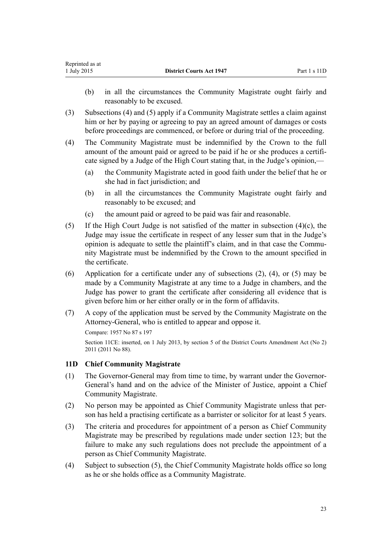- <span id="page-22-0"></span>(b) in all the circumstances the Community Magistrate ought fairly and reasonably to be excused.
- (3) Subsections (4) and (5) apply if a Community Magistrate settles a claim against him or her by paying or agreeing to pay an agreed amount of damages or costs before proceedings are commenced, or before or during trial of the proceeding.
- (4) The Community Magistrate must be indemnified by the Crown to the full amount of the amount paid or agreed to be paid if he or she produces a certificate signed by a Judge of the High Court stating that, in the Judge's opinion,—
	- (a) the Community Magistrate acted in good faith under the belief that he or she had in fact jurisdiction; and
	- (b) in all the circumstances the Community Magistrate ought fairly and reasonably to be excused; and
	- (c) the amount paid or agreed to be paid was fair and reasonable.
- (5) If the High Court Judge is not satisfied of the matter in subsection (4)(c), the Judge may issue the certificate in respect of any lesser sum that in the Judge's opinion is adequate to settle the plaintiff's claim, and in that case the Community Magistrate must be indemnified by the Crown to the amount specified in the certificate.
- (6) Application for a certificate under any of subsections (2), (4), or (5) may be made by a Community Magistrate at any time to a Judge in chambers, and the Judge has power to grant the certificate after considering all evidence that is given before him or her either orally or in the form of affidavits.
- (7) A copy of the application must be served by the Community Magistrate on the Attorney-General, who is entitled to appear and oppose it.

Compare: 1957 No 87 [s 197](http://prd-lgnz-nlb.prd.pco.net.nz/pdflink.aspx?id=DLM314005)

Section 11CE: inserted, on 1 July 2013, by [section 5](http://prd-lgnz-nlb.prd.pco.net.nz/pdflink.aspx?id=DLM4058115) of the District Courts Amendment Act (No 2) 2011 (2011 No 88).

# **11D Chief Community Magistrate**

- (1) The Governor-General may from time to time, by warrant under the Governor-General's hand and on the advice of the Minister of Justice, appoint a Chief Community Magistrate.
- (2) No person may be appointed as Chief Community Magistrate unless that person has held a practising certificate as a barrister or solicitor for at least 5 years.
- (3) The criteria and procedures for appointment of a person as Chief Community Magistrate may be prescribed by regulations made under [section 123](#page-106-0); but the failure to make any such regulations does not preclude the appointment of a person as Chief Community Magistrate.
- (4) Subject to subsection (5), the Chief Community Magistrate holds office so long as he or she holds office as a Community Magistrate.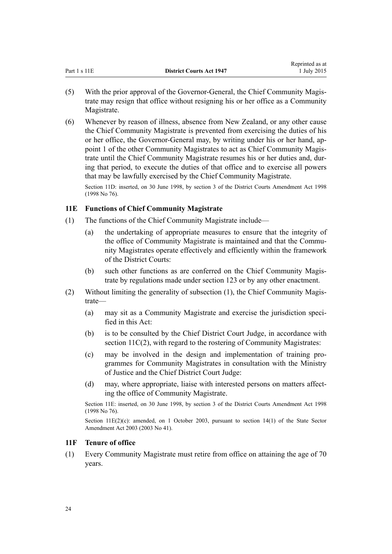<span id="page-23-0"></span>

| Part 1 s 11E | <b>District Courts Act 1947</b> | www.mwa.uv<br>1 July 2015 |
|--------------|---------------------------------|---------------------------|
|              |                                 |                           |

Reprinted as at

- (5) With the prior approval of the Governor-General, the Chief Community Magistrate may resign that office without resigning his or her office as a Community Magistrate.
- (6) Whenever by reason of illness, absence from New Zealand, or any other cause the Chief Community Magistrate is prevented from exercising the duties of his or her office, the Governor-General may, by writing under his or her hand, appoint 1 of the other Community Magistrates to act as Chief Community Magistrate until the Chief Community Magistrate resumes his or her duties and, during that period, to execute the duties of that office and to exercise all powers that may be lawfully exercised by the Chief Community Magistrate.

Section 11D: inserted, on 30 June 1998, by [section 3](http://prd-lgnz-nlb.prd.pco.net.nz/pdflink.aspx?id=DLM427916) of the District Courts Amendment Act 1998 (1998 No 76).

# **11E Functions of Chief Community Magistrate**

- (1) The functions of the Chief Community Magistrate include—
	- (a) the undertaking of appropriate measures to ensure that the integrity of the office of Community Magistrate is maintained and that the Community Magistrates operate effectively and efficiently within the framework of the District Courts:
	- (b) such other functions as are conferred on the Chief Community Magistrate by regulations made under [section 123](#page-106-0) or by any other enactment.
- (2) Without limiting the generality of subsection (1), the Chief Community Magistrate—
	- (a) may sit as a Community Magistrate and exercise the jurisdiction specified in this Act:
	- (b) is to be consulted by the Chief District Court Judge, in accordance with [section 11C\(2\),](#page-20-0) with regard to the rostering of Community Magistrates:
	- (c) may be involved in the design and implementation of training programmes for Community Magistrates in consultation with the Ministry of Justice and the Chief District Court Judge:
	- (d) may, where appropriate, liaise with interested persons on matters affecting the office of Community Magistrate.

Section 11E: inserted, on 30 June 1998, by [section 3](http://prd-lgnz-nlb.prd.pco.net.nz/pdflink.aspx?id=DLM427916) of the District Courts Amendment Act 1998 (1998 No 76).

Section 11E(2)(c): amended, on 1 October 2003, pursuant to [section 14\(1\)](http://prd-lgnz-nlb.prd.pco.net.nz/pdflink.aspx?id=DLM201378) of the State Sector Amendment Act 2003 (2003 No 41).

# **11F Tenure of office**

(1) Every Community Magistrate must retire from office on attaining the age of 70 years.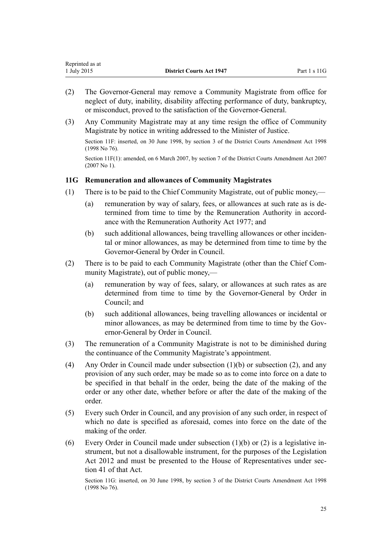<span id="page-24-0"></span>

| Reprinted as at |                                 |              |
|-----------------|---------------------------------|--------------|
| 1 July 2015     | <b>District Courts Act 1947</b> | Part 1 s 11G |

- (2) The Governor-General may remove a Community Magistrate from office for neglect of duty, inability, disability affecting performance of duty, bankruptcy, or misconduct, proved to the satisfaction of the Governor-General.
- (3) Any Community Magistrate may at any time resign the office of Community Magistrate by notice in writing addressed to the Minister of Justice.

Section 11F: inserted, on 30 June 1998, by [section 3](http://prd-lgnz-nlb.prd.pco.net.nz/pdflink.aspx?id=DLM427916) of the District Courts Amendment Act 1998 (1998 No 76).

Section 11F(1): amended, on 6 March 2007, by [section 7](http://prd-lgnz-nlb.prd.pco.net.nz/pdflink.aspx?id=DLM404767) of the District Courts Amendment Act 2007 (2007 No 1).

#### **11G Remuneration and allowances of Community Magistrates**

- (1) There is to be paid to the Chief Community Magistrate, out of public money,—
	- (a) remuneration by way of salary, fees, or allowances at such rate as is determined from time to time by the Remuneration Authority in accordance with the [Remuneration Authority Act 1977](http://prd-lgnz-nlb.prd.pco.net.nz/pdflink.aspx?id=DLM15636); and
	- (b) such additional allowances, being travelling allowances or other incidental or minor allowances, as may be determined from time to time by the Governor-General by Order in Council.
- (2) There is to be paid to each Community Magistrate (other than the Chief Community Magistrate), out of public money,—
	- (a) remuneration by way of fees, salary, or allowances at such rates as are determined from time to time by the Governor-General by Order in Council; and
	- (b) such additional allowances, being travelling allowances or incidental or minor allowances, as may be determined from time to time by the Governor-General by Order in Council.
- (3) The remuneration of a Community Magistrate is not to be diminished during the continuance of the Community Magistrate's appointment.
- (4) Any Order in Council made under subsection (1)(b) or subsection (2), and any provision of any such order, may be made so as to come into force on a date to be specified in that behalf in the order, being the date of the making of the order or any other date, whether before or after the date of the making of the order.
- (5) Every such Order in Council, and any provision of any such order, in respect of which no date is specified as aforesaid, comes into force on the date of the making of the order.
- (6) Every Order in Council made under subsection (1)(b) or (2) is a legislative instrument, but not a disallowable instrument, for the purposes of the [Legislation](http://prd-lgnz-nlb.prd.pco.net.nz/pdflink.aspx?id=DLM2997643) [Act 2012](http://prd-lgnz-nlb.prd.pco.net.nz/pdflink.aspx?id=DLM2997643) and must be presented to the House of Representatives under [sec](http://prd-lgnz-nlb.prd.pco.net.nz/pdflink.aspx?id=DLM2998573)[tion 41](http://prd-lgnz-nlb.prd.pco.net.nz/pdflink.aspx?id=DLM2998573) of that Act.

Section 11G: inserted, on 30 June 1998, by [section 3](http://prd-lgnz-nlb.prd.pco.net.nz/pdflink.aspx?id=DLM427916) of the District Courts Amendment Act 1998 (1998 No 76).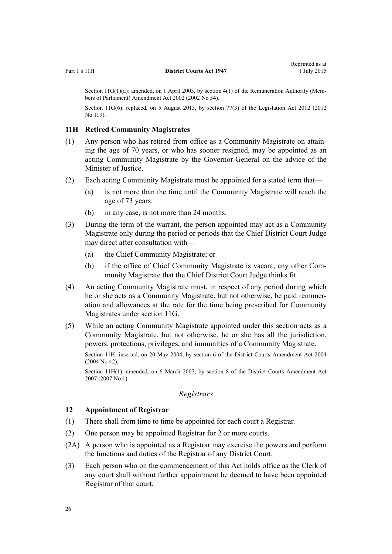Reprinted as at 1 July 2015

<span id="page-25-0"></span>Section 11G(1)(a): amended, on 1 April 2003, by [section 4\(1\)](http://prd-lgnz-nlb.prd.pco.net.nz/pdflink.aspx?id=DLM167443) of the Remuneration Authority (Members of Parliament) Amendment Act 2002 (2002 No 54).

Section 11G(6): replaced, on 5 August 2013, by [section 77\(3\)](http://prd-lgnz-nlb.prd.pco.net.nz/pdflink.aspx?id=DLM2998633) of the Legislation Act 2012 (2012) No 119).

## **11H Retired Community Magistrates**

- (1) Any person who has retired from office as a Community Magistrate on attaining the age of 70 years, or who has sooner resigned, may be appointed as an acting Community Magistrate by the Governor-General on the advice of the Minister of Justice.
- (2) Each acting Community Magistrate must be appointed for a stated term that—
	- (a) is not more than the time until the Community Magistrate will reach the age of 73 years:
	- (b) in any case, is not more than 24 months.
- (3) During the term of the warrant, the person appointed may act as a Community Magistrate only during the period or periods that the Chief District Court Judge may direct after consultation with—
	- (a) the Chief Community Magistrate; or
	- (b) if the office of Chief Community Magistrate is vacant, any other Community Magistrate that the Chief District Court Judge thinks fit.
- (4) An acting Community Magistrate must, in respect of any period during which he or she acts as a Community Magistrate, but not otherwise, be paid remuneration and allowances at the rate for the time being prescribed for Community Magistrates under [section 11G.](#page-24-0)
- (5) While an acting Community Magistrate appointed under this section acts as a Community Magistrate, but not otherwise, he or she has all the jurisdiction, powers, protections, privileges, and immunities of a Community Magistrate.

Section 11H: inserted, on 20 May 2004, by [section 6](http://prd-lgnz-nlb.prd.pco.net.nz/pdflink.aspx?id=DLM293792) of the District Courts Amendment Act 2004 (2004 No 42).

Section 11H(1): amended, on 6 March 2007, by [section 8](http://prd-lgnz-nlb.prd.pco.net.nz/pdflink.aspx?id=DLM404768) of the District Courts Amendment Act 2007 (2007 No 1).

#### *Registrars*

#### **12 Appointment of Registrar**

- (1) There shall from time to time be appointed for each court a Registrar.
- (2) One person may be appointed Registrar for 2 or more courts.
- (2A) A person who is appointed as a Registrar may exercise the powers and perform the functions and duties of the Registrar of any District Court.
- (3) Each person who on the commencement of this Act holds office as the Clerk of any court shall without further appointment be deemed to have been appointed Registrar of that court.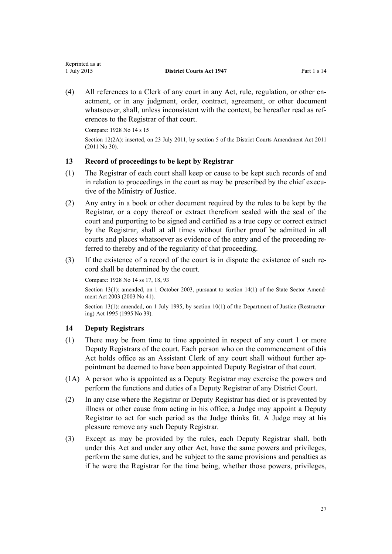<span id="page-26-0"></span>(4) All references to a Clerk of any court in any Act, rule, regulation, or other enactment, or in any judgment, order, contract, agreement, or other document whatsoever, shall, unless inconsistent with the context, be hereafter read as references to the Registrar of that court.

Compare: 1928 No 14 s 15 Section 12(2A): inserted, on 23 July 2011, by [section 5](http://prd-lgnz-nlb.prd.pco.net.nz/pdflink.aspx?id=DLM2929743) of the District Courts Amendment Act 2011 (2011 No 30).

# **13 Record of proceedings to be kept by Registrar**

- (1) The Registrar of each court shall keep or cause to be kept such records of and in relation to proceedings in the court as may be prescribed by the chief executive of the Ministry of Justice.
- (2) Any entry in a book or other document required by the rules to be kept by the Registrar, or a copy thereof or extract therefrom sealed with the seal of the court and purporting to be signed and certified as a true copy or correct extract by the Registrar, shall at all times without further proof be admitted in all courts and places whatsoever as evidence of the entry and of the proceeding referred to thereby and of the regularity of that proceeding.
- (3) If the existence of a record of the court is in dispute the existence of such record shall be determined by the court.

Compare: 1928 No 14 ss 17, 18, 93

Section 13(1): amended, on 1 October 2003, pursuant to [section 14\(1\)](http://prd-lgnz-nlb.prd.pco.net.nz/pdflink.aspx?id=DLM201378) of the State Sector Amendment Act 2003 (2003 No 41).

Section 13(1): amended, on 1 July 1995, by [section 10\(1\)](http://prd-lgnz-nlb.prd.pco.net.nz/pdflink.aspx?id=DLM367235) of the Department of Justice (Restructuring) Act 1995 (1995 No 39).

#### **14 Deputy Registrars**

- (1) There may be from time to time appointed in respect of any court 1 or more Deputy Registrars of the court. Each person who on the commencement of this Act holds office as an Assistant Clerk of any court shall without further appointment be deemed to have been appointed Deputy Registrar of that court.
- (1A) A person who is appointed as a Deputy Registrar may exercise the powers and perform the functions and duties of a Deputy Registrar of any District Court.
- (2) In any case where the Registrar or Deputy Registrar has died or is prevented by illness or other cause from acting in his office, a Judge may appoint a Deputy Registrar to act for such period as the Judge thinks fit. A Judge may at his pleasure remove any such Deputy Registrar.
- (3) Except as may be provided by the rules, each Deputy Registrar shall, both under this Act and under any other Act, have the same powers and privileges, perform the same duties, and be subject to the same provisions and penalties as if he were the Registrar for the time being, whether those powers, privileges,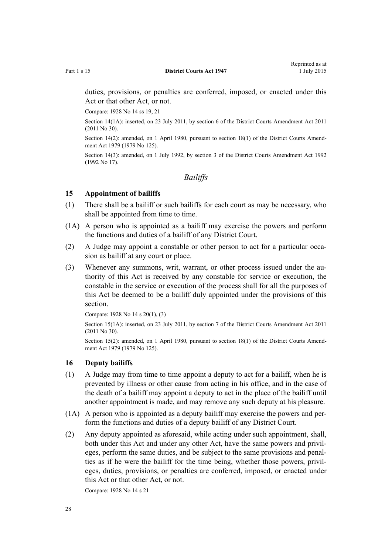<span id="page-27-0"></span>duties, provisions, or penalties are conferred, imposed, or enacted under this Act or that other Act, or not.

Compare: 1928 No 14 ss 19, 21

Section 14(1A): inserted, on 23 July 2011, by [section 6](http://prd-lgnz-nlb.prd.pco.net.nz/pdflink.aspx?id=DLM2929744) of the District Courts Amendment Act 2011 (2011 No 30).

Section 14(2): amended, on 1 April 1980, pursuant to [section 18\(1\)](http://prd-lgnz-nlb.prd.pco.net.nz/pdflink.aspx?id=DLM35085) of the District Courts Amendment Act 1979 (1979 No 125).

Section 14(3): amended, on 1 July 1992, by [section 3](http://prd-lgnz-nlb.prd.pco.net.nz/pdflink.aspx?id=DLM259681) of the District Courts Amendment Act 1992 (1992 No 17).

*Bailiffs*

## **15 Appointment of bailiffs**

- (1) There shall be a bailiff or such bailiffs for each court as may be necessary, who shall be appointed from time to time.
- (1A) A person who is appointed as a bailiff may exercise the powers and perform the functions and duties of a bailiff of any District Court.
- (2) A Judge may appoint a constable or other person to act for a particular occasion as bailiff at any court or place.
- (3) Whenever any summons, writ, warrant, or other process issued under the authority of this Act is received by any constable for service or execution, the constable in the service or execution of the process shall for all the purposes of this Act be deemed to be a bailiff duly appointed under the provisions of this section.

Compare: 1928 No 14 s 20(1), (3)

Section 15(1A): inserted, on 23 July 2011, by [section 7](http://prd-lgnz-nlb.prd.pco.net.nz/pdflink.aspx?id=DLM2929745) of the District Courts Amendment Act 2011 (2011 No 30).

Section 15(2): amended, on 1 April 1980, pursuant to [section 18\(1\)](http://prd-lgnz-nlb.prd.pco.net.nz/pdflink.aspx?id=DLM35085) of the District Courts Amendment Act 1979 (1979 No 125).

## **16 Deputy bailiffs**

- (1) A Judge may from time to time appoint a deputy to act for a bailiff, when he is prevented by illness or other cause from acting in his office, and in the case of the death of a bailiff may appoint a deputy to act in the place of the bailiff until another appointment is made, and may remove any such deputy at his pleasure.
- (1A) A person who is appointed as a deputy bailiff may exercise the powers and perform the functions and duties of a deputy bailiff of any District Court.
- (2) Any deputy appointed as aforesaid, while acting under such appointment, shall, both under this Act and under any other Act, have the same powers and privileges, perform the same duties, and be subject to the same provisions and penalties as if he were the bailiff for the time being, whether those powers, privileges, duties, provisions, or penalties are conferred, imposed, or enacted under this Act or that other Act, or not.

Compare: 1928 No 14 s 21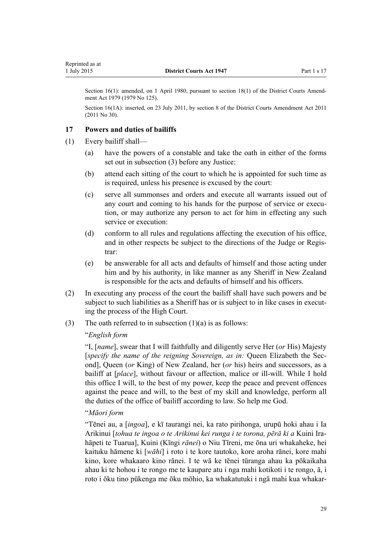<span id="page-28-0"></span>Section 16(1): amended, on 1 April 1980, pursuant to [section 18\(1\)](http://prd-lgnz-nlb.prd.pco.net.nz/pdflink.aspx?id=DLM35085) of the District Courts Amendment Act 1979 (1979 No 125).

Section 16(1A): inserted, on 23 July 2011, by [section 8](http://prd-lgnz-nlb.prd.pco.net.nz/pdflink.aspx?id=DLM3556502) of the District Courts Amendment Act 2011 (2011 No 30).

#### **17 Powers and duties of bailiffs**

- (1) Every bailiff shall—
	- (a) have the powers of a constable and take the oath in either of the forms set out in subsection (3) before any Justice:
	- (b) attend each sitting of the court to which he is appointed for such time as is required, unless his presence is excused by the court:
	- (c) serve all summonses and orders and execute all warrants issued out of any court and coming to his hands for the purpose of service or execution, or may authorize any person to act for him in effecting any such service or execution:
	- (d) conform to all rules and regulations affecting the execution of his office, and in other respects be subject to the directions of the Judge or Registrar:
	- (e) be answerable for all acts and defaults of himself and those acting under him and by his authority, in like manner as any Sheriff in New Zealand is responsible for the acts and defaults of himself and his officers.
- (2) In executing any process of the court the bailiff shall have such powers and be subject to such liabilities as a Sheriff has or is subject to in like cases in executing the process of the High Court.
- (3) The oath referred to in subsection  $(1)(a)$  is as follows:

# "*English form*

"I, [*name*], swear that I will faithfully and diligently serve Her (*or* His) Majesty [*specify the name of the reigning Sovereign, as in:* Queen Elizabeth the Second], Queen (*or* King) of New Zealand, her (*or* his) heirs and successors, as a bailiff at [*place*], without favour or affection, malice or ill-will. While I hold this office I will, to the best of my power, keep the peace and prevent offences against the peace and will, to the best of my skill and knowledge, perform all the duties of the office of bailiff according to law. So help me God.

#### "*Māori form*

"Tēnei au, a [*ingoa*], e kī taurangi nei, ka rato pirihonga, urupū hoki ahau i Ia Arikinui [*tohua te ingoa o te Arikinui kei runga i te torona, pērā ki a* Kuini Irahāpeti te Tuarua], Kuini (Kīngi *rānei*) o Niu Tīreni, me ōna uri whakaheke, hei kaituku hāmene ki [*wāhi*] i roto i te kore tautoko, kore aroha rānei, kore mahi kino, kore whakaaro kino rānei. I te wā ke tēnei tūranga ahau ka pōkaikaha ahau ki te hohou i te rongo me te kaupare atu i nga mahi kotikoti i te rongo, ā, i roto i ōku tino pūkenga me ōku mōhio, ka whakatutuki i ngā mahi kua whakar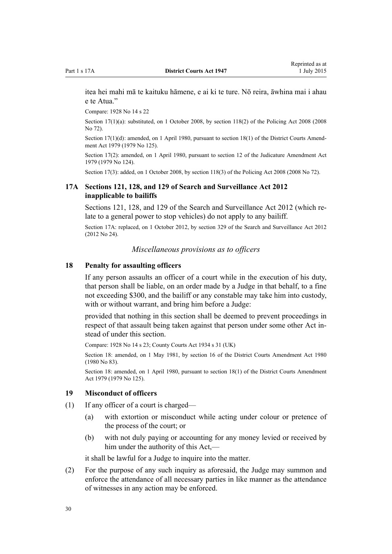<span id="page-29-0"></span>itea hei mahi mā te kaituku hāmene, e ai ki te ture. Nō reira, āwhina mai i ahau e te Atua."

Compare: 1928 No 14 s 22

Section 17(1)(a): substituted, on 1 October 2008, by [section 118\(2\)](http://prd-lgnz-nlb.prd.pco.net.nz/pdflink.aspx?id=DLM1351225) of the Policing Act 2008 (2008) No 72).

Section 17(1)(d): amended, on 1 April 1980, pursuant to [section 18\(1\)](http://prd-lgnz-nlb.prd.pco.net.nz/pdflink.aspx?id=DLM35085) of the District Courts Amendment Act 1979 (1979 No 125).

Section 17(2): amended, on 1 April 1980, pursuant to [section 12](http://prd-lgnz-nlb.prd.pco.net.nz/pdflink.aspx?id=DLM35049) of the Judicature Amendment Act 1979 (1979 No 124).

Section 17(3): added, on 1 October 2008, by [section 118\(3\)](http://prd-lgnz-nlb.prd.pco.net.nz/pdflink.aspx?id=DLM1351225) of the Policing Act 2008 (2008 No 72).

# **17A Sections 121, 128, and 129 of Search and Surveillance Act 2012 inapplicable to bailiffs**

[Sections 121,](http://prd-lgnz-nlb.prd.pco.net.nz/pdflink.aspx?id=DLM2136818) [128,](http://prd-lgnz-nlb.prd.pco.net.nz/pdflink.aspx?id=DLM4355802) and [129](http://prd-lgnz-nlb.prd.pco.net.nz/pdflink.aspx?id=DLM2136830) of the Search and Surveillance Act 2012 (which relate to a general power to stop vehicles) do not apply to any bailiff.

Section 17A: replaced, on 1 October 2012, by [section 329](http://prd-lgnz-nlb.prd.pco.net.nz/pdflink.aspx?id=DLM2137125) of the Search and Surveillance Act 2012 (2012 No 24).

*Miscellaneous provisions as to officers*

#### **18 Penalty for assaulting officers**

If any person assaults an officer of a court while in the execution of his duty, that person shall be liable, on an order made by a Judge in that behalf, to a fine not exceeding \$300, and the bailiff or any constable may take him into custody, with or without warrant, and bring him before a Judge:

provided that nothing in this section shall be deemed to prevent proceedings in respect of that assault being taken against that person under some other Act instead of under this section.

Compare: 1928 No 14 s 23; County Courts Act 1934 s 31 (UK)

Section 18: amended, on 1 May 1981, by section 16 of the District Courts Amendment Act 1980 (1980 No 83).

Section 18: amended, on 1 April 1980, pursuant to [section 18\(1\)](http://prd-lgnz-nlb.prd.pco.net.nz/pdflink.aspx?id=DLM35085) of the District Courts Amendment Act 1979 (1979 No 125).

#### **19 Misconduct of officers**

- (1) If any officer of a court is charged—
	- (a) with extortion or misconduct while acting under colour or pretence of the process of the court; or
	- (b) with not duly paying or accounting for any money levied or received by him under the authority of this Act,—

it shall be lawful for a Judge to inquire into the matter.

(2) For the purpose of any such inquiry as aforesaid, the Judge may summon and enforce the attendance of all necessary parties in like manner as the attendance of witnesses in any action may be enforced.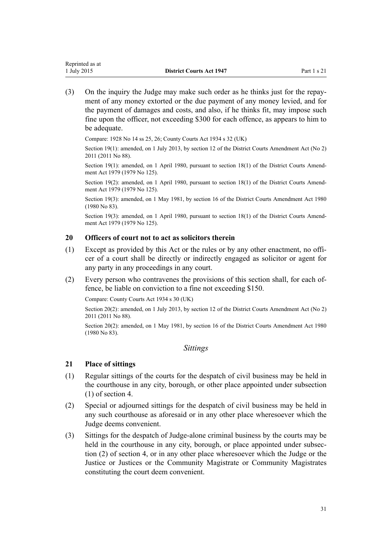<span id="page-30-0"></span>(3) On the inquiry the Judge may make such order as he thinks just for the repayment of any money extorted or the due payment of any money levied, and for the payment of damages and costs, and also, if he thinks fit, may impose such fine upon the officer, not exceeding \$300 for each offence, as appears to him to be adequate.

Compare: 1928 No 14 ss 25, 26; County Courts Act 1934 s 32 (UK)

Section 19(1): amended, on 1 July 2013, by [section 12](http://prd-lgnz-nlb.prd.pco.net.nz/pdflink.aspx?id=DLM4058121) of the District Courts Amendment Act (No 2) 2011 (2011 No 88).

Section 19(1): amended, on 1 April 1980, pursuant to [section 18\(1\)](http://prd-lgnz-nlb.prd.pco.net.nz/pdflink.aspx?id=DLM35085) of the District Courts Amendment Act 1979 (1979 No 125).

Section 19(2): amended, on 1 April 1980, pursuant to [section 18\(1\)](http://prd-lgnz-nlb.prd.pco.net.nz/pdflink.aspx?id=DLM35085) of the District Courts Amendment Act 1979 (1979 No 125).

Section 19(3): amended, on 1 May 1981, by section 16 of the District Courts Amendment Act 1980 (1980 No 83).

Section 19(3): amended, on 1 April 1980, pursuant to [section 18\(1\)](http://prd-lgnz-nlb.prd.pco.net.nz/pdflink.aspx?id=DLM35085) of the District Courts Amendment Act 1979 (1979 No 125).

### **20 Officers of court not to act as solicitors therein**

- (1) Except as provided by this Act or the rules or by any other enactment, no officer of a court shall be directly or indirectly engaged as solicitor or agent for any party in any proceedings in any court.
- (2) Every person who contravenes the provisions of this section shall, for each offence, be liable on conviction to a fine not exceeding \$150.

Compare: County Courts Act 1934 s 30 (UK)

Section 20(2): amended, on 1 July 2013, by [section 12](http://prd-lgnz-nlb.prd.pco.net.nz/pdflink.aspx?id=DLM4058121) of the District Courts Amendment Act (No 2) 2011 (2011 No 88).

Section 20(2): amended, on 1 May 1981, by section 16 of the District Courts Amendment Act 1980 (1980 No 83).

#### *Sittings*

#### **21 Place of sittings**

- (1) Regular sittings of the courts for the despatch of civil business may be held in the courthouse in any city, borough, or other place appointed under subsection (1) of [section 4](#page-10-0).
- (2) Special or adjourned sittings for the despatch of civil business may be held in any such courthouse as aforesaid or in any other place wheresoever which the Judge deems convenient.
- (3) Sittings for the despatch of Judge-alone criminal business by the courts may be held in the courthouse in any city, borough, or place appointed under subsection (2) of [section 4](#page-10-0), or in any other place wheresoever which the Judge or the Justice or Justices or the Community Magistrate or Community Magistrates constituting the court deem convenient.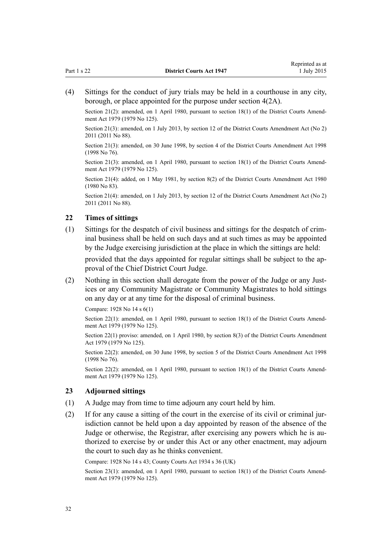<span id="page-31-0"></span>(4) Sittings for the conduct of jury trials may be held in a courthouse in any city, borough, or place appointed for the purpose under [section 4\(2A\).](#page-10-0)

Section 21(2): amended, on 1 April 1980, pursuant to [section 18\(1\)](http://prd-lgnz-nlb.prd.pco.net.nz/pdflink.aspx?id=DLM35085) of the District Courts Amendment Act 1979 (1979 No 125).

Section 21(3): amended, on 1 July 2013, by [section 12](http://prd-lgnz-nlb.prd.pco.net.nz/pdflink.aspx?id=DLM4058121) of the District Courts Amendment Act (No 2) 2011 (2011 No 88).

Section 21(3): amended, on 30 June 1998, by [section 4](http://prd-lgnz-nlb.prd.pco.net.nz/pdflink.aspx?id=DLM427917) of the District Courts Amendment Act 1998 (1998 No 76).

Section 21(3): amended, on 1 April 1980, pursuant to [section 18\(1\)](http://prd-lgnz-nlb.prd.pco.net.nz/pdflink.aspx?id=DLM35085) of the District Courts Amendment Act 1979 (1979 No 125).

Section 21(4): added, on 1 May 1981, by section 8(2) of the District Courts Amendment Act 1980 (1980 No 83).

Section 21(4): amended, on 1 July 2013, by [section 12](http://prd-lgnz-nlb.prd.pco.net.nz/pdflink.aspx?id=DLM4058121) of the District Courts Amendment Act (No 2) 2011 (2011 No 88).

#### **22 Times of sittings**

(1) Sittings for the despatch of civil business and sittings for the despatch of criminal business shall be held on such days and at such times as may be appointed by the Judge exercising jurisdiction at the place in which the sittings are held:

provided that the days appointed for regular sittings shall be subject to the approval of the Chief District Court Judge.

(2) Nothing in this section shall derogate from the power of the Judge or any Justices or any Community Magistrate or Community Magistrates to hold sittings on any day or at any time for the disposal of criminal business.

Compare: 1928 No 14 s 6(1)

Section 22(1): amended, on 1 April 1980, pursuant to [section 18\(1\)](http://prd-lgnz-nlb.prd.pco.net.nz/pdflink.aspx?id=DLM35085) of the District Courts Amendment Act 1979 (1979 No 125).

Section 22(1) proviso: amended, on 1 April 1980, by [section 8\(3\)](http://prd-lgnz-nlb.prd.pco.net.nz/pdflink.aspx?id=DLM35066) of the District Courts Amendment Act 1979 (1979 No 125).

Section 22(2): amended, on 30 June 1998, by [section 5](http://prd-lgnz-nlb.prd.pco.net.nz/pdflink.aspx?id=DLM427918) of the District Courts Amendment Act 1998 (1998 No 76).

Section 22(2): amended, on 1 April 1980, pursuant to [section 18\(1\)](http://prd-lgnz-nlb.prd.pco.net.nz/pdflink.aspx?id=DLM35085) of the District Courts Amendment Act 1979 (1979 No 125).

#### **23 Adjourned sittings**

- (1) A Judge may from time to time adjourn any court held by him.
- (2) If for any cause a sitting of the court in the exercise of its civil or criminal jurisdiction cannot be held upon a day appointed by reason of the absence of the Judge or otherwise, the Registrar, after exercising any powers which he is authorized to exercise by or under this Act or any other enactment, may adjourn the court to such day as he thinks convenient.

Compare: 1928 No 14 s 43; County Courts Act 1934 s 36 (UK)

Section 23(1): amended, on 1 April 1980, pursuant to [section 18\(1\)](http://prd-lgnz-nlb.prd.pco.net.nz/pdflink.aspx?id=DLM35085) of the District Courts Amendment Act 1979 (1979 No 125).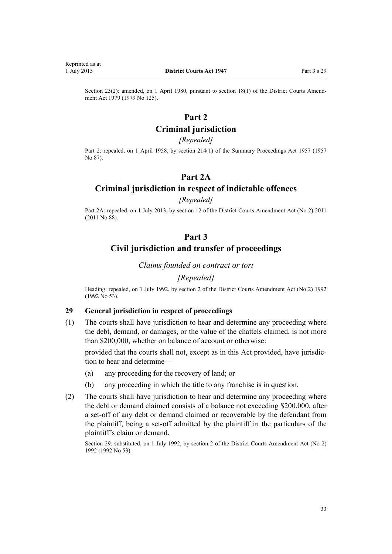<span id="page-32-0"></span>Reprinted as at

Section 23(2): amended, on 1 April 1980, pursuant to [section 18\(1\)](http://prd-lgnz-nlb.prd.pco.net.nz/pdflink.aspx?id=DLM35085) of the District Courts Amendment Act 1979 (1979 No 125).

# **Part 2**

# **Criminal jurisdiction**

#### *[Repealed]*

Part 2: repealed, on 1 April 1958, by [section 214\(1\)](http://prd-lgnz-nlb.prd.pco.net.nz/pdflink.aspx?id=DLM314306) of the Summary Proceedings Act 1957 (1957) No 87).

# **Part 2A**

# **Criminal jurisdiction in respect of indictable offences**

## *[Repealed]*

Part 2A: repealed, on 1 July 2013, by [section 12](http://prd-lgnz-nlb.prd.pco.net.nz/pdflink.aspx?id=DLM4058121) of the District Courts Amendment Act (No 2) 2011 (2011 No 88).

# **Part 3**

# **Civil jurisdiction and transfer of proceedings**

*Claims founded on contract or tort*

#### *[Repealed]*

Heading: repealed, on 1 July 1992, by section 2 of the District Courts Amendment Act (No 2) 1992 (1992 No 53).

#### **29 General jurisdiction in respect of proceedings**

(1) The courts shall have jurisdiction to hear and determine any proceeding where the debt, demand, or damages, or the value of the chattels claimed, is not more than \$200,000, whether on balance of account or otherwise:

provided that the courts shall not, except as in this Act provided, have jurisdiction to hear and determine—

- (a) any proceeding for the recovery of land; or
- (b) any proceeding in which the title to any franchise is in question.
- (2) The courts shall have jurisdiction to hear and determine any proceeding where the debt or demand claimed consists of a balance not exceeding \$200,000, after a set-off of any debt or demand claimed or recoverable by the defendant from the plaintiff, being a set-off admitted by the plaintiff in the particulars of the plaintiff's claim or demand.

Section 29: substituted, on 1 July 1992, by section 2 of the District Courts Amendment Act (No 2) 1992 (1992 No 53).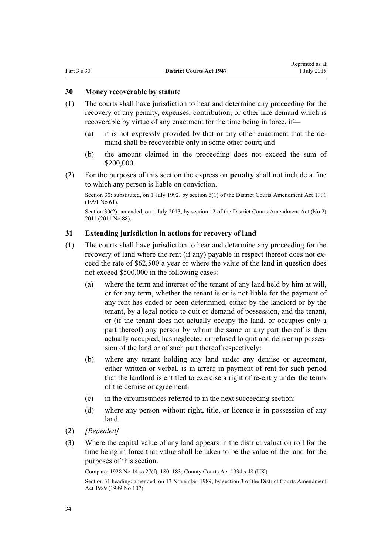## <span id="page-33-0"></span>**30 Money recoverable by statute**

- (1) The courts shall have jurisdiction to hear and determine any proceeding for the recovery of any penalty, expenses, contribution, or other like demand which is recoverable by virtue of any enactment for the time being in force, if—
	- (a) it is not expressly provided by that or any other enactment that the demand shall be recoverable only in some other court; and
	- (b) the amount claimed in the proceeding does not exceed the sum of \$200,000.
- (2) For the purposes of this section the expression **penalty** shall not include a fine to which any person is liable on conviction.

Section 30: substituted, on 1 July 1992, by [section 6\(1\)](http://prd-lgnz-nlb.prd.pco.net.nz/pdflink.aspx?id=DLM230243) of the District Courts Amendment Act 1991 (1991 No 61).

Section 30(2): amended, on 1 July 2013, by [section 12](http://prd-lgnz-nlb.prd.pco.net.nz/pdflink.aspx?id=DLM4058121) of the District Courts Amendment Act (No 2) 2011 (2011 No 88).

## **31 Extending jurisdiction in actions for recovery of land**

- (1) The courts shall have jurisdiction to hear and determine any proceeding for the recovery of land where the rent (if any) payable in respect thereof does not exceed the rate of \$62,500 a year or where the value of the land in question does not exceed \$500,000 in the following cases:
	- (a) where the term and interest of the tenant of any land held by him at will, or for any term, whether the tenant is or is not liable for the payment of any rent has ended or been determined, either by the landlord or by the tenant, by a legal notice to quit or demand of possession, and the tenant, or (if the tenant does not actually occupy the land, or occupies only a part thereof) any person by whom the same or any part thereof is then actually occupied, has neglected or refused to quit and deliver up possession of the land or of such part thereof respectively:
	- (b) where any tenant holding any land under any demise or agreement, either written or verbal, is in arrear in payment of rent for such period that the landlord is entitled to exercise a right of re-entry under the terms of the demise or agreement:
	- (c) in the circumstances referred to in the next succeeding section:
	- (d) where any person without right, title, or licence is in possession of any land.
- (2) *[Repealed]*
- (3) Where the capital value of any land appears in the district valuation roll for the time being in force that value shall be taken to be the value of the land for the purposes of this section.

Compare: 1928 No 14 ss 27(f), 180–183; County Courts Act 1934 s 48 (UK)

Section 31 heading: amended, on 13 November 1989, by section 3 of the District Courts Amendment Act 1989 (1989 No 107).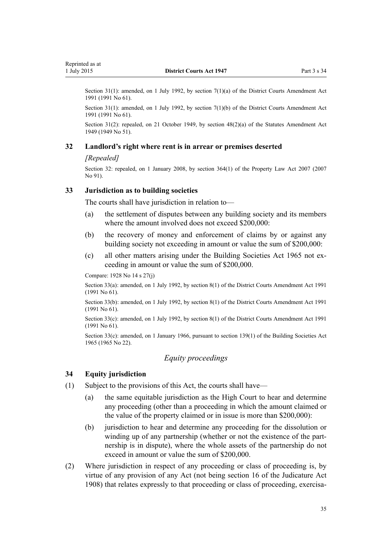<span id="page-34-0"></span>Section 31(1): amended, on 1 July 1992, by [section 7\(1\)\(a\)](http://prd-lgnz-nlb.prd.pco.net.nz/pdflink.aspx?id=DLM230244) of the District Courts Amendment Act 1991 (1991 No 61).

Section 31(1): amended, on 1 July 1992, by [section 7\(1\)\(b\)](http://prd-lgnz-nlb.prd.pco.net.nz/pdflink.aspx?id=DLM230244) of the District Courts Amendment Act 1991 (1991 No 61).

Section 31(2): repealed, on 21 October 1949, by [section 48\(2\)\(a\)](http://prd-lgnz-nlb.prd.pco.net.nz/pdflink.aspx?id=DLM260550) of the Statutes Amendment Act 1949 (1949 No 51).

#### **32 Landlord's right where rent is in arrear or premises deserted**

#### *[Repealed]*

Section 32: repealed, on 1 January 2008, by [section 364\(1\)](http://prd-lgnz-nlb.prd.pco.net.nz/pdflink.aspx?id=DLM969644) of the Property Law Act 2007 (2007 No 91).

#### **33 Jurisdiction as to building societies**

The courts shall have jurisdiction in relation to—

- (a) the settlement of disputes between any building society and its members where the amount involved does not exceed \$200,000:
- (b) the recovery of money and enforcement of claims by or against any building society not exceeding in amount or value the sum of \$200,000:
- (c) all other matters arising under the [Building Societies Act 1965](http://prd-lgnz-nlb.prd.pco.net.nz/pdflink.aspx?id=DLM367767) not exceeding in amount or value the sum of \$200,000.

Compare: 1928 No 14 s 27(j)

Section 33(a): amended, on 1 July 1992, by [section 8\(1\)](http://prd-lgnz-nlb.prd.pco.net.nz/pdflink.aspx?id=DLM230245) of the District Courts Amendment Act 1991 (1991 No 61).

Section 33(b): amended, on 1 July 1992, by [section 8\(1\)](http://prd-lgnz-nlb.prd.pco.net.nz/pdflink.aspx?id=DLM230245) of the District Courts Amendment Act 1991 (1991 No 61).

Section 33(c): amended, on 1 July 1992, by [section 8\(1\)](http://prd-lgnz-nlb.prd.pco.net.nz/pdflink.aspx?id=DLM230245) of the District Courts Amendment Act 1991 (1991 No 61).

Section 33(c): amended, on 1 January 1966, pursuant to [section 139\(1\)](http://prd-lgnz-nlb.prd.pco.net.nz/pdflink.aspx?id=DLM372510) of the Building Societies Act 1965 (1965 No 22).

## *Equity proceedings*

#### **34 Equity jurisdiction**

- (1) Subject to the provisions of this Act, the courts shall have—
	- (a) the same equitable jurisdiction as the High Court to hear and determine any proceeding (other than a proceeding in which the amount claimed or the value of the property claimed or in issue is more than \$200,000):
	- (b) jurisdiction to hear and determine any proceeding for the dissolution or winding up of any partnership (whether or not the existence of the partnership is in dispute), where the whole assets of the partnership do not exceed in amount or value the sum of \$200,000.
- (2) Where jurisdiction in respect of any proceeding or class of proceeding is, by virtue of any provision of any Act (not being [section 16](http://prd-lgnz-nlb.prd.pco.net.nz/pdflink.aspx?id=DLM145728) of the Judicature Act 1908) that relates expressly to that proceeding or class of proceeding, exercisa-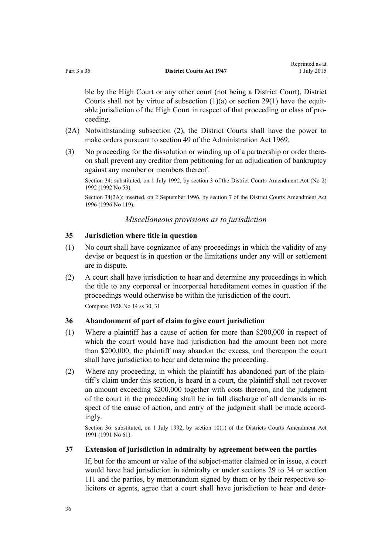<span id="page-35-0"></span>ble by the High Court or any other court (not being a District Court), District Courts shall not by virtue of subsection  $(1)(a)$  or section 29 $(1)$  have the equitable jurisdiction of the High Court in respect of that proceeding or class of proceeding.

- (2A) Notwithstanding subsection (2), the District Courts shall have the power to make orders pursuant to [section 49](http://prd-lgnz-nlb.prd.pco.net.nz/pdflink.aspx?id=DLM392884) of the Administration Act 1969.
- (3) No proceeding for the dissolution or winding up of a partnership or order thereon shall prevent any creditor from petitioning for an adjudication of bankruptcy against any member or members thereof.

Section 34: substituted, on 1 July 1992, by section 3 of the District Courts Amendment Act (No 2) 1992 (1992 No 53).

Section 34(2A): inserted, on 2 September 1996, by section 7 of the District Courts Amendment Act 1996 (1996 No 119).

*Miscellaneous provisions as to jurisdiction*

## **35 Jurisdiction where title in question**

- (1) No court shall have cognizance of any proceedings in which the validity of any devise or bequest is in question or the limitations under any will or settlement are in dispute.
- (2) A court shall have jurisdiction to hear and determine any proceedings in which the title to any corporeal or incorporeal hereditament comes in question if the proceedings would otherwise be within the jurisdiction of the court. Compare: 1928 No 14 ss 30, 31

#### **36 Abandonment of part of claim to give court jurisdiction**

- (1) Where a plaintiff has a cause of action for more than \$200,000 in respect of which the court would have had jurisdiction had the amount been not more than \$200,000, the plaintiff may abandon the excess, and thereupon the court shall have jurisdiction to hear and determine the proceeding.
- (2) Where any proceeding, in which the plaintiff has abandoned part of the plaintiff's claim under this section, is heard in a court, the plaintiff shall not recover an amount exceeding \$200,000 together with costs thereon, and the judgment of the court in the proceeding shall be in full discharge of all demands in respect of the cause of action, and entry of the judgment shall be made accordingly.

Section 36: substituted, on 1 July 1992, by [section 10\(1\)](http://prd-lgnz-nlb.prd.pco.net.nz/pdflink.aspx?id=DLM230248) of the Districts Courts Amendment Act 1991 (1991 No 61).

## **37 Extension of jurisdiction in admiralty by agreement between the parties**

If, but for the amount or value of the subject-matter claimed or in issue, a court would have had jurisdiction in admiralty or under [sections 29 to 34](#page-32-0) or [section](#page-98-0) [111](#page-98-0) and the parties, by memorandum signed by them or by their respective solicitors or agents, agree that a court shall have jurisdiction to hear and deter-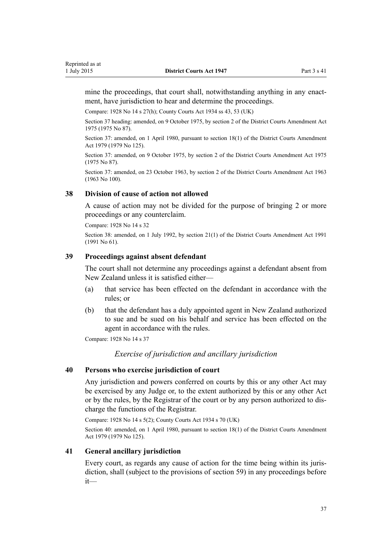mine the proceedings, that court shall, notwithstanding anything in any enactment, have jurisdiction to hear and determine the proceedings.

Compare: 1928 No 14 s 27(h); County Courts Act 1934 ss 43, 53 (UK)

Section 37 heading: amended, on 9 October 1975, by section 2 of the District Courts Amendment Act 1975 (1975 No 87).

Section 37: amended, on 1 April 1980, pursuant to [section 18\(1\)](http://prd-lgnz-nlb.prd.pco.net.nz/pdflink.aspx?id=DLM35085) of the District Courts Amendment Act 1979 (1979 No 125).

Section 37: amended, on 9 October 1975, by section 2 of the District Courts Amendment Act 1975 (1975 No 87).

Section 37: amended, on 23 October 1963, by section 2 of the District Courts Amendment Act 1963 (1963 No 100).

#### **38 Division of cause of action not allowed**

A cause of action may not be divided for the purpose of bringing 2 or more proceedings or any counterclaim.

Compare: 1928 No 14 s 32

Section 38: amended, on 1 July 1992, by [section 21\(1\)](http://prd-lgnz-nlb.prd.pco.net.nz/pdflink.aspx?id=DLM230259) of the District Courts Amendment Act 1991 (1991 No 61).

## **39 Proceedings against absent defendant**

The court shall not determine any proceedings against a defendant absent from New Zealand unless it is satisfied either—

- (a) that service has been effected on the defendant in accordance with the rules; or
- (b) that the defendant has a duly appointed agent in New Zealand authorized to sue and be sued on his behalf and service has been effected on the agent in accordance with the rules.

Compare: 1928 No 14 s 37

*Exercise of jurisdiction and ancillary jurisdiction*

#### **40 Persons who exercise jurisdiction of court**

Any jurisdiction and powers conferred on courts by this or any other Act may be exercised by any Judge or, to the extent authorized by this or any other Act or by the rules, by the Registrar of the court or by any person authorized to discharge the functions of the Registrar.

Compare: 1928 No 14 s 5(2); County Courts Act 1934 s 70 (UK)

Section 40: amended, on 1 April 1980, pursuant to [section 18\(1\)](http://prd-lgnz-nlb.prd.pco.net.nz/pdflink.aspx?id=DLM35085) of the District Courts Amendment Act 1979 (1979 No 125).

## **41 General ancillary jurisdiction**

Every court, as regards any cause of action for the time being within its jurisdiction, shall (subject to the provisions of [section 59](#page-47-0)) in any proceedings before it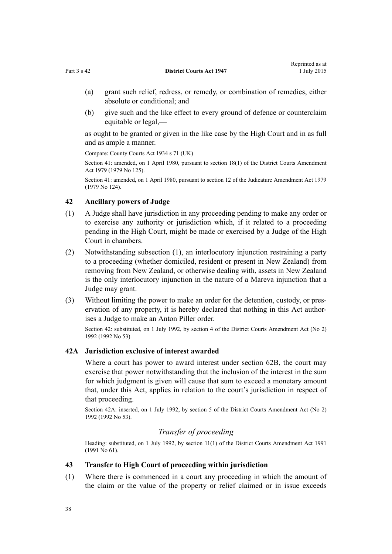(b) give such and the like effect to every ground of defence or counterclaim equitable or legal,—

as ought to be granted or given in the like case by the High Court and in as full and as ample a manner.

Compare: County Courts Act 1934 s 71 (UK)

Section 41: amended, on 1 April 1980, pursuant to [section 18\(1\)](http://prd-lgnz-nlb.prd.pco.net.nz/pdflink.aspx?id=DLM35085) of the District Courts Amendment Act 1979 (1979 No 125).

Section 41: amended, on 1 April 1980, pursuant to [section 12](http://prd-lgnz-nlb.prd.pco.net.nz/pdflink.aspx?id=DLM35049) of the Judicature Amendment Act 1979 (1979 No 124).

## **42 Ancillary powers of Judge**

- (1) A Judge shall have jurisdiction in any proceeding pending to make any order or to exercise any authority or jurisdiction which, if it related to a proceeding pending in the High Court, might be made or exercised by a Judge of the High Court in chambers.
- (2) Notwithstanding subsection (1), an interlocutory injunction restraining a party to a proceeding (whether domiciled, resident or present in New Zealand) from removing from New Zealand, or otherwise dealing with, assets in New Zealand is the only interlocutory injunction in the nature of a Mareva injunction that a Judge may grant.
- (3) Without limiting the power to make an order for the detention, custody, or preservation of any property, it is hereby declared that nothing in this Act authorises a Judge to make an Anton Piller order.

Section 42: substituted, on 1 July 1992, by section 4 of the District Courts Amendment Act (No 2) 1992 (1992 No 53).

## **42A Jurisdiction exclusive of interest awarded**

Where a court has power to award interest under [section 62B](#page-50-0), the court may exercise that power notwithstanding that the inclusion of the interest in the sum for which judgment is given will cause that sum to exceed a monetary amount that, under this Act, applies in relation to the court's jurisdiction in respect of that proceeding.

Section 42A: inserted, on 1 July 1992, by section 5 of the District Courts Amendment Act (No 2) 1992 (1992 No 53).

## *Transfer of proceeding*

Heading: substituted, on 1 July 1992, by [section 11\(1\)](http://prd-lgnz-nlb.prd.pco.net.nz/pdflink.aspx?id=DLM230249) of the District Courts Amendment Act 1991 (1991 No 61).

## **43 Transfer to High Court of proceeding within jurisdiction**

(1) Where there is commenced in a court any proceeding in which the amount of the claim or the value of the property or relief claimed or in issue exceeds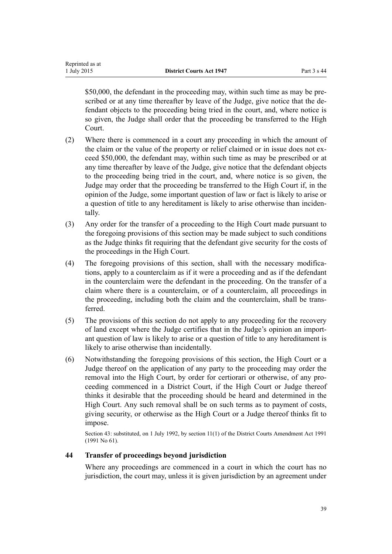\$50,000, the defendant in the proceeding may, within such time as may be prescribed or at any time thereafter by leave of the Judge, give notice that the defendant objects to the proceeding being tried in the court, and, where notice is so given, the Judge shall order that the proceeding be transferred to the High Court.

- (2) Where there is commenced in a court any proceeding in which the amount of the claim or the value of the property or relief claimed or in issue does not exceed \$50,000, the defendant may, within such time as may be prescribed or at any time thereafter by leave of the Judge, give notice that the defendant objects to the proceeding being tried in the court, and, where notice is so given, the Judge may order that the proceeding be transferred to the High Court if, in the opinion of the Judge, some important question of law or fact is likely to arise or a question of title to any hereditament is likely to arise otherwise than incidentally.
- (3) Any order for the transfer of a proceeding to the High Court made pursuant to the foregoing provisions of this section may be made subject to such conditions as the Judge thinks fit requiring that the defendant give security for the costs of the proceedings in the High Court.
- (4) The foregoing provisions of this section, shall with the necessary modifications, apply to a counterclaim as if it were a proceeding and as if the defendant in the counterclaim were the defendant in the proceeding. On the transfer of a claim where there is a counterclaim, or of a counterclaim, all proceedings in the proceeding, including both the claim and the counterclaim, shall be transferred.
- (5) The provisions of this section do not apply to any proceeding for the recovery of land except where the Judge certifies that in the Judge's opinion an important question of law is likely to arise or a question of title to any hereditament is likely to arise otherwise than incidentally.
- (6) Notwithstanding the foregoing provisions of this section, the High Court or a Judge thereof on the application of any party to the proceeding may order the removal into the High Court, by order for certiorari or otherwise, of any proceeding commenced in a District Court, if the High Court or Judge thereof thinks it desirable that the proceeding should be heard and determined in the High Court. Any such removal shall be on such terms as to payment of costs, giving security, or otherwise as the High Court or a Judge thereof thinks fit to impose.

Section 43: substituted, on 1 July 1992, by [section 11\(1\)](http://prd-lgnz-nlb.prd.pco.net.nz/pdflink.aspx?id=DLM230249) of the District Courts Amendment Act 1991 (1991 No 61).

## **44 Transfer of proceedings beyond jurisdiction**

Where any proceedings are commenced in a court in which the court has no jurisdiction, the court may, unless it is given jurisdiction by an agreement under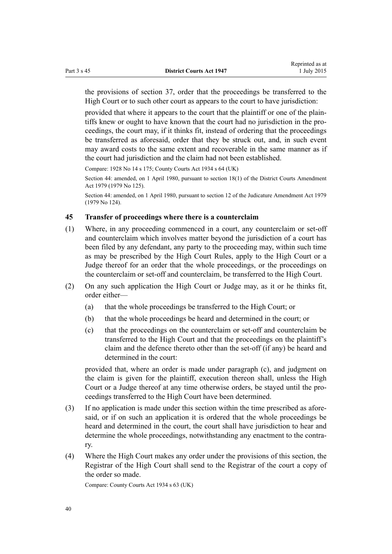the provisions of [section 37,](#page-35-0) order that the proceedings be transferred to the High Court or to such other court as appears to the court to have jurisdiction:

provided that where it appears to the court that the plaintiff or one of the plaintiffs knew or ought to have known that the court had no jurisdiction in the proceedings, the court may, if it thinks fit, instead of ordering that the proceedings be transferred as aforesaid, order that they be struck out, and, in such event may award costs to the same extent and recoverable in the same manner as if the court had jurisdiction and the claim had not been established.

Compare: 1928 No 14 s 175; County Courts Act 1934 s 64 (UK)

Section 44: amended, on 1 April 1980, pursuant to [section 18\(1\)](http://prd-lgnz-nlb.prd.pco.net.nz/pdflink.aspx?id=DLM35085) of the District Courts Amendment Act 1979 (1979 No 125).

Section 44: amended, on 1 April 1980, pursuant to [section 12](http://prd-lgnz-nlb.prd.pco.net.nz/pdflink.aspx?id=DLM35049) of the Judicature Amendment Act 1979 (1979 No 124).

## **45 Transfer of proceedings where there is a counterclaim**

- (1) Where, in any proceeding commenced in a court, any counterclaim or set-off and counterclaim which involves matter beyond the jurisdiction of a court has been filed by any defendant, any party to the proceeding may, within such time as may be prescribed by the [High Court Rules,](http://prd-lgnz-nlb.prd.pco.net.nz/pdflink.aspx?id=DLM147653) apply to the High Court or a Judge thereof for an order that the whole proceedings, or the proceedings on the counterclaim or set-off and counterclaim, be transferred to the High Court.
- (2) On any such application the High Court or Judge may, as it or he thinks fit, order either—
	- (a) that the whole proceedings be transferred to the High Court; or
	- (b) that the whole proceedings be heard and determined in the court; or
	- (c) that the proceedings on the counterclaim or set-off and counterclaim be transferred to the High Court and that the proceedings on the plaintiff's claim and the defence thereto other than the set-off (if any) be heard and determined in the court:

provided that, where an order is made under paragraph (c), and judgment on the claim is given for the plaintiff, execution thereon shall, unless the High Court or a Judge thereof at any time otherwise orders, be stayed until the proceedings transferred to the High Court have been determined.

- (3) If no application is made under this section within the time prescribed as aforesaid, or if on such an application it is ordered that the whole proceedings be heard and determined in the court, the court shall have jurisdiction to hear and determine the whole proceedings, notwithstanding any enactment to the contrary.
- (4) Where the High Court makes any order under the provisions of this section, the Registrar of the High Court shall send to the Registrar of the court a copy of the order so made.

Compare: County Courts Act 1934 s 63 (UK)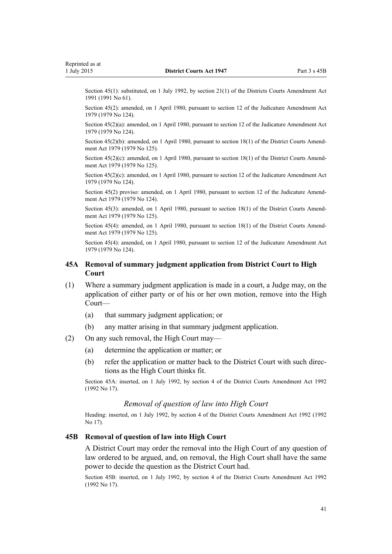<span id="page-40-0"></span>Section 45(1): substituted, on 1 July 1992, by [section 21\(1\)](http://prd-lgnz-nlb.prd.pco.net.nz/pdflink.aspx?id=DLM230259) of the Districts Courts Amendment Act 1991 (1991 No 61).

Section 45(2): amended, on 1 April 1980, pursuant to [section 12](http://prd-lgnz-nlb.prd.pco.net.nz/pdflink.aspx?id=DLM35049) of the Judicature Amendment Act 1979 (1979 No 124).

Section 45(2)(a): amended, on 1 April 1980, pursuant to [section 12](http://prd-lgnz-nlb.prd.pco.net.nz/pdflink.aspx?id=DLM35049) of the Judicature Amendment Act 1979 (1979 No 124).

Section 45(2)(b): amended, on 1 April 1980, pursuant to [section 18\(1\)](http://prd-lgnz-nlb.prd.pco.net.nz/pdflink.aspx?id=DLM35085) of the District Courts Amendment Act 1979 (1979 No 125).

Section  $45(2)(c)$ : amended, on 1 April 1980, pursuant to [section 18\(1\)](http://prd-lgnz-nlb.prd.pco.net.nz/pdflink.aspx?id=DLM35085) of the District Courts Amendment Act 1979 (1979 No 125).

Section 45(2)(c): amended, on 1 April 1980, pursuant to [section 12](http://prd-lgnz-nlb.prd.pco.net.nz/pdflink.aspx?id=DLM35049) of the Judicature Amendment Act 1979 (1979 No 124).

Section 45(2) proviso: amended, on 1 April 1980, pursuant to [section 12](http://prd-lgnz-nlb.prd.pco.net.nz/pdflink.aspx?id=DLM35049) of the Judicature Amendment Act 1979 (1979 No 124).

Section 45(3): amended, on 1 April 1980, pursuant to [section 18\(1\)](http://prd-lgnz-nlb.prd.pco.net.nz/pdflink.aspx?id=DLM35085) of the District Courts Amendment Act 1979 (1979 No 125).

Section 45(4): amended, on 1 April 1980, pursuant to [section 18\(1\)](http://prd-lgnz-nlb.prd.pco.net.nz/pdflink.aspx?id=DLM35085) of the District Courts Amendment Act 1979 (1979 No 125).

Section 45(4): amended, on 1 April 1980, pursuant to [section 12](http://prd-lgnz-nlb.prd.pco.net.nz/pdflink.aspx?id=DLM35049) of the Judicature Amendment Act 1979 (1979 No 124).

## **45A Removal of summary judgment application from District Court to High Court**

- (1) Where a summary judgment application is made in a court, a Judge may, on the application of either party or of his or her own motion, remove into the High Court—
	- (a) that summary judgment application; or
	- (b) any matter arising in that summary judgment application.
- (2) On any such removal, the High Court may—
	- (a) determine the application or matter; or
	- (b) refer the application or matter back to the District Court with such directions as the High Court thinks fit.

Section 45A: inserted, on 1 July 1992, by [section 4](http://prd-lgnz-nlb.prd.pco.net.nz/pdflink.aspx?id=DLM259682) of the District Courts Amendment Act 1992 (1992 No 17).

## *Removal of question of law into High Court*

Heading: inserted, on 1 July 1992, by [section 4](http://prd-lgnz-nlb.prd.pco.net.nz/pdflink.aspx?id=DLM259682) of the District Courts Amendment Act 1992 (1992 No 17).

#### **45B Removal of question of law into High Court**

A District Court may order the removal into the High Court of any question of law ordered to be argued, and, on removal, the High Court shall have the same power to decide the question as the District Court had.

Section 45B: inserted, on 1 July 1992, by [section 4](http://prd-lgnz-nlb.prd.pco.net.nz/pdflink.aspx?id=DLM259682) of the District Courts Amendment Act 1992 (1992 No 17).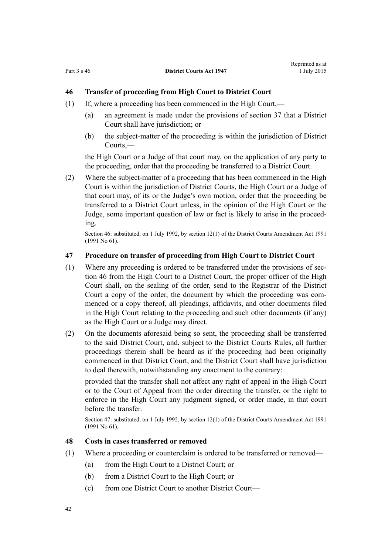# **46 Transfer of proceeding from High Court to District Court**

- (1) If, where a proceeding has been commenced in the High Court,—
	- (a) an agreement is made under the provisions of [section 37](#page-35-0) that a District Court shall have jurisdiction; or
	- (b) the subject-matter of the proceeding is within the jurisdiction of District Courts,—

the High Court or a Judge of that court may, on the application of any party to the proceeding, order that the proceeding be transferred to a District Court.

(2) Where the subject-matter of a proceeding that has been commenced in the High Court is within the jurisdiction of District Courts, the High Court or a Judge of that court may, of its or the Judge's own motion, order that the proceeding be transferred to a District Court unless, in the opinion of the High Court or the Judge, some important question of law or fact is likely to arise in the proceeding.

Section 46: substituted, on 1 July 1992, by [section 12\(1\)](http://prd-lgnz-nlb.prd.pco.net.nz/pdflink.aspx?id=DLM230250) of the District Courts Amendment Act 1991 (1991 No 61).

## **47 Procedure on transfer of proceeding from High Court to District Court**

- (1) Where any proceeding is ordered to be transferred under the provisions of section 46 from the High Court to a District Court, the proper officer of the High Court shall, on the sealing of the order, send to the Registrar of the District Court a copy of the order, the document by which the proceeding was commenced or a copy thereof, all pleadings, affidavits, and other documents filed in the High Court relating to the proceeding and such other documents (if any) as the High Court or a Judge may direct.
- (2) On the documents aforesaid being so sent, the proceeding shall be transferred to the said District Court, and, subject to the District Courts Rules, all further proceedings therein shall be heard as if the proceeding had been originally commenced in that District Court, and the District Court shall have jurisdiction to deal therewith, notwithstanding any enactment to the contrary:

provided that the transfer shall not affect any right of appeal in the High Court or to the Court of Appeal from the order directing the transfer, or the right to enforce in the High Court any judgment signed, or order made, in that court before the transfer.

Section 47: substituted, on 1 July 1992, by [section 12\(1\)](http://prd-lgnz-nlb.prd.pco.net.nz/pdflink.aspx?id=DLM230250) of the District Courts Amendment Act 1991 (1991 No 61).

#### **48 Costs in cases transferred or removed**

- (1) Where a proceeding or counterclaim is ordered to be transferred or removed—
	- (a) from the High Court to a District Court; or
	- (b) from a District Court to the High Court; or
	- (c) from one District Court to another District Court—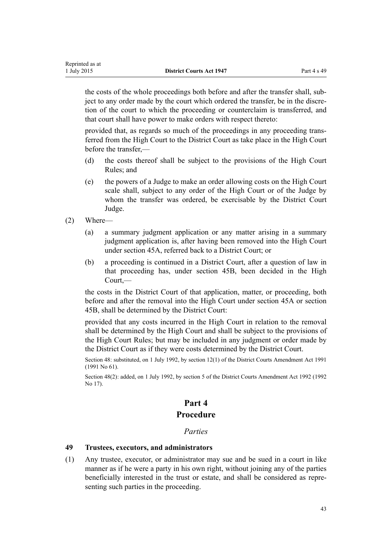the costs of the whole proceedings both before and after the transfer shall, subject to any order made by the court which ordered the transfer, be in the discretion of the court to which the proceeding or counterclaim is transferred, and that court shall have power to make orders with respect thereto:

provided that, as regards so much of the proceedings in any proceeding transferred from the High Court to the District Court as take place in the High Court before the transfer,—

- (d) the costs thereof shall be subject to the provisions of the [High Court](http://prd-lgnz-nlb.prd.pco.net.nz/pdflink.aspx?id=DLM147653) [Rules](http://prd-lgnz-nlb.prd.pco.net.nz/pdflink.aspx?id=DLM147653); and
- (e) the powers of a Judge to make an order allowing costs on the High Court scale shall, subject to any order of the High Court or of the Judge by whom the transfer was ordered, be exercisable by the District Court Judge.
- (2) Where—
	- (a) a summary judgment application or any matter arising in a summary judgment application is, after having been removed into the High Court under [section 45A,](#page-40-0) referred back to a District Court; or
	- (b) a proceeding is continued in a District Court, after a question of law in that proceeding has, under [section 45B,](#page-40-0) been decided in the High Court,—

the costs in the District Court of that application, matter, or proceeding, both before and after the removal into the High Court under [section 45A](#page-40-0) or [section](#page-40-0) [45B](#page-40-0), shall be determined by the District Court:

provided that any costs incurred in the High Court in relation to the removal shall be determined by the High Court and shall be subject to the provisions of the [High Court Rules](http://prd-lgnz-nlb.prd.pco.net.nz/pdflink.aspx?id=DLM147653); but may be included in any judgment or order made by the District Court as if they were costs determined by the District Court.

Section 48: substituted, on 1 July 1992, by [section 12\(1\)](http://prd-lgnz-nlb.prd.pco.net.nz/pdflink.aspx?id=DLM230250) of the District Courts Amendment Act 1991 (1991 No 61).

Section 48(2): added, on 1 July 1992, by [section 5](http://prd-lgnz-nlb.prd.pco.net.nz/pdflink.aspx?id=DLM259683) of the District Courts Amendment Act 1992 (1992 No 17).

## **Part 4**

## **Procedure**

#### *Parties*

#### **49 Trustees, executors, and administrators**

(1) Any trustee, executor, or administrator may sue and be sued in a court in like manner as if he were a party in his own right, without joining any of the parties beneficially interested in the trust or estate, and shall be considered as representing such parties in the proceeding.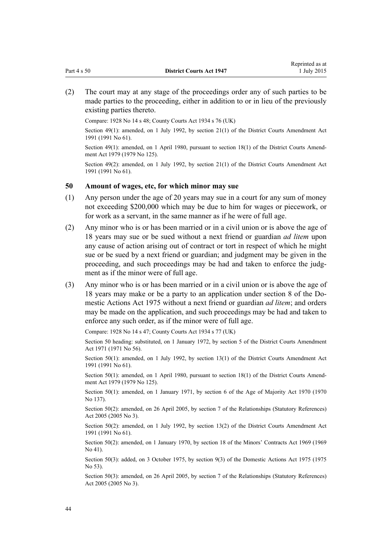(2) The court may at any stage of the proceedings order any of such parties to be made parties to the proceeding, either in addition to or in lieu of the previously existing parties thereto.

Compare: 1928 No 14 s 48; County Courts Act 1934 s 76 (UK)

Section 49(1): amended, on 1 July 1992, by [section 21\(1\)](http://prd-lgnz-nlb.prd.pco.net.nz/pdflink.aspx?id=DLM230259) of the District Courts Amendment Act 1991 (1991 No 61).

Section 49(1): amended, on 1 April 1980, pursuant to [section 18\(1\)](http://prd-lgnz-nlb.prd.pco.net.nz/pdflink.aspx?id=DLM35085) of the District Courts Amendment Act 1979 (1979 No 125).

Section 49(2): amended, on 1 July 1992, by [section 21\(1\)](http://prd-lgnz-nlb.prd.pco.net.nz/pdflink.aspx?id=DLM230259) of the District Courts Amendment Act 1991 (1991 No 61).

#### **50 Amount of wages, etc, for which minor may sue**

- (1) Any person under the age of 20 years may sue in a court for any sum of money not exceeding \$200,000 which may be due to him for wages or piecework, or for work as a servant, in the same manner as if he were of full age.
- (2) Any minor who is or has been married or in a civil union or is above the age of 18 years may sue or be sued without a next friend or guardian *ad litem* upon any cause of action arising out of contract or tort in respect of which he might sue or be sued by a next friend or guardian; and judgment may be given in the proceeding, and such proceedings may be had and taken to enforce the judgment as if the minor were of full age.
- (3) Any minor who is or has been married or in a civil union or is above the age of 18 years may make or be a party to an application under [section 8](http://prd-lgnz-nlb.prd.pco.net.nz/pdflink.aspx?id=DLM434495) of the Domestic Actions Act 1975 without a next friend or guardian *ad litem*; and orders may be made on the application, and such proceedings may be had and taken to enforce any such order, as if the minor were of full age.

Compare: 1928 No 14 s 47; County Courts Act 1934 s 77 (UK)

Section 50 heading: substituted, on 1 January 1972, by section 5 of the District Courts Amendment Act 1971 (1971 No 56).

Section 50(1): amended, on 1 July 1992, by [section 13\(1\)](http://prd-lgnz-nlb.prd.pco.net.nz/pdflink.aspx?id=DLM230251) of the District Courts Amendment Act 1991 (1991 No 61).

Section 50(1): amended, on 1 April 1980, pursuant to [section 18\(1\)](http://prd-lgnz-nlb.prd.pco.net.nz/pdflink.aspx?id=DLM35085) of the District Courts Amendment Act 1979 (1979 No 125).

Section 50(1): amended, on 1 January 1971, by [section 6](http://prd-lgnz-nlb.prd.pco.net.nz/pdflink.aspx?id=DLM396805) of the Age of Majority Act 1970 (1970 No 137).

Section 50(2): amended, on 26 April 2005, by [section 7](http://prd-lgnz-nlb.prd.pco.net.nz/pdflink.aspx?id=DLM333795) of the Relationships (Statutory References) Act 2005 (2005 No 3).

Section 50(2): amended, on 1 July 1992, by [section 13\(2\)](http://prd-lgnz-nlb.prd.pco.net.nz/pdflink.aspx?id=DLM230251) of the District Courts Amendment Act 1991 (1991 No 61).

Section 50(2): amended, on 1 January 1970, by [section 18](http://prd-lgnz-nlb.prd.pco.net.nz/pdflink.aspx?id=DLM392622) of the Minors' Contracts Act 1969 (1969 No 41).

Section 50(3): added, on 3 October 1975, by [section 9\(3\)](http://prd-lgnz-nlb.prd.pco.net.nz/pdflink.aspx?id=DLM434497) of the Domestic Actions Act 1975 (1975) No 53).

Section 50(3): amended, on 26 April 2005, by [section 7](http://prd-lgnz-nlb.prd.pco.net.nz/pdflink.aspx?id=DLM333795) of the Relationships (Statutory References) Act 2005 (2005 No 3).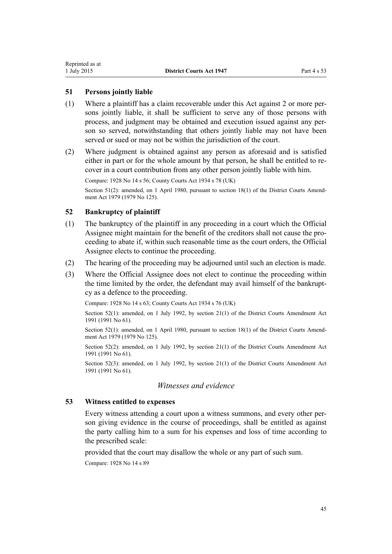### **51 Persons jointly liable**

- (1) Where a plaintiff has a claim recoverable under this Act against 2 or more persons jointly liable, it shall be sufficient to serve any of those persons with process, and judgment may be obtained and execution issued against any person so served, notwithstanding that others jointly liable may not have been served or sued or may not be within the jurisdiction of the court.
- (2) Where judgment is obtained against any person as aforesaid and is satisfied either in part or for the whole amount by that person, he shall be entitled to recover in a court contribution from any other person jointly liable with him.

Compare: 1928 No 14 s 56; County Courts Act 1934 s 78 (UK)

Section 51(2): amended, on 1 April 1980, pursuant to [section 18\(1\)](http://prd-lgnz-nlb.prd.pco.net.nz/pdflink.aspx?id=DLM35085) of the District Courts Amendment Act 1979 (1979 No 125).

#### **52 Bankruptcy of plaintiff**

- (1) The bankruptcy of the plaintiff in any proceeding in a court which the Official Assignee might maintain for the benefit of the creditors shall not cause the proceeding to abate if, within such reasonable time as the court orders, the Official Assignee elects to continue the proceeding.
- (2) The hearing of the proceeding may be adjourned until such an election is made.
- (3) Where the Official Assignee does not elect to continue the proceeding within the time limited by the order, the defendant may avail himself of the bankruptcy as a defence to the proceeding.

Compare: 1928 No 14 s 63; County Courts Act 1934 s 76 (UK)

Section 52(1): amended, on 1 July 1992, by [section 21\(1\)](http://prd-lgnz-nlb.prd.pco.net.nz/pdflink.aspx?id=DLM230259) of the District Courts Amendment Act 1991 (1991 No 61).

Section 52(1): amended, on 1 April 1980, pursuant to [section 18\(1\)](http://prd-lgnz-nlb.prd.pco.net.nz/pdflink.aspx?id=DLM35085) of the District Courts Amendment Act 1979 (1979 No 125).

Section 52(2): amended, on 1 July 1992, by [section 21\(1\)](http://prd-lgnz-nlb.prd.pco.net.nz/pdflink.aspx?id=DLM230259) of the District Courts Amendment Act 1991 (1991 No 61).

Section 52(3): amended, on 1 July 1992, by [section 21\(1\)](http://prd-lgnz-nlb.prd.pco.net.nz/pdflink.aspx?id=DLM230259) of the District Courts Amendment Act 1991 (1991 No 61).

## *Witnesses and evidence*

## **53 Witness entitled to expenses**

Every witness attending a court upon a witness summons, and every other person giving evidence in the course of proceedings, shall be entitled as against the party calling him to a sum for his expenses and loss of time according to the prescribed scale:

provided that the court may disallow the whole or any part of such sum.

Compare: 1928 No 14 s 89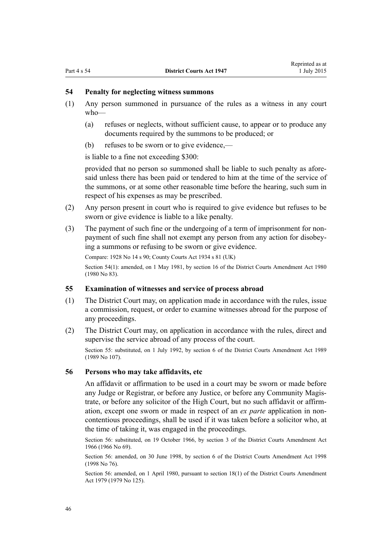## **54 Penalty for neglecting witness summons**

- (1) Any person summoned in pursuance of the rules as a witness in any court who—
	- (a) refuses or neglects, without sufficient cause, to appear or to produce any documents required by the summons to be produced; or
	- (b) refuses to be sworn or to give evidence,—

is liable to a fine not exceeding \$300:

provided that no person so summoned shall be liable to such penalty as aforesaid unless there has been paid or tendered to him at the time of the service of the summons, or at some other reasonable time before the hearing, such sum in respect of his expenses as may be prescribed.

- (2) Any person present in court who is required to give evidence but refuses to be sworn or give evidence is liable to a like penalty.
- (3) The payment of such fine or the undergoing of a term of imprisonment for nonpayment of such fine shall not exempt any person from any action for disobeying a summons or refusing to be sworn or give evidence.

Compare: 1928 No 14 s 90; County Courts Act 1934 s 81 (UK) Section 54(1): amended, on 1 May 1981, by section 16 of the District Courts Amendment Act 1980 (1980 No 83).

#### **55 Examination of witnesses and service of process abroad**

- (1) The District Court may, on application made in accordance with the rules, issue a commission, request, or order to examine witnesses abroad for the purpose of any proceedings.
- (2) The District Court may, on application in accordance with the rules, direct and supervise the service abroad of any process of the court.

Section 55: substituted, on 1 July 1992, by section 6 of the District Courts Amendment Act 1989 (1989 No 107).

#### **56 Persons who may take affidavits, etc**

An affidavit or affirmation to be used in a court may be sworn or made before any Judge or Registrar, or before any Justice, or before any Community Magistrate, or before any solicitor of the High Court, but no such affidavit or affirmation, except one sworn or made in respect of an *ex parte* application in noncontentious proceedings, shall be used if it was taken before a solicitor who, at the time of taking it, was engaged in the proceedings.

Section 56: substituted, on 19 October 1966, by section 3 of the District Courts Amendment Act 1966 (1966 No 69).

Section 56: amended, on 30 June 1998, by [section 6](http://prd-lgnz-nlb.prd.pco.net.nz/pdflink.aspx?id=DLM427919) of the District Courts Amendment Act 1998 (1998 No 76).

Section 56: amended, on 1 April 1980, pursuant to [section 18\(1\)](http://prd-lgnz-nlb.prd.pco.net.nz/pdflink.aspx?id=DLM35085) of the District Courts Amendment Act 1979 (1979 No 125).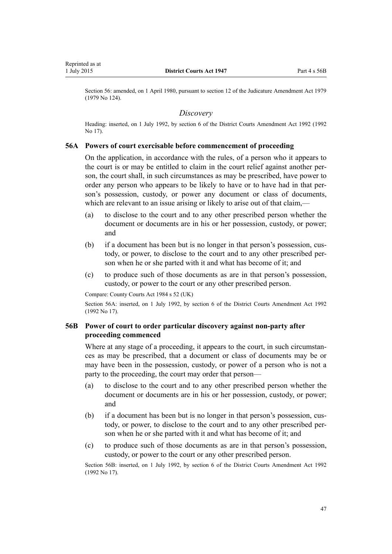<span id="page-46-0"></span>Section 56: amended, on 1 April 1980, pursuant to [section 12](http://prd-lgnz-nlb.prd.pco.net.nz/pdflink.aspx?id=DLM35049) of the Judicature Amendment Act 1979 (1979 No 124).

#### *Discovery*

Heading: inserted, on 1 July 1992, by [section 6](http://prd-lgnz-nlb.prd.pco.net.nz/pdflink.aspx?id=DLM259684) of the District Courts Amendment Act 1992 (1992 No 17).

#### **56A Powers of court exercisable before commencement of proceeding**

On the application, in accordance with the rules, of a person who it appears to the court is or may be entitled to claim in the court relief against another person, the court shall, in such circumstances as may be prescribed, have power to order any person who appears to be likely to have or to have had in that person's possession, custody, or power any document or class of documents, which are relevant to an issue arising or likely to arise out of that claim,—

- (a) to disclose to the court and to any other prescribed person whether the document or documents are in his or her possession, custody, or power; and
- (b) if a document has been but is no longer in that person's possession, custody, or power, to disclose to the court and to any other prescribed person when he or she parted with it and what has become of it; and
- (c) to produce such of those documents as are in that person's possession, custody, or power to the court or any other prescribed person.

Compare: County Courts Act 1984 s 52 (UK)

Section 56A: inserted, on 1 July 1992, by [section 6](http://prd-lgnz-nlb.prd.pco.net.nz/pdflink.aspx?id=DLM259684) of the District Courts Amendment Act 1992 (1992 No 17).

## **56B Power of court to order particular discovery against non-party after proceeding commenced**

Where at any stage of a proceeding, it appears to the court, in such circumstances as may be prescribed, that a document or class of documents may be or may have been in the possession, custody, or power of a person who is not a party to the proceeding, the court may order that person—

- (a) to disclose to the court and to any other prescribed person whether the document or documents are in his or her possession, custody, or power; and
- (b) if a document has been but is no longer in that person's possession, custody, or power, to disclose to the court and to any other prescribed person when he or she parted with it and what has become of it; and
- (c) to produce such of those documents as are in that person's possession, custody, or power to the court or any other prescribed person.

Section 56B: inserted, on 1 July 1992, by [section 6](http://prd-lgnz-nlb.prd.pco.net.nz/pdflink.aspx?id=DLM259684) of the District Courts Amendment Act 1992 (1992 No 17).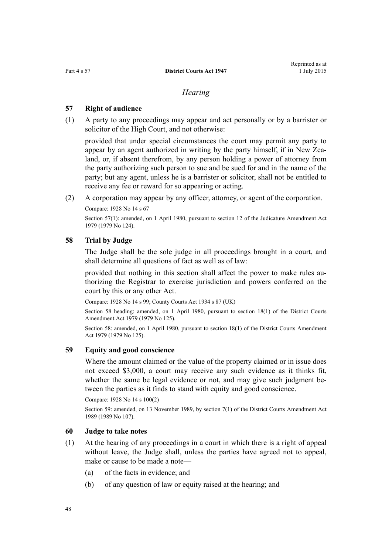#### *Hearing*

#### <span id="page-47-0"></span>**57 Right of audience**

(1) A party to any proceedings may appear and act personally or by a barrister or solicitor of the High Court, and not otherwise:

provided that under special circumstances the court may permit any party to appear by an agent authorized in writing by the party himself, if in New Zealand, or, if absent therefrom, by any person holding a power of attorney from the party authorizing such person to sue and be sued for and in the name of the party; but any agent, unless he is a barrister or solicitor, shall not be entitled to receive any fee or reward for so appearing or acting.

(2) A corporation may appear by any officer, attorney, or agent of the corporation.

Compare: 1928 No 14 s 67

Section 57(1): amended, on 1 April 1980, pursuant to [section 12](http://prd-lgnz-nlb.prd.pco.net.nz/pdflink.aspx?id=DLM35049) of the Judicature Amendment Act 1979 (1979 No 124).

#### **58 Trial by Judge**

The Judge shall be the sole judge in all proceedings brought in a court, and shall determine all questions of fact as well as of law:

provided that nothing in this section shall affect the power to make rules authorizing the Registrar to exercise jurisdiction and powers conferred on the court by this or any other Act.

Compare: 1928 No 14 s 99; County Courts Act 1934 s 87 (UK)

Section 58 heading: amended, on 1 April 1980, pursuant to [section 18\(1\)](http://prd-lgnz-nlb.prd.pco.net.nz/pdflink.aspx?id=DLM35085) of the District Courts Amendment Act 1979 (1979 No 125).

Section 58: amended, on 1 April 1980, pursuant to [section 18\(1\)](http://prd-lgnz-nlb.prd.pco.net.nz/pdflink.aspx?id=DLM35085) of the District Courts Amendment Act 1979 (1979 No 125).

## **59 Equity and good conscience**

Where the amount claimed or the value of the property claimed or in issue does not exceed \$3,000, a court may receive any such evidence as it thinks fit, whether the same be legal evidence or not, and may give such judgment between the parties as it finds to stand with equity and good conscience.

Compare: 1928 No 14 s 100(2)

Section 59: amended, on 13 November 1989, by section 7(1) of the District Courts Amendment Act 1989 (1989 No 107).

## **60 Judge to take notes**

- (1) At the hearing of any proceedings in a court in which there is a right of appeal without leave, the Judge shall, unless the parties have agreed not to appeal, make or cause to be made a note—
	- (a) of the facts in evidence; and
	- (b) of any question of law or equity raised at the hearing; and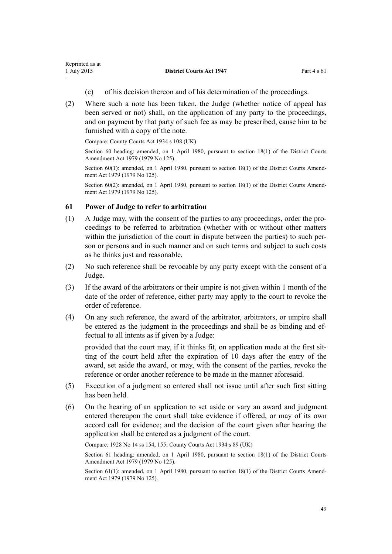- (c) of his decision thereon and of his determination of the proceedings.
- (2) Where such a note has been taken, the Judge (whether notice of appeal has been served or not) shall, on the application of any party to the proceedings, and on payment by that party of such fee as may be prescribed, cause him to be furnished with a copy of the note.

Compare: County Courts Act 1934 s 108 (UK)

Section 60 heading: amended, on 1 April 1980, pursuant to [section 18\(1\)](http://prd-lgnz-nlb.prd.pco.net.nz/pdflink.aspx?id=DLM35085) of the District Courts Amendment Act 1979 (1979 No 125).

Section 60(1): amended, on 1 April 1980, pursuant to [section 18\(1\)](http://prd-lgnz-nlb.prd.pco.net.nz/pdflink.aspx?id=DLM35085) of the District Courts Amendment Act 1979 (1979 No 125).

Section 60(2): amended, on 1 April 1980, pursuant to [section 18\(1\)](http://prd-lgnz-nlb.prd.pco.net.nz/pdflink.aspx?id=DLM35085) of the District Courts Amendment Act 1979 (1979 No 125).

#### **61 Power of Judge to refer to arbitration**

- (1) A Judge may, with the consent of the parties to any proceedings, order the proceedings to be referred to arbitration (whether with or without other matters within the jurisdiction of the court in dispute between the parties) to such person or persons and in such manner and on such terms and subject to such costs as he thinks just and reasonable.
- (2) No such reference shall be revocable by any party except with the consent of a Judge.
- (3) If the award of the arbitrators or their umpire is not given within 1 month of the date of the order of reference, either party may apply to the court to revoke the order of reference.
- (4) On any such reference, the award of the arbitrator, arbitrators, or umpire shall be entered as the judgment in the proceedings and shall be as binding and effectual to all intents as if given by a Judge:

provided that the court may, if it thinks fit, on application made at the first sitting of the court held after the expiration of 10 days after the entry of the award, set aside the award, or may, with the consent of the parties, revoke the reference or order another reference to be made in the manner aforesaid.

- (5) Execution of a judgment so entered shall not issue until after such first sitting has been held.
- (6) On the hearing of an application to set aside or vary an award and judgment entered thereupon the court shall take evidence if offered, or may of its own accord call for evidence; and the decision of the court given after hearing the application shall be entered as a judgment of the court.

Compare: 1928 No 14 ss 154, 155; County Courts Act 1934 s 89 (UK)

Section 61 heading: amended, on 1 April 1980, pursuant to [section 18\(1\)](http://prd-lgnz-nlb.prd.pco.net.nz/pdflink.aspx?id=DLM35085) of the District Courts Amendment Act 1979 (1979 No 125).

Section 61(1): amended, on 1 April 1980, pursuant to [section 18\(1\)](http://prd-lgnz-nlb.prd.pco.net.nz/pdflink.aspx?id=DLM35085) of the District Courts Amendment Act 1979 (1979 No 125).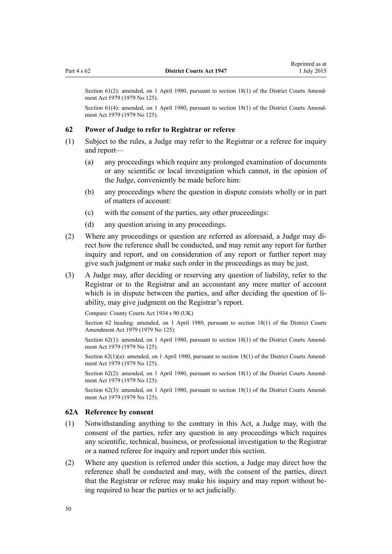Section 61(2): amended, on 1 April 1980, pursuant to [section 18\(1\)](http://prd-lgnz-nlb.prd.pco.net.nz/pdflink.aspx?id=DLM35085) of the District Courts Amendment Act 1979 (1979 No 125).

Section 61(4): amended, on 1 April 1980, pursuant to [section 18\(1\)](http://prd-lgnz-nlb.prd.pco.net.nz/pdflink.aspx?id=DLM35085) of the District Courts Amendment Act 1979 (1979 No 125).

#### **62 Power of Judge to refer to Registrar or referee**

- (1) Subject to the rules, a Judge may refer to the Registrar or a referee for inquiry and report—
	- (a) any proceedings which require any prolonged examination of documents or any scientific or local investigation which cannot, in the opinion of the Judge, conveniently be made before him:
	- (b) any proceedings where the question in dispute consists wholly or in part of matters of account:
	- (c) with the consent of the parties, any other proceedings:
	- (d) any question arising in any proceedings.
- (2) Where any proceedings or question are referred as aforesaid, a Judge may direct how the reference shall be conducted, and may remit any report for further inquiry and report, and on consideration of any report or further report may give such judgment or make such order in the proceedings as may be just.
- (3) A Judge may, after deciding or reserving any question of liability, refer to the Registrar or to the Registrar and an accountant any mere matter of account which is in dispute between the parties, and after deciding the question of liability, may give judgment on the Registrar's report.

Compare: County Courts Act 1934 s 90 (UK)

Section 62 heading: amended, on 1 April 1980, pursuant to [section 18\(1\)](http://prd-lgnz-nlb.prd.pco.net.nz/pdflink.aspx?id=DLM35085) of the District Courts Amendment Act 1979 (1979 No 125).

Section 62(1): amended, on 1 April 1980, pursuant to [section 18\(1\)](http://prd-lgnz-nlb.prd.pco.net.nz/pdflink.aspx?id=DLM35085) of the District Courts Amendment Act 1979 (1979 No 125).

Section 62(1)(a): amended, on 1 April 1980, pursuant to [section 18\(1\)](http://prd-lgnz-nlb.prd.pco.net.nz/pdflink.aspx?id=DLM35085) of the District Courts Amendment Act 1979 (1979 No 125).

Section 62(2): amended, on 1 April 1980, pursuant to [section 18\(1\)](http://prd-lgnz-nlb.prd.pco.net.nz/pdflink.aspx?id=DLM35085) of the District Courts Amendment Act 1979 (1979 No 125).

Section 62(3): amended, on 1 April 1980, pursuant to [section 18\(1\)](http://prd-lgnz-nlb.prd.pco.net.nz/pdflink.aspx?id=DLM35085) of the District Courts Amendment Act 1979 (1979 No 125).

#### **62A Reference by consent**

- (1) Notwithstanding anything to the contrary in this Act, a Judge may, with the consent of the parties, refer any question in any proceedings which requires any scientific, technical, business, or professional investigation to the Registrar or a named referee for inquiry and report under this section.
- (2) Where any question is referred under this section, a Judge may direct how the reference shall be conducted and may, with the consent of the parties, direct that the Registrar or referee may make his inquiry and may report without being required to hear the parties or to act judicially.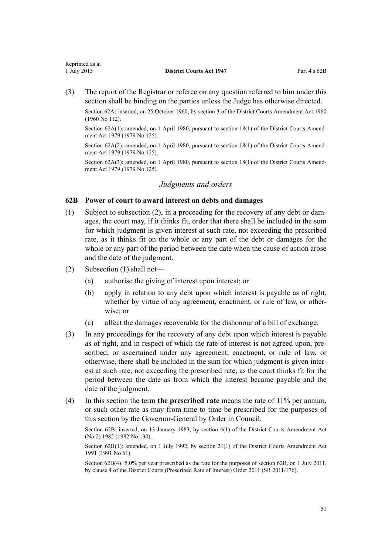<span id="page-50-0"></span>(3) The report of the Registrar or referee on any question referred to him under this section shall be binding on the parties unless the Judge has otherwise directed.

Section 62A: inserted, on 25 October 1960, by section 3 of the District Courts Amendment Act 1960 (1960 No 112).

Section 62A(1): amended, on 1 April 1980, pursuant to [section 18\(1\)](http://prd-lgnz-nlb.prd.pco.net.nz/pdflink.aspx?id=DLM35085) of the District Courts Amendment Act 1979 (1979 No 125).

Section 62A(2): amended, on 1 April 1980, pursuant to [section 18\(1\)](http://prd-lgnz-nlb.prd.pco.net.nz/pdflink.aspx?id=DLM35085) of the District Courts Amendment Act 1979 (1979 No 125).

Section 62A(3): amended, on 1 April 1980, pursuant to [section 18\(1\)](http://prd-lgnz-nlb.prd.pco.net.nz/pdflink.aspx?id=DLM35085) of the District Courts Amendment Act 1979 (1979 No 125).

#### *Judgments and orders*

## **62B Power of court to award interest on debts and damages**

- (1) Subject to subsection (2), in a proceeding for the recovery of any debt or damages, the court may, if it thinks fit, order that there shall be included in the sum for which judgment is given interest at such rate, not exceeding the prescribed rate, as it thinks fit on the whole or any part of the debt or damages for the whole or any part of the period between the date when the cause of action arose and the date of the judgment.
- (2) Subsection (1) shall not—
	- (a) authorise the giving of interest upon interest; or
	- (b) apply in relation to any debt upon which interest is payable as of right, whether by virtue of any agreement, enactment, or rule of law, or otherwise; or
	- (c) affect the damages recoverable for the dishonour of a bill of exchange.
- (3) In any proceedings for the recovery of any debt upon which interest is payable as of right, and in respect of which the rate of interest is not agreed upon, prescribed, or ascertained under any agreement, enactment, or rule of law, or otherwise, there shall be included in the sum for which judgment is given interest at such rate, not exceeding the prescribed rate, as the court thinks fit for the period between the date as from which the interest became payable and the date of the judgment.
- (4) In this section the term **the prescribed rate** means the rate of 11% per annum, or such other rate as may from time to time be prescribed for the purposes of this section by the Governor-General by Order in Council.

Section 62B: inserted, on 13 January 1983, by [section 4\(1\)](http://prd-lgnz-nlb.prd.pco.net.nz/pdflink.aspx?id=DLM63966) of the District Courts Amendment Act (No 2) 1982 (1982 No 130).

Section 62B(1): amended, on 1 July 1992, by [section 21\(1\)](http://prd-lgnz-nlb.prd.pco.net.nz/pdflink.aspx?id=DLM230259) of the District Courts Amendment Act 1991 (1991 No 61).

Section 62B(4): 5.0% per year prescribed as the rate for the purposes of section 62B, on 1 July 2011, by [clause 4](http://prd-lgnz-nlb.prd.pco.net.nz/pdflink.aspx?id=DLM3738607) of the District Courts (Prescribed Rate of Interest) Order 2011 (SR 2011/176).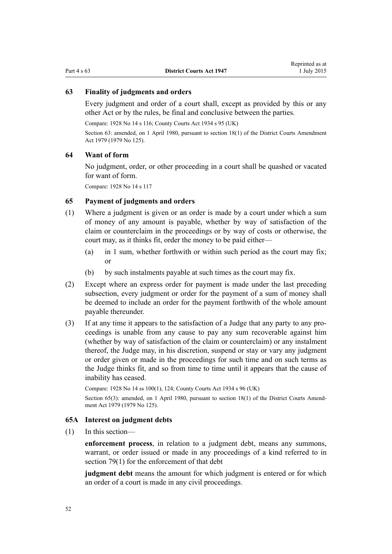## **63 Finality of judgments and orders**

Every judgment and order of a court shall, except as provided by this or any other Act or by the rules, be final and conclusive between the parties.

Compare: 1928 No 14 s 116; County Courts Act 1934 s 95 (UK)

Section 63: amended, on 1 April 1980, pursuant to [section 18\(1\)](http://prd-lgnz-nlb.prd.pco.net.nz/pdflink.aspx?id=DLM35085) of the District Courts Amendment Act 1979 (1979 No 125).

#### **64 Want of form**

No judgment, order, or other proceeding in a court shall be quashed or vacated for want of form.

Compare: 1928 No 14 s 117

#### **65 Payment of judgments and orders**

- (1) Where a judgment is given or an order is made by a court under which a sum of money of any amount is payable, whether by way of satisfaction of the claim or counterclaim in the proceedings or by way of costs or otherwise, the court may, as it thinks fit, order the money to be paid either—
	- (a) in 1 sum, whether forthwith or within such period as the court may fix; or
	- (b) by such instalments payable at such times as the court may fix.
- (2) Except where an express order for payment is made under the last preceding subsection, every judgment or order for the payment of a sum of money shall be deemed to include an order for the payment forthwith of the whole amount payable thereunder.
- (3) If at any time it appears to the satisfaction of a Judge that any party to any proceedings is unable from any cause to pay any sum recoverable against him (whether by way of satisfaction of the claim or counterclaim) or any instalment thereof, the Judge may, in his discretion, suspend or stay or vary any judgment or order given or made in the proceedings for such time and on such terms as the Judge thinks fit, and so from time to time until it appears that the cause of inability has ceased.

Compare: 1928 No 14 ss 100(1), 124; County Courts Act 1934 s 96 (UK) Section 65(3): amended, on 1 April 1980, pursuant to [section 18\(1\)](http://prd-lgnz-nlb.prd.pco.net.nz/pdflink.aspx?id=DLM35085) of the District Courts Amendment Act 1979 (1979 No 125).

#### **65A Interest on judgment debts**

(1) In this section—

**enforcement process**, in relation to a judgment debt, means any summons, warrant, or order issued or made in any proceedings of a kind referred to in [section 79\(1\)](#page-59-0) for the enforcement of that debt

**judgment debt** means the amount for which judgment is entered or for which an order of a court is made in any civil proceedings.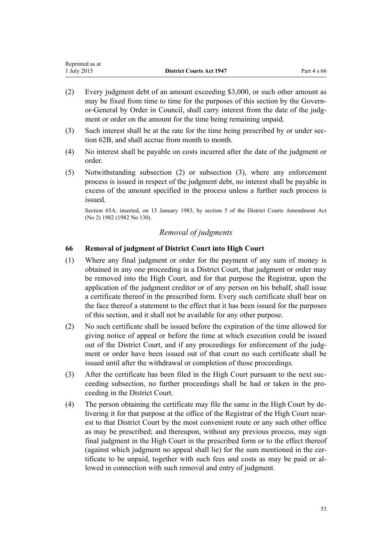| Reprinted as at |                                 |             |
|-----------------|---------------------------------|-------------|
| 1 July 2015     | <b>District Courts Act 1947</b> | Part 4 s 66 |

- (2) Every judgment debt of an amount exceeding \$3,000, or such other amount as may be fixed from time to time for the purposes of this section by the Governor-General by Order in Council, shall carry interest from the date of the judgment or order on the amount for the time being remaining unpaid.
- (3) Such interest shall be at the rate for the time being prescribed by or under [sec](#page-50-0)[tion 62B](#page-50-0), and shall accrue from month to month.
- (4) No interest shall be payable on costs incurred after the date of the judgment or order.
- (5) Notwithstanding subsection (2) or subsection (3), where any enforcement process is issued in respect of the judgment debt, no interest shall be payable in excess of the amount specified in the process unless a further such process is issued.

Section 65A: inserted, on 13 January 1983, by [section 5](http://prd-lgnz-nlb.prd.pco.net.nz/pdflink.aspx?id=DLM63967) of the District Courts Amendment Act (No 2) 1982 (1982 No 130).

## *Removal of judgments*

## **66 Removal of judgment of District Court into High Court**

- (1) Where any final judgment or order for the payment of any sum of money is obtained in any one proceeding in a District Court, that judgment or order may be removed into the High Court, and for that purpose the Registrar, upon the application of the judgment creditor or of any person on his behalf, shall issue a certificate thereof in the prescribed form. Every such certificate shall bear on the face thereof a statement to the effect that it has been issued for the purposes of this section, and it shall not be available for any other purpose.
- (2) No such certificate shall be issued before the expiration of the time allowed for giving notice of appeal or before the time at which execution could be issued out of the District Court, and if any proceedings for enforcement of the judgment or order have been issued out of that court no such certificate shall be issued until after the withdrawal or completion of those proceedings.
- (3) After the certificate has been filed in the High Court pursuant to the next succeeding subsection, no further proceedings shall be had or taken in the proceeding in the District Court.
- (4) The person obtaining the certificate may file the same in the High Court by delivering it for that purpose at the office of the Registrar of the High Court nearest to that District Court by the most convenient route or any such other office as may be prescribed; and thereupon, without any previous process, may sign final judgment in the High Court in the prescribed form or to the effect thereof (against which judgment no appeal shall lie) for the sum mentioned in the certificate to be unpaid, together with such fees and costs as may be paid or allowed in connection with such removal and entry of judgment.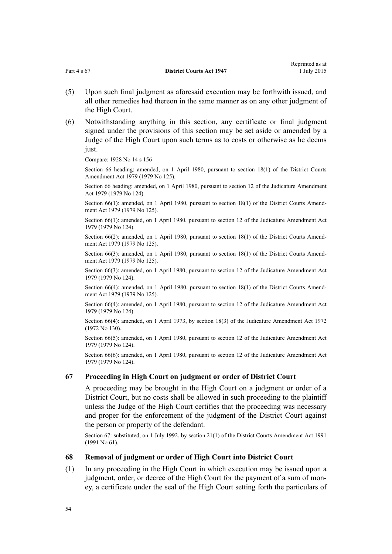|             |                                 | Reprinted as at |
|-------------|---------------------------------|-----------------|
| Part 4 s 67 | <b>District Courts Act 1947</b> | 1 July 2015     |
|             |                                 |                 |

- (5) Upon such final judgment as aforesaid execution may be forthwith issued, and all other remedies had thereon in the same manner as on any other judgment of the High Court.
- (6) Notwithstanding anything in this section, any certificate or final judgment signed under the provisions of this section may be set aside or amended by a Judge of the High Court upon such terms as to costs or otherwise as he deems just.

Compare: 1928 No 14 s 156

Section 66 heading: amended, on 1 April 1980, pursuant to [section 18\(1\)](http://prd-lgnz-nlb.prd.pco.net.nz/pdflink.aspx?id=DLM35085) of the District Courts Amendment Act 1979 (1979 No 125).

Section 66 heading: amended, on 1 April 1980, pursuant to [section 12](http://prd-lgnz-nlb.prd.pco.net.nz/pdflink.aspx?id=DLM35049) of the Judicature Amendment Act 1979 (1979 No 124).

Section 66(1): amended, on 1 April 1980, pursuant to [section 18\(1\)](http://prd-lgnz-nlb.prd.pco.net.nz/pdflink.aspx?id=DLM35085) of the District Courts Amendment Act 1979 (1979 No 125).

Section 66(1): amended, on 1 April 1980, pursuant to [section 12](http://prd-lgnz-nlb.prd.pco.net.nz/pdflink.aspx?id=DLM35049) of the Judicature Amendment Act 1979 (1979 No 124).

Section 66(2): amended, on 1 April 1980, pursuant to [section 18\(1\)](http://prd-lgnz-nlb.prd.pco.net.nz/pdflink.aspx?id=DLM35085) of the District Courts Amendment Act 1979 (1979 No 125).

Section 66(3): amended, on 1 April 1980, pursuant to [section 18\(1\)](http://prd-lgnz-nlb.prd.pco.net.nz/pdflink.aspx?id=DLM35085) of the District Courts Amendment Act 1979 (1979 No 125).

Section 66(3): amended, on 1 April 1980, pursuant to [section 12](http://prd-lgnz-nlb.prd.pco.net.nz/pdflink.aspx?id=DLM35049) of the Judicature Amendment Act 1979 (1979 No 124).

Section 66(4): amended, on 1 April 1980, pursuant to [section 18\(1\)](http://prd-lgnz-nlb.prd.pco.net.nz/pdflink.aspx?id=DLM35085) of the District Courts Amendment Act 1979 (1979 No 125).

Section 66(4): amended, on 1 April 1980, pursuant to [section 12](http://prd-lgnz-nlb.prd.pco.net.nz/pdflink.aspx?id=DLM35049) of the Judicature Amendment Act 1979 (1979 No 124).

Section 66(4): amended, on 1 April 1973, by [section 18\(3\)](http://prd-lgnz-nlb.prd.pco.net.nz/pdflink.aspx?id=DLM408384) of the Judicature Amendment Act 1972 (1972 No 130).

Section 66(5): amended, on 1 April 1980, pursuant to [section 12](http://prd-lgnz-nlb.prd.pco.net.nz/pdflink.aspx?id=DLM35049) of the Judicature Amendment Act 1979 (1979 No 124).

Section 66(6): amended, on 1 April 1980, pursuant to [section 12](http://prd-lgnz-nlb.prd.pco.net.nz/pdflink.aspx?id=DLM35049) of the Judicature Amendment Act 1979 (1979 No 124).

#### **67 Proceeding in High Court on judgment or order of District Court**

A proceeding may be brought in the High Court on a judgment or order of a District Court, but no costs shall be allowed in such proceeding to the plaintiff unless the Judge of the High Court certifies that the proceeding was necessary and proper for the enforcement of the judgment of the District Court against the person or property of the defendant.

Section 67: substituted, on 1 July 1992, by [section 21\(1\)](http://prd-lgnz-nlb.prd.pco.net.nz/pdflink.aspx?id=DLM230259) of the District Courts Amendment Act 1991 (1991 No 61).

#### **68 Removal of judgment or order of High Court into District Court**

(1) In any proceeding in the High Court in which execution may be issued upon a judgment, order, or decree of the High Court for the payment of a sum of money, a certificate under the seal of the High Court setting forth the particulars of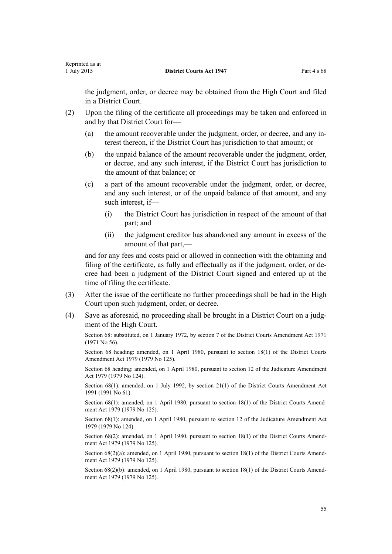the judgment, order, or decree may be obtained from the High Court and filed in a District Court.

- (2) Upon the filing of the certificate all proceedings may be taken and enforced in and by that District Court for—
	- (a) the amount recoverable under the judgment, order, or decree, and any interest thereon, if the District Court has jurisdiction to that amount; or
	- (b) the unpaid balance of the amount recoverable under the judgment, order, or decree, and any such interest, if the District Court has jurisdiction to the amount of that balance; or
	- (c) a part of the amount recoverable under the judgment, order, or decree, and any such interest, or of the unpaid balance of that amount, and any such interest, if—
		- (i) the District Court has jurisdiction in respect of the amount of that part; and
		- (ii) the judgment creditor has abandoned any amount in excess of the amount of that part,—

and for any fees and costs paid or allowed in connection with the obtaining and filing of the certificate, as fully and effectually as if the judgment, order, or decree had been a judgment of the District Court signed and entered up at the time of filing the certificate.

- (3) After the issue of the certificate no further proceedings shall be had in the High Court upon such judgment, order, or decree.
- (4) Save as aforesaid, no proceeding shall be brought in a District Court on a judgment of the High Court.

Section 68: substituted, on 1 January 1972, by section 7 of the District Courts Amendment Act 1971 (1971 No 56).

Section 68 heading: amended, on 1 April 1980, pursuant to [section 18\(1\)](http://prd-lgnz-nlb.prd.pco.net.nz/pdflink.aspx?id=DLM35085) of the District Courts Amendment Act 1979 (1979 No 125).

Section 68 heading: amended, on 1 April 1980, pursuant to [section 12](http://prd-lgnz-nlb.prd.pco.net.nz/pdflink.aspx?id=DLM35049) of the Judicature Amendment Act 1979 (1979 No 124).

Section 68(1): amended, on 1 July 1992, by [section 21\(1\)](http://prd-lgnz-nlb.prd.pco.net.nz/pdflink.aspx?id=DLM230259) of the District Courts Amendment Act 1991 (1991 No 61).

Section 68(1): amended, on 1 April 1980, pursuant to [section 18\(1\)](http://prd-lgnz-nlb.prd.pco.net.nz/pdflink.aspx?id=DLM35085) of the District Courts Amendment Act 1979 (1979 No 125).

Section 68(1): amended, on 1 April 1980, pursuant to [section 12](http://prd-lgnz-nlb.prd.pco.net.nz/pdflink.aspx?id=DLM35049) of the Judicature Amendment Act 1979 (1979 No 124).

Section 68(2): amended, on 1 April 1980, pursuant to [section 18\(1\)](http://prd-lgnz-nlb.prd.pco.net.nz/pdflink.aspx?id=DLM35085) of the District Courts Amendment Act 1979 (1979 No 125).

Section 68(2)(a): amended, on 1 April 1980, pursuant to [section 18\(1\)](http://prd-lgnz-nlb.prd.pco.net.nz/pdflink.aspx?id=DLM35085) of the District Courts Amendment Act 1979 (1979 No 125).

Section 68(2)(b): amended, on 1 April 1980, pursuant to [section 18\(1\)](http://prd-lgnz-nlb.prd.pco.net.nz/pdflink.aspx?id=DLM35085) of the District Courts Amendment Act 1979 (1979 No 125).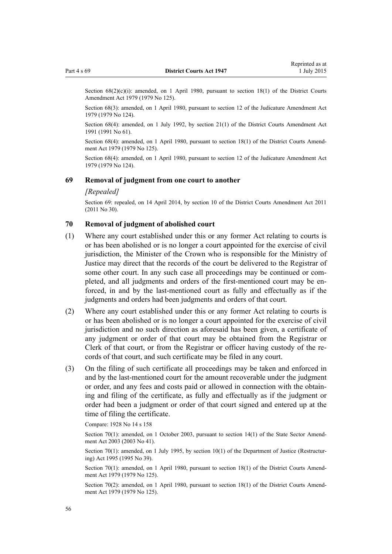Section 68(2)(c)(i): amended, on 1 April 1980, pursuant to [section 18\(1\)](http://prd-lgnz-nlb.prd.pco.net.nz/pdflink.aspx?id=DLM35085) of the District Courts Amendment Act 1979 (1979 No 125).

Section 68(3): amended, on 1 April 1980, pursuant to [section 12](http://prd-lgnz-nlb.prd.pco.net.nz/pdflink.aspx?id=DLM35049) of the Judicature Amendment Act 1979 (1979 No 124).

Section 68(4): amended, on 1 July 1992, by [section 21\(1\)](http://prd-lgnz-nlb.prd.pco.net.nz/pdflink.aspx?id=DLM230259) of the District Courts Amendment Act 1991 (1991 No 61).

Section 68(4): amended, on 1 April 1980, pursuant to [section 18\(1\)](http://prd-lgnz-nlb.prd.pco.net.nz/pdflink.aspx?id=DLM35085) of the District Courts Amendment Act 1979 (1979 No 125).

Section 68(4): amended, on 1 April 1980, pursuant to [section 12](http://prd-lgnz-nlb.prd.pco.net.nz/pdflink.aspx?id=DLM35049) of the Judicature Amendment Act 1979 (1979 No 124).

#### **69 Removal of judgment from one court to another**

#### *[Repealed]*

Section 69: repealed, on 14 April 2014, by [section 10](http://prd-lgnz-nlb.prd.pco.net.nz/pdflink.aspx?id=DLM2929746) of the District Courts Amendment Act 2011 (2011 No 30).

## **70 Removal of judgment of abolished court**

- (1) Where any court established under this or any former Act relating to courts is or has been abolished or is no longer a court appointed for the exercise of civil jurisdiction, the Minister of the Crown who is responsible for the Ministry of Justice may direct that the records of the court be delivered to the Registrar of some other court. In any such case all proceedings may be continued or completed, and all judgments and orders of the first-mentioned court may be enforced, in and by the last-mentioned court as fully and effectually as if the judgments and orders had been judgments and orders of that court.
- (2) Where any court established under this or any former Act relating to courts is or has been abolished or is no longer a court appointed for the exercise of civil jurisdiction and no such direction as aforesaid has been given, a certificate of any judgment or order of that court may be obtained from the Registrar or Clerk of that court, or from the Registrar or officer having custody of the records of that court, and such certificate may be filed in any court.
- (3) On the filing of such certificate all proceedings may be taken and enforced in and by the last-mentioned court for the amount recoverable under the judgment or order, and any fees and costs paid or allowed in connection with the obtaining and filing of the certificate, as fully and effectually as if the judgment or order had been a judgment or order of that court signed and entered up at the time of filing the certificate.

Compare: 1928 No 14 s 158

Section 70(1): amended, on 1 October 2003, pursuant to [section 14\(1\)](http://prd-lgnz-nlb.prd.pco.net.nz/pdflink.aspx?id=DLM201378) of the State Sector Amendment Act 2003 (2003 No 41).

Section 70(1): amended, on 1 July 1995, by [section 10\(1\)](http://prd-lgnz-nlb.prd.pco.net.nz/pdflink.aspx?id=DLM367235) of the Department of Justice (Restructuring) Act 1995 (1995 No 39).

Section 70(1): amended, on 1 April 1980, pursuant to [section 18\(1\)](http://prd-lgnz-nlb.prd.pco.net.nz/pdflink.aspx?id=DLM35085) of the District Courts Amendment Act 1979 (1979 No 125).

Section 70(2): amended, on 1 April 1980, pursuant to [section 18\(1\)](http://prd-lgnz-nlb.prd.pco.net.nz/pdflink.aspx?id=DLM35085) of the District Courts Amendment Act 1979 (1979 No 125).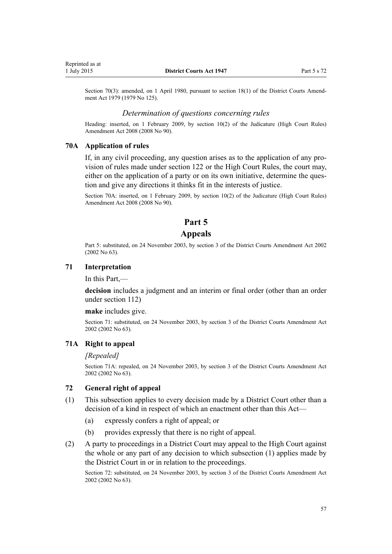<span id="page-56-0"></span>Section 70(3): amended, on 1 April 1980, pursuant to [section 18\(1\)](http://prd-lgnz-nlb.prd.pco.net.nz/pdflink.aspx?id=DLM35085) of the District Courts Amendment Act 1979 (1979 No 125).

#### *Determination of questions concerning rules*

Heading: inserted, on 1 February 2009, by [section 10\(2\)](http://prd-lgnz-nlb.prd.pco.net.nz/pdflink.aspx?id=DLM1463527) of the Judicature (High Court Rules) Amendment Act 2008 (2008 No 90).

#### **70A Application of rules**

If, in any civil proceeding, any question arises as to the application of any provision of rules made under [section 122](#page-103-0) or the [High Court Rules](http://prd-lgnz-nlb.prd.pco.net.nz/pdflink.aspx?id=DLM147653), the court may, either on the application of a party or on its own initiative, determine the question and give any directions it thinks fit in the interests of justice.

Section 70A: inserted, on 1 February 2009, by [section 10\(2\)](http://prd-lgnz-nlb.prd.pco.net.nz/pdflink.aspx?id=DLM1463527) of the Judicature (High Court Rules) Amendment Act 2008 (2008 No 90).

## **Part 5**

## **Appeals**

Part 5: substituted, on 24 November 2003, by [section 3](http://prd-lgnz-nlb.prd.pco.net.nz/pdflink.aspx?id=DLM167896) of the District Courts Amendment Act 2002 (2002 No 63).

#### **71 Interpretation**

In this Part,—

**decision** includes a judgment and an interim or final order (other than an order under [section 112\)](#page-98-0)

#### **make** includes give.

Section 71: substituted, on 24 November 2003, by [section 3](http://prd-lgnz-nlb.prd.pco.net.nz/pdflink.aspx?id=DLM167896) of the District Courts Amendment Act 2002 (2002 No 63).

#### **71A Right to appeal**

#### *[Repealed]*

Section 71A: repealed, on 24 November 2003, by [section 3](http://prd-lgnz-nlb.prd.pco.net.nz/pdflink.aspx?id=DLM167896) of the District Courts Amendment Act 2002 (2002 No 63).

## **72 General right of appeal**

- (1) This subsection applies to every decision made by a District Court other than a decision of a kind in respect of which an enactment other than this Act—
	- (a) expressly confers a right of appeal; or
	- (b) provides expressly that there is no right of appeal.
- (2) A party to proceedings in a District Court may appeal to the High Court against the whole or any part of any decision to which subsection (1) applies made by the District Court in or in relation to the proceedings.

Section 72: substituted, on 24 November 2003, by [section 3](http://prd-lgnz-nlb.prd.pco.net.nz/pdflink.aspx?id=DLM167896) of the District Courts Amendment Act 2002 (2002 No 63).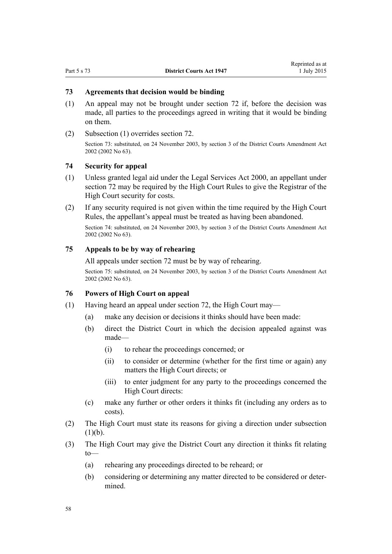## <span id="page-57-0"></span>**73 Agreements that decision would be binding**

- (1) An appeal may not be brought under [section 72](#page-56-0) if, before the decision was made, all parties to the proceedings agreed in writing that it would be binding on them.
- (2) Subsection (1) overrides [section 72](#page-56-0).

Section 73: substituted, on 24 November 2003, by [section 3](http://prd-lgnz-nlb.prd.pco.net.nz/pdflink.aspx?id=DLM167896) of the District Courts Amendment Act 2002 (2002 No 63).

## **74 Security for appeal**

- (1) Unless granted legal aid under the [Legal Services Act 2000,](http://prd-lgnz-nlb.prd.pco.net.nz/pdflink.aspx?id=DLM71806) an appellant under [section 72](#page-56-0) may be required by the [High Court Rules](http://prd-lgnz-nlb.prd.pco.net.nz/pdflink.aspx?id=DLM147653) to give the Registrar of the High Court security for costs.
- (2) If any security required is not given within the time required by the [High Court](http://prd-lgnz-nlb.prd.pco.net.nz/pdflink.aspx?id=DLM147653) [Rules](http://prd-lgnz-nlb.prd.pco.net.nz/pdflink.aspx?id=DLM147653), the appellant's appeal must be treated as having been abandoned.

Section 74: substituted, on 24 November 2003, by [section 3](http://prd-lgnz-nlb.prd.pco.net.nz/pdflink.aspx?id=DLM167896) of the District Courts Amendment Act 2002 (2002 No 63).

#### **75 Appeals to be by way of rehearing**

All appeals under [section 72](#page-56-0) must be by way of rehearing.

Section 75: substituted, on 24 November 2003, by [section 3](http://prd-lgnz-nlb.prd.pco.net.nz/pdflink.aspx?id=DLM167896) of the District Courts Amendment Act 2002 (2002 No 63).

#### **76 Powers of High Court on appeal**

- (1) Having heard an appeal under [section 72,](#page-56-0) the High Court may—
	- (a) make any decision or decisions it thinks should have been made:
	- (b) direct the District Court in which the decision appealed against was made—
		- (i) to rehear the proceedings concerned; or
		- (ii) to consider or determine (whether for the first time or again) any matters the High Court directs; or
		- (iii) to enter judgment for any party to the proceedings concerned the High Court directs:
	- (c) make any further or other orders it thinks fit (including any orders as to costs).
- (2) The High Court must state its reasons for giving a direction under subsection  $(1)(b)$ .
- (3) The High Court may give the District Court any direction it thinks fit relating to—
	- (a) rehearing any proceedings directed to be reheard; or
	- (b) considering or determining any matter directed to be considered or determined.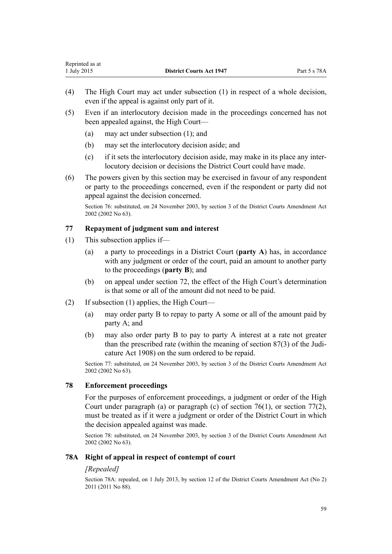- (4) The High Court may act under subsection (1) in respect of a whole decision, even if the appeal is against only part of it.
- (5) Even if an interlocutory decision made in the proceedings concerned has not been appealed against, the High Court—
	- (a) may act under subsection (1); and
	- (b) may set the interlocutory decision aside; and
	- (c) if it sets the interlocutory decision aside, may make in its place any interlocutory decision or decisions the District Court could have made.
- (6) The powers given by this section may be exercised in favour of any respondent or party to the proceedings concerned, even if the respondent or party did not appeal against the decision concerned.

Section 76: substituted, on 24 November 2003, by [section 3](http://prd-lgnz-nlb.prd.pco.net.nz/pdflink.aspx?id=DLM167896) of the District Courts Amendment Act 2002 (2002 No 63).

## **77 Repayment of judgment sum and interest**

- (1) This subsection applies if—
	- (a) a party to proceedings in a District Court (**party A**) has, in accordance with any judgment or order of the court, paid an amount to another party to the proceedings (**party B**); and
	- (b) on appeal under [section 72,](#page-56-0) the effect of the High Court's determination is that some or all of the amount did not need to be paid.
- (2) If subsection (1) applies, the High Court—
	- (a) may order party B to repay to party A some or all of the amount paid by party A; and
	- (b) may also order party B to pay to party A interest at a rate not greater than the prescribed rate (within the meaning of [section 87\(3\)](http://prd-lgnz-nlb.prd.pco.net.nz/pdflink.aspx?id=DLM147379) of the Judicature Act 1908) on the sum ordered to be repaid.

Section 77: substituted, on 24 November 2003, by [section 3](http://prd-lgnz-nlb.prd.pco.net.nz/pdflink.aspx?id=DLM167896) of the District Courts Amendment Act 2002 (2002 No 63).

## **78 Enforcement proceedings**

For the purposes of enforcement proceedings, a judgment or order of the High Court under paragraph (a) or paragraph (c) of [section 76\(1\)](#page-57-0), or section 77(2), must be treated as if it were a judgment or order of the District Court in which the decision appealed against was made.

Section 78: substituted, on 24 November 2003, by [section 3](http://prd-lgnz-nlb.prd.pco.net.nz/pdflink.aspx?id=DLM167896) of the District Courts Amendment Act 2002 (2002 No 63).

## **78A Right of appeal in respect of contempt of court**

## *[Repealed]*

Section 78A: repealed, on 1 July 2013, by [section 12](http://prd-lgnz-nlb.prd.pco.net.nz/pdflink.aspx?id=DLM4058121) of the District Courts Amendment Act (No 2) 2011 (2011 No 88).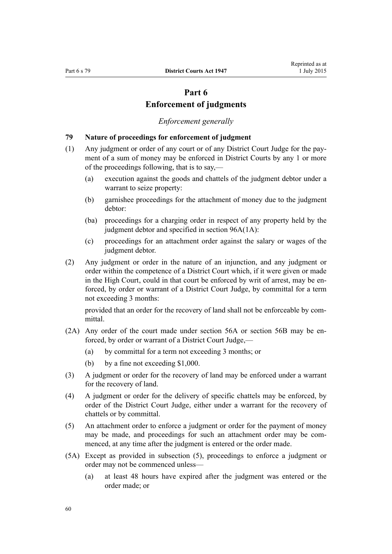## **Part 6 Enforcement of judgments**

#### *Enforcement generally*

#### <span id="page-59-0"></span>**79 Nature of proceedings for enforcement of judgment**

- (1) Any judgment or order of any court or of any District Court Judge for the payment of a sum of money may be enforced in District Courts by any 1 or more of the proceedings following, that is to say,—
	- (a) execution against the goods and chattels of the judgment debtor under a warrant to seize property:
	- (b) garnishee proceedings for the attachment of money due to the judgment debtor:
	- (ba) proceedings for a charging order in respect of any property held by the judgment debtor and specified in [section 96A\(1A\)](#page-87-0):
	- (c) proceedings for an attachment order against the salary or wages of the judgment debtor.
- (2) Any judgment or order in the nature of an injunction, and any judgment or order within the competence of a District Court which, if it were given or made in the High Court, could in that court be enforced by writ of arrest, may be enforced, by order or warrant of a District Court Judge, by committal for a term not exceeding 3 months:

provided that an order for the recovery of land shall not be enforceable by committal.

- (2A) Any order of the court made under [section 56A](#page-46-0) or [section 56B](#page-46-0) may be enforced, by order or warrant of a District Court Judge,—
	- (a) by committal for a term not exceeding 3 months; or
	- (b) by a fine not exceeding \$1,000.
- (3) A judgment or order for the recovery of land may be enforced under a warrant for the recovery of land.
- (4) A judgment or order for the delivery of specific chattels may be enforced, by order of the District Court Judge, either under a warrant for the recovery of chattels or by committal.
- (5) An attachment order to enforce a judgment or order for the payment of money may be made, and proceedings for such an attachment order may be commenced, at any time after the judgment is entered or the order made.
- (5A) Except as provided in subsection (5), proceedings to enforce a judgment or order may not be commenced unless—
	- (a) at least 48 hours have expired after the judgment was entered or the order made; or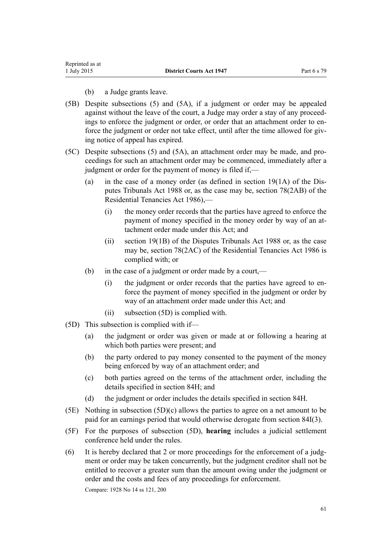#### (b) a Judge grants leave.

- (5B) Despite subsections (5) and (5A), if a judgment or order may be appealed against without the leave of the court, a Judge may order a stay of any proceedings to enforce the judgment or order, or order that an attachment order to enforce the judgment or order not take effect, until after the time allowed for giving notice of appeal has expired.
- (5C) Despite subsections (5) and (5A), an attachment order may be made, and proceedings for such an attachment order may be commenced, immediately after a judgment or order for the payment of money is filed if,—
	- (a) in the case of a money order (as defined in section  $19(1A)$  of the Disputes Tribunals Act 1988 or, as the case may be, [section 78\(2AB\)](http://prd-lgnz-nlb.prd.pco.net.nz/pdflink.aspx?id=DLM95580) of the Residential Tenancies Act 1986),—
		- (i) the money order records that the parties have agreed to enforce the payment of money specified in the money order by way of an attachment order made under this Act; and
		- (ii) [section 19\(1B\)](http://prd-lgnz-nlb.prd.pco.net.nz/pdflink.aspx?id=DLM133657) of the Disputes Tribunals Act 1988 or, as the case may be, [section 78\(2AC\)](http://prd-lgnz-nlb.prd.pco.net.nz/pdflink.aspx?id=DLM95580) of the Residential Tenancies Act 1986 is complied with; or
	- (b) in the case of a judgment or order made by a court,—
		- (i) the judgment or order records that the parties have agreed to enforce the payment of money specified in the judgment or order by way of an attachment order made under this Act; and
		- (ii) subsection (5D) is complied with.
- (5D) This subsection is complied with if—
	- (a) the judgment or order was given or made at or following a hearing at which both parties were present; and
	- (b) the party ordered to pay money consented to the payment of the money being enforced by way of an attachment order; and
	- (c) both parties agreed on the terms of the attachment order, including the details specified in [section 84H;](#page-70-0) and
	- (d) the judgment or order includes the details specified in [section 84H.](#page-70-0)
- (5E) Nothing in subsection (5D)(c) allows the parties to agree on a net amount to be paid for an earnings period that would otherwise derogate from [section 84I\(3\)](#page-71-0).
- (5F) For the purposes of subsection (5D), **hearing** includes a judicial settlement conference held under the rules.
- (6) It is hereby declared that 2 or more proceedings for the enforcement of a judgment or order may be taken concurrently, but the judgment creditor shall not be entitled to recover a greater sum than the amount owing under the judgment or order and the costs and fees of any proceedings for enforcement.

Compare: 1928 No 14 ss 121, 200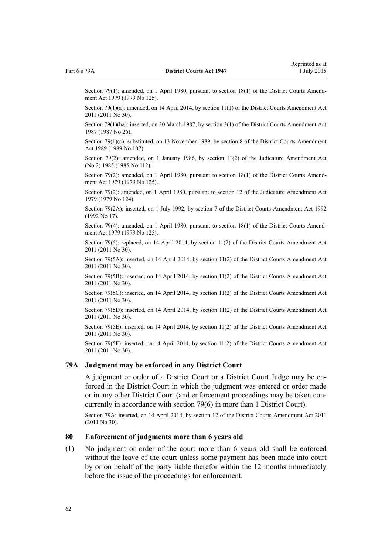Section 79(1): amended, on 1 April 1980, pursuant to [section 18\(1\)](http://prd-lgnz-nlb.prd.pco.net.nz/pdflink.aspx?id=DLM35085) of the District Courts Amendment Act 1979 (1979 No 125).

Section 79(1)(a): amended, on 14 April 2014, by [section 11\(1\)](http://prd-lgnz-nlb.prd.pco.net.nz/pdflink.aspx?id=DLM2929747) of the District Courts Amendment Act 2011 (2011 No 30).

Section 79(1)(ba): inserted, on 30 March 1987, by section 3(1) of the District Courts Amendment Act 1987 (1987 No 26).

Section 79(1)(c): substituted, on 13 November 1989, by section 8 of the District Courts Amendment Act 1989 (1989 No 107).

Section 79(2): amended, on 1 January 1986, by [section 11\(2\)](http://prd-lgnz-nlb.prd.pco.net.nz/pdflink.aspx?id=DLM75961) of the Judicature Amendment Act (No 2) 1985 (1985 No 112).

Section 79(2): amended, on 1 April 1980, pursuant to [section 18\(1\)](http://prd-lgnz-nlb.prd.pco.net.nz/pdflink.aspx?id=DLM35085) of the District Courts Amendment Act 1979 (1979 No 125).

Section 79(2): amended, on 1 April 1980, pursuant to [section 12](http://prd-lgnz-nlb.prd.pco.net.nz/pdflink.aspx?id=DLM35049) of the Judicature Amendment Act 1979 (1979 No 124).

Section 79(2A): inserted, on 1 July 1992, by [section 7](http://prd-lgnz-nlb.prd.pco.net.nz/pdflink.aspx?id=DLM259685) of the District Courts Amendment Act 1992 (1992 No 17).

Section 79(4): amended, on 1 April 1980, pursuant to [section 18\(1\)](http://prd-lgnz-nlb.prd.pco.net.nz/pdflink.aspx?id=DLM35085) of the District Courts Amendment Act 1979 (1979 No 125).

Section 79(5): replaced, on 14 April 2014, by [section 11\(2\)](http://prd-lgnz-nlb.prd.pco.net.nz/pdflink.aspx?id=DLM2929747) of the District Courts Amendment Act 2011 (2011 No 30).

Section 79(5A): inserted, on 14 April 2014, by [section 11\(2\)](http://prd-lgnz-nlb.prd.pco.net.nz/pdflink.aspx?id=DLM2929747) of the District Courts Amendment Act 2011 (2011 No 30).

Section 79(5B): inserted, on 14 April 2014, by [section 11\(2\)](http://prd-lgnz-nlb.prd.pco.net.nz/pdflink.aspx?id=DLM2929747) of the District Courts Amendment Act 2011 (2011 No 30).

Section 79(5C): inserted, on 14 April 2014, by [section 11\(2\)](http://prd-lgnz-nlb.prd.pco.net.nz/pdflink.aspx?id=DLM2929747) of the District Courts Amendment Act 2011 (2011 No 30).

Section 79(5D): inserted, on 14 April 2014, by [section 11\(2\)](http://prd-lgnz-nlb.prd.pco.net.nz/pdflink.aspx?id=DLM2929747) of the District Courts Amendment Act 2011 (2011 No 30).

Section 79(5E): inserted, on 14 April 2014, by [section 11\(2\)](http://prd-lgnz-nlb.prd.pco.net.nz/pdflink.aspx?id=DLM2929747) of the District Courts Amendment Act 2011 (2011 No 30).

Section 79(5F): inserted, on 14 April 2014, by [section 11\(2\)](http://prd-lgnz-nlb.prd.pco.net.nz/pdflink.aspx?id=DLM2929747) of the District Courts Amendment Act 2011 (2011 No 30).

#### **79A Judgment may be enforced in any District Court**

A judgment or order of a District Court or a District Court Judge may be enforced in the District Court in which the judgment was entered or order made or in any other District Court (and enforcement proceedings may be taken concurrently in accordance with [section 79\(6\)](#page-59-0) in more than 1 District Court).

Section 79A: inserted, on 14 April 2014, by [section 12](http://prd-lgnz-nlb.prd.pco.net.nz/pdflink.aspx?id=DLM2929748) of the District Courts Amendment Act 2011 (2011 No 30).

#### **80 Enforcement of judgments more than 6 years old**

(1) No judgment or order of the court more than 6 years old shall be enforced without the leave of the court unless some payment has been made into court by or on behalf of the party liable therefor within the 12 months immediately before the issue of the proceedings for enforcement.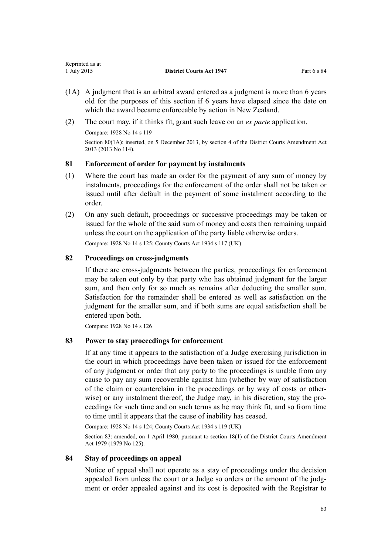- (1A) A judgment that is an arbitral award entered as a judgment is more than 6 years old for the purposes of this section if 6 years have elapsed since the date on which the award became enforceable by action in New Zealand.
- (2) The court may, if it thinks fit, grant such leave on an *ex parte* application.

Compare: 1928 No 14 s 119 Section 80(1A): inserted, on 5 December 2013, by [section 4](http://prd-lgnz-nlb.prd.pco.net.nz/pdflink.aspx?id=DLM5621707) of the District Courts Amendment Act 2013 (2013 No 114).

## **81 Enforcement of order for payment by instalments**

- (1) Where the court has made an order for the payment of any sum of money by instalments, proceedings for the enforcement of the order shall not be taken or issued until after default in the payment of some instalment according to the order.
- (2) On any such default, proceedings or successive proceedings may be taken or issued for the whole of the said sum of money and costs then remaining unpaid unless the court on the application of the party liable otherwise orders.

Compare: 1928 No 14 s 125; County Courts Act 1934 s 117 (UK)

## **82 Proceedings on cross-judgments**

If there are cross-judgments between the parties, proceedings for enforcement may be taken out only by that party who has obtained judgment for the larger sum, and then only for so much as remains after deducting the smaller sum. Satisfaction for the remainder shall be entered as well as satisfaction on the judgment for the smaller sum, and if both sums are equal satisfaction shall be entered upon both.

Compare: 1928 No 14 s 126

#### **83 Power to stay proceedings for enforcement**

If at any time it appears to the satisfaction of a Judge exercising jurisdiction in the court in which proceedings have been taken or issued for the enforcement of any judgment or order that any party to the proceedings is unable from any cause to pay any sum recoverable against him (whether by way of satisfaction of the claim or counterclaim in the proceedings or by way of costs or otherwise) or any instalment thereof, the Judge may, in his discretion, stay the proceedings for such time and on such terms as he may think fit, and so from time to time until it appears that the cause of inability has ceased.

Compare: 1928 No 14 s 124; County Courts Act 1934 s 119 (UK)

Section 83: amended, on 1 April 1980, pursuant to [section 18\(1\)](http://prd-lgnz-nlb.prd.pco.net.nz/pdflink.aspx?id=DLM35085) of the District Courts Amendment Act 1979 (1979 No 125).

## **84 Stay of proceedings on appeal**

Notice of appeal shall not operate as a stay of proceedings under the decision appealed from unless the court or a Judge so orders or the amount of the judgment or order appealed against and its cost is deposited with the Registrar to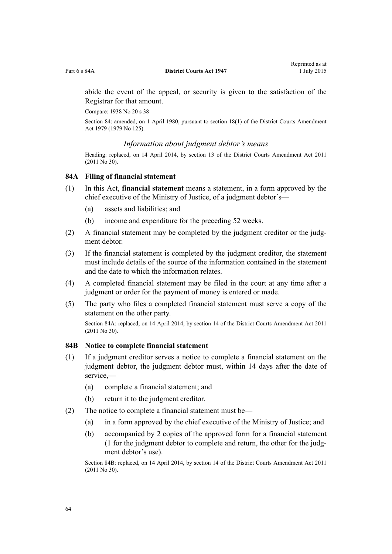abide the event of the appeal, or security is given to the satisfaction of the Registrar for that amount.

Compare: 1938 No 20 [s 38](http://prd-lgnz-nlb.prd.pco.net.nz/pdflink.aspx?id=DLM226380)

Section 84: amended, on 1 April 1980, pursuant to [section 18\(1\)](http://prd-lgnz-nlb.prd.pco.net.nz/pdflink.aspx?id=DLM35085) of the District Courts Amendment Act 1979 (1979 No 125).

#### *Information about judgment debtor's means*

Heading: replaced, on 14 April 2014, by [section 13](http://prd-lgnz-nlb.prd.pco.net.nz/pdflink.aspx?id=DLM2929750) of the District Courts Amendment Act 2011 (2011 No 30).

#### **84A Filing of financial statement**

- (1) In this Act, **financial statement** means a statement, in a form approved by the chief executive of the Ministry of Justice, of a judgment debtor's—
	- (a) assets and liabilities; and
	- (b) income and expenditure for the preceding 52 weeks.
- (2) A financial statement may be completed by the judgment creditor or the judgment debtor.
- (3) If the financial statement is completed by the judgment creditor, the statement must include details of the source of the information contained in the statement and the date to which the information relates.
- (4) A completed financial statement may be filed in the court at any time after a judgment or order for the payment of money is entered or made.
- (5) The party who files a completed financial statement must serve a copy of the statement on the other party.

Section 84A: replaced, on 14 April 2014, by [section 14](http://prd-lgnz-nlb.prd.pco.net.nz/pdflink.aspx?id=DLM2929752) of the District Courts Amendment Act 2011 (2011 No 30).

#### **84B Notice to complete financial statement**

- (1) If a judgment creditor serves a notice to complete a financial statement on the judgment debtor, the judgment debtor must, within 14 days after the date of service,—
	- (a) complete a financial statement; and
	- (b) return it to the judgment creditor.
- (2) The notice to complete a financial statement must be—
	- (a) in a form approved by the chief executive of the Ministry of Justice; and
	- (b) accompanied by 2 copies of the approved form for a financial statement (1 for the judgment debtor to complete and return, the other for the judgment debtor's use).

Section 84B: replaced, on 14 April 2014, by [section 14](http://prd-lgnz-nlb.prd.pco.net.nz/pdflink.aspx?id=DLM2929752) of the District Courts Amendment Act 2011 (2011 No 30).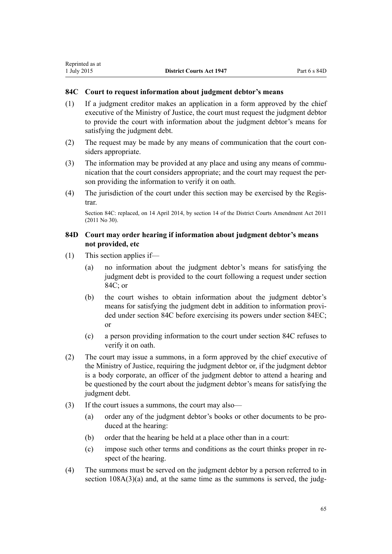## <span id="page-64-0"></span>**84C Court to request information about judgment debtor's means**

- (1) If a judgment creditor makes an application in a form approved by the chief executive of the Ministry of Justice, the court must request the judgment debtor to provide the court with information about the judgment debtor's means for satisfying the judgment debt.
- (2) The request may be made by any means of communication that the court considers appropriate.
- (3) The information may be provided at any place and using any means of communication that the court considers appropriate; and the court may request the person providing the information to verify it on oath.
- (4) The jurisdiction of the court under this section may be exercised by the Registrar.

Section 84C: replaced, on 14 April 2014, by [section 14](http://prd-lgnz-nlb.prd.pco.net.nz/pdflink.aspx?id=DLM2929752) of the District Courts Amendment Act 2011 (2011 No 30).

## **84D Court may order hearing if information about judgment debtor's means not provided, etc**

- (1) This section applies if—
	- (a) no information about the judgment debtor's means for satisfying the judgment debt is provided to the court following a request under section 84C; or
	- (b) the court wishes to obtain information about the judgment debtor's means for satisfying the judgment debt in addition to information provided under section 84C before exercising its powers under [section 84EC;](#page-68-0) or
	- (c) a person providing information to the court under section 84C refuses to verify it on oath.
- (2) The court may issue a summons, in a form approved by the chief executive of the Ministry of Justice, requiring the judgment debtor or, if the judgment debtor is a body corporate, an officer of the judgment debtor to attend a hearing and be questioned by the court about the judgment debtor's means for satisfying the judgment debt.
- (3) If the court issues a summons, the court may also—
	- (a) order any of the judgment debtor's books or other documents to be produced at the hearing:
	- (b) order that the hearing be held at a place other than in a court:
	- (c) impose such other terms and conditions as the court thinks proper in respect of the hearing.
- (4) The summons must be served on the judgment debtor by a person referred to in section  $108A(3)(a)$  and, at the same time as the summons is served, the judg-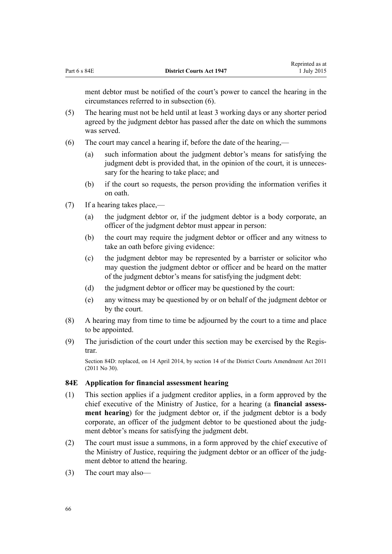<span id="page-65-0"></span>ment debtor must be notified of the court's power to cancel the hearing in the circumstances referred to in subsection (6).

- (5) The hearing must not be held until at least 3 working days or any shorter period agreed by the judgment debtor has passed after the date on which the summons was served.
- (6) The court may cancel a hearing if, before the date of the hearing,—
	- (a) such information about the judgment debtor's means for satisfying the judgment debt is provided that, in the opinion of the court, it is unnecessary for the hearing to take place; and
	- (b) if the court so requests, the person providing the information verifies it on oath.
- (7) If a hearing takes place,—
	- (a) the judgment debtor or, if the judgment debtor is a body corporate, an officer of the judgment debtor must appear in person:
	- (b) the court may require the judgment debtor or officer and any witness to take an oath before giving evidence:
	- (c) the judgment debtor may be represented by a barrister or solicitor who may question the judgment debtor or officer and be heard on the matter of the judgment debtor's means for satisfying the judgment debt:
	- (d) the judgment debtor or officer may be questioned by the court:
	- (e) any witness may be questioned by or on behalf of the judgment debtor or by the court.
- (8) A hearing may from time to time be adjourned by the court to a time and place to be appointed.
- (9) The jurisdiction of the court under this section may be exercised by the Registrar.

Section 84D: replaced, on 14 April 2014, by [section 14](http://prd-lgnz-nlb.prd.pco.net.nz/pdflink.aspx?id=DLM2929752) of the District Courts Amendment Act 2011 (2011 No 30).

#### **84E Application for financial assessment hearing**

- (1) This section applies if a judgment creditor applies, in a form approved by the chief executive of the Ministry of Justice, for a hearing (a **financial assessment hearing**) for the judgment debtor or, if the judgment debtor is a body corporate, an officer of the judgment debtor to be questioned about the judgment debtor's means for satisfying the judgment debt.
- (2) The court must issue a summons, in a form approved by the chief executive of the Ministry of Justice, requiring the judgment debtor or an officer of the judgment debtor to attend the hearing.
- (3) The court may also—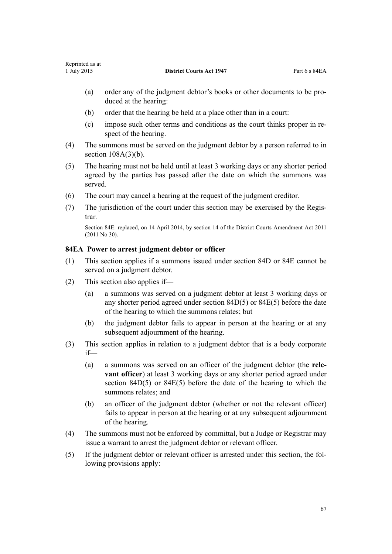- (a) order any of the judgment debtor's books or other documents to be produced at the hearing:
- (b) order that the hearing be held at a place other than in a court:
- (c) impose such other terms and conditions as the court thinks proper in respect of the hearing.
- (4) The summons must be served on the judgment debtor by a person referred to in section  $108A(3)(b)$ .
- (5) The hearing must not be held until at least 3 working days or any shorter period agreed by the parties has passed after the date on which the summons was served.
- (6) The court may cancel a hearing at the request of the judgment creditor.
- (7) The jurisdiction of the court under this section may be exercised by the Registrar.

Section 84E: replaced, on 14 April 2014, by [section 14](http://prd-lgnz-nlb.prd.pco.net.nz/pdflink.aspx?id=DLM2929752) of the District Courts Amendment Act 2011 (2011 No 30).

## **84EA Power to arrest judgment debtor or officer**

- (1) This section applies if a summons issued under [section 84D](#page-64-0) or [84E](#page-65-0) cannot be served on a judgment debtor.
- (2) This section also applies if—
	- (a) a summons was served on a judgment debtor at least 3 working days or any shorter period agreed under [section 84D\(5\)](#page-64-0) or [84E\(5\)](#page-65-0) before the date of the hearing to which the summons relates; but
	- (b) the judgment debtor fails to appear in person at the hearing or at any subsequent adjournment of the hearing.
- (3) This section applies in relation to a judgment debtor that is a body corporate if—
	- (a) a summons was served on an officer of the judgment debtor (the **relevant officer**) at least 3 working days or any shorter period agreed under [section 84D\(5\)](#page-64-0) or [84E\(5\)](#page-65-0) before the date of the hearing to which the summons relates; and
	- (b) an officer of the judgment debtor (whether or not the relevant officer) fails to appear in person at the hearing or at any subsequent adjournment of the hearing.
- (4) The summons must not be enforced by committal, but a Judge or Registrar may issue a warrant to arrest the judgment debtor or relevant officer.
- (5) If the judgment debtor or relevant officer is arrested under this section, the following provisions apply: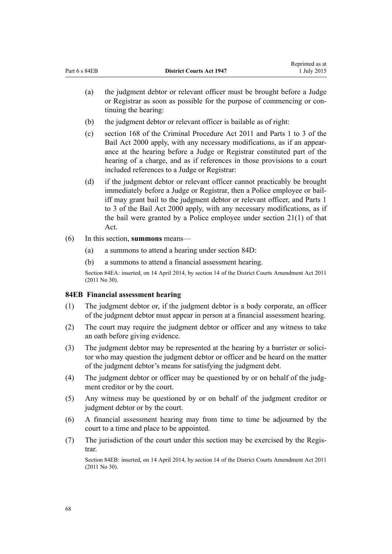- (a) the judgment debtor or relevant officer must be brought before a Judge or Registrar as soon as possible for the purpose of commencing or continuing the hearing:
- (b) the judgment debtor or relevant officer is bailable as of right:
- (c) [section 168](http://prd-lgnz-nlb.prd.pco.net.nz/pdflink.aspx?id=DLM3360288) of the Criminal Procedure Act 2011 and [Parts 1 to 3](http://prd-lgnz-nlb.prd.pco.net.nz/pdflink.aspx?id=DLM68901) of the Bail Act 2000 apply, with any necessary modifications, as if an appearance at the hearing before a Judge or Registrar constituted part of the hearing of a charge, and as if references in those provisions to a court included references to a Judge or Registrar:
- (d) if the judgment debtor or relevant officer cannot practicably be brought immediately before a Judge or Registrar, then a Police employee or bailiff may grant bail to the judgment debtor or relevant officer, and [Parts 1](http://prd-lgnz-nlb.prd.pco.net.nz/pdflink.aspx?id=DLM68901) [to 3](http://prd-lgnz-nlb.prd.pco.net.nz/pdflink.aspx?id=DLM68901) of the Bail Act 2000 apply, with any necessary modifications, as if the bail were granted by a Police employee under [section 21\(1\)](http://prd-lgnz-nlb.prd.pco.net.nz/pdflink.aspx?id=DLM68931) of that Act.
- (6) In this section, **summons** means—
	- (a) a summons to attend a hearing under [section 84D:](#page-64-0)
	- (b) a summons to attend a financial assessment hearing.

Section 84EA: inserted, on 14 April 2014, by [section 14](http://prd-lgnz-nlb.prd.pco.net.nz/pdflink.aspx?id=DLM2929752) of the District Courts Amendment Act 2011 (2011 No 30).

## **84EB Financial assessment hearing**

- (1) The judgment debtor or, if the judgment debtor is a body corporate, an officer of the judgment debtor must appear in person at a financial assessment hearing.
- (2) The court may require the judgment debtor or officer and any witness to take an oath before giving evidence.
- (3) The judgment debtor may be represented at the hearing by a barrister or solicitor who may question the judgment debtor or officer and be heard on the matter of the judgment debtor's means for satisfying the judgment debt.
- (4) The judgment debtor or officer may be questioned by or on behalf of the judgment creditor or by the court.
- (5) Any witness may be questioned by or on behalf of the judgment creditor or judgment debtor or by the court.
- (6) A financial assessment hearing may from time to time be adjourned by the court to a time and place to be appointed.
- (7) The jurisdiction of the court under this section may be exercised by the Registrar.

Section 84EB: inserted, on 14 April 2014, by [section 14](http://prd-lgnz-nlb.prd.pco.net.nz/pdflink.aspx?id=DLM2929752) of the District Courts Amendment Act 2011 (2011 No 30).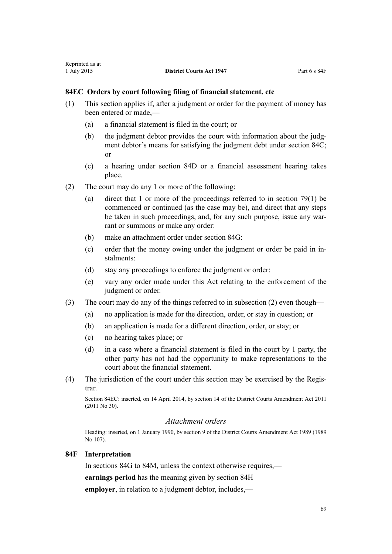- (1) This section applies if, after a judgment or order for the payment of money has been entered or made —
	- (a) a financial statement is filed in the court; or

<span id="page-68-0"></span>Reprinted as at

- (b) the judgment debtor provides the court with information about the judgment debtor's means for satisfying the judgment debt under [section 84C;](#page-64-0) or
- (c) a hearing under [section 84D](#page-64-0) or a financial assessment hearing takes place.
- (2) The court may do any 1 or more of the following:
	- (a) direct that 1 or more of the proceedings referred to in [section 79\(1\)](#page-59-0) be commenced or continued (as the case may be), and direct that any steps be taken in such proceedings, and, for any such purpose, issue any warrant or summons or make any order:
	- (b) make an attachment order under [section 84G](#page-70-0):
	- (c) order that the money owing under the judgment or order be paid in instalments:
	- (d) stay any proceedings to enforce the judgment or order:
	- (e) vary any order made under this Act relating to the enforcement of the judgment or order.
- (3) The court may do any of the things referred to in subsection (2) even though—
	- (a) no application is made for the direction, order, or stay in question; or
	- (b) an application is made for a different direction, order, or stay; or
	- (c) no hearing takes place; or
	- (d) in a case where a financial statement is filed in the court by 1 party, the other party has not had the opportunity to make representations to the court about the financial statement.
- (4) The jurisdiction of the court under this section may be exercised by the Registrar.

Section 84EC: inserted, on 14 April 2014, by [section 14](http://prd-lgnz-nlb.prd.pco.net.nz/pdflink.aspx?id=DLM2929752) of the District Courts Amendment Act 2011 (2011 No 30).

## *Attachment orders*

Heading: inserted, on 1 January 1990, by section 9 of the District Courts Amendment Act 1989 (1989 No 107).

#### **84F Interpretation**

In [sections 84G to 84M,](#page-70-0) unless the context otherwise requires,—

**earnings period** has the meaning given by [section 84H](#page-70-0)

**employer**, in relation to a judgment debtor, includes,—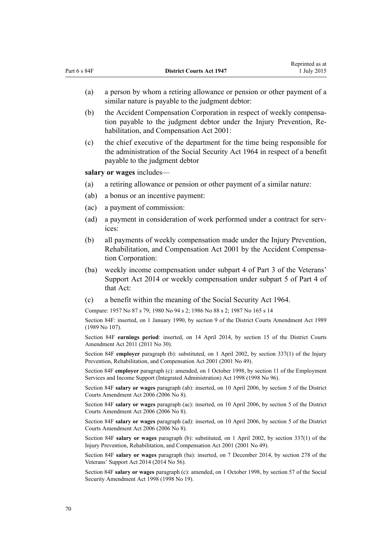|    | (a)                                                                                                                                                                               | a person by whom a retiring allowance or pension or other payment of a<br>similar nature is payable to the judgment debtor:                                                              |
|----|-----------------------------------------------------------------------------------------------------------------------------------------------------------------------------------|------------------------------------------------------------------------------------------------------------------------------------------------------------------------------------------|
|    | (b)                                                                                                                                                                               | the Accident Compensation Corporation in respect of weekly compensa-<br>tion payable to the judgment debtor under the Injury Prevention, Re-<br>habilitation, and Compensation Act 2001: |
|    | (c)                                                                                                                                                                               | the chief executive of the department for the time being responsible for<br>the administration of the Social Security Act 1964 in respect of a benefit<br>payable to the judgment debtor |
|    |                                                                                                                                                                                   | salary or wages includes—                                                                                                                                                                |
|    | (a)                                                                                                                                                                               | a retiring allowance or pension or other payment of a similar nature:                                                                                                                    |
|    | (ab)                                                                                                                                                                              | a bonus or an incentive payment:                                                                                                                                                         |
|    | (ac)                                                                                                                                                                              | a payment of commission:                                                                                                                                                                 |
|    | (ad)                                                                                                                                                                              | a payment in consideration of work performed under a contract for serv-<br>ices:                                                                                                         |
|    | (b)                                                                                                                                                                               | all payments of weekly compensation made under the Injury Prevention,<br>Rehabilitation, and Compensation Act 2001 by the Accident Compensa-<br>tion Corporation:                        |
|    | (ba)                                                                                                                                                                              | weekly income compensation under subpart 4 of Part 3 of the Veterans'<br>Support Act 2014 or weekly compensation under subpart 5 of Part 4 of<br>that Act:                               |
|    | (c)                                                                                                                                                                               | a benefit within the meaning of the Social Security Act 1964.                                                                                                                            |
|    |                                                                                                                                                                                   | Compare: 1957 No 87 s 79; 1980 No 94 s 2; 1986 No 88 s 2; 1987 No 165 s 14                                                                                                               |
|    | Section 84F: inserted, on 1 January 1990, by section 9 of the District Courts Amendment Act 1989<br>(1989 No 107).                                                                |                                                                                                                                                                                          |
|    | Section 84F earnings period: inserted, on 14 April 2014, by section 15 of the District Courts<br>Amendment Act 2011 (2011 No 30).                                                 |                                                                                                                                                                                          |
|    | Section 84F employer paragraph (b): substituted, on 1 April 2002, by section 337(1) of the Injury<br>Prevention, Rehabilitation, and Compensation Act 2001 (2001 No 49).          |                                                                                                                                                                                          |
|    | Section 84F employer paragraph (c): amended, on 1 October 1998, by section 11 of the Employment<br>Services and Income Support (Integrated Administration) Act 1998 (1998 No 96). |                                                                                                                                                                                          |
|    | Section 84F salary or wages paragraph (ab): inserted, on 10 April 2006, by section 5 of the District<br>Courts Amendment Act 2006 (2006 No 8).                                    |                                                                                                                                                                                          |
|    | Section 84F salary or wages paragraph (ac): inserted, on 10 April 2006, by section 5 of the District<br>Courts Amendment Act 2006 (2006 No 8).                                    |                                                                                                                                                                                          |
|    | Section 84F salary or wages paragraph (ad): inserted, on 10 April 2006, by section 5 of the District<br>Courts Amendment Act 2006 (2006 No 8).                                    |                                                                                                                                                                                          |
|    | Section 84F salary or wages paragraph (b): substituted, on 1 April 2002, by section 337(1) of the<br>Injury Prevention, Rehabilitation, and Compensation Act 2001 (2001 No 49).   |                                                                                                                                                                                          |
|    |                                                                                                                                                                                   | Section 84F salary or wages paragraph (ba): inserted, on 7 December 2014, by section 278 of the<br>Veterans' Support Act 2014 (2014 No 56).                                              |
|    |                                                                                                                                                                                   | Section 84F salary or wages paragraph (c): amended, on 1 October 1998, by section 57 of the Social<br>Security Amendment Act 1998 (1998 No 19).                                          |
|    |                                                                                                                                                                                   |                                                                                                                                                                                          |
| 70 |                                                                                                                                                                                   |                                                                                                                                                                                          |
|    |                                                                                                                                                                                   |                                                                                                                                                                                          |
|    |                                                                                                                                                                                   |                                                                                                                                                                                          |
|    |                                                                                                                                                                                   |                                                                                                                                                                                          |
|    |                                                                                                                                                                                   |                                                                                                                                                                                          |
|    |                                                                                                                                                                                   |                                                                                                                                                                                          |

Part 6 s 84F **District Courts Act 1947** 

Reprinted as at 1 July 2015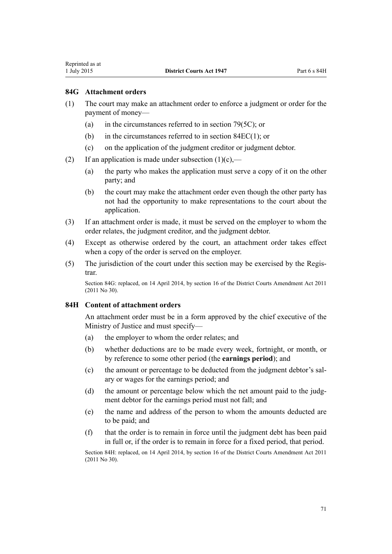## <span id="page-70-0"></span>**84G Attachment orders**

- (1) The court may make an attachment order to enforce a judgment or order for the payment of money—
	- (a) in the circumstances referred to in [section 79\(5C\);](#page-59-0) or
	- (b) in the circumstances referred to in [section 84EC\(1\);](#page-68-0) or
	- (c) on the application of the judgment creditor or judgment debtor.
- (2) If an application is made under subsection  $(1)(c)$ ,—
	- (a) the party who makes the application must serve a copy of it on the other party; and
	- (b) the court may make the attachment order even though the other party has not had the opportunity to make representations to the court about the application.
- (3) If an attachment order is made, it must be served on the employer to whom the order relates, the judgment creditor, and the judgment debtor.
- (4) Except as otherwise ordered by the court, an attachment order takes effect when a copy of the order is served on the employer.
- (5) The jurisdiction of the court under this section may be exercised by the Registrar.

Section 84G: replaced, on 14 April 2014, by [section 16](http://prd-lgnz-nlb.prd.pco.net.nz/pdflink.aspx?id=DLM2929768) of the District Courts Amendment Act 2011 (2011 No 30).

#### **84H Content of attachment orders**

An attachment order must be in a form approved by the chief executive of the Ministry of Justice and must specify—

- (a) the employer to whom the order relates; and
- (b) whether deductions are to be made every week, fortnight, or month, or by reference to some other period (the **earnings period**); and
- (c) the amount or percentage to be deducted from the judgment debtor's salary or wages for the earnings period; and
- (d) the amount or percentage below which the net amount paid to the judgment debtor for the earnings period must not fall; and
- (e) the name and address of the person to whom the amounts deducted are to be paid; and
- (f) that the order is to remain in force until the judgment debt has been paid in full or, if the order is to remain in force for a fixed period, that period.

Section 84H: replaced, on 14 April 2014, by [section 16](http://prd-lgnz-nlb.prd.pco.net.nz/pdflink.aspx?id=DLM2929768) of the District Courts Amendment Act 2011 (2011 No 30).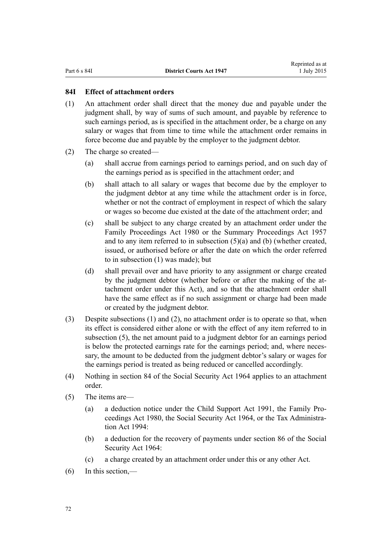## <span id="page-71-0"></span>**84I Effect of attachment orders**

- (1) An attachment order shall direct that the money due and payable under the judgment shall, by way of sums of such amount, and payable by reference to such earnings period, as is specified in the attachment order, be a charge on any salary or wages that from time to time while the attachment order remains in force become due and payable by the employer to the judgment debtor.
- (2) The charge so created—
	- (a) shall accrue from earnings period to earnings period, and on such day of the earnings period as is specified in the attachment order; and
	- (b) shall attach to all salary or wages that become due by the employer to the judgment debtor at any time while the attachment order is in force, whether or not the contract of employment in respect of which the salary or wages so become due existed at the date of the attachment order; and
	- (c) shall be subject to any charge created by an attachment order under the [Family Proceedings Act 1980](http://prd-lgnz-nlb.prd.pco.net.nz/pdflink.aspx?id=DLM39722) or the [Summary Proceedings Act 1957](http://prd-lgnz-nlb.prd.pco.net.nz/pdflink.aspx?id=DLM310742) and to any item referred to in subsection (5)(a) and (b) (whether created, issued, or authorised before or after the date on which the order referred to in subsection (1) was made); but
	- (d) shall prevail over and have priority to any assignment or charge created by the judgment debtor (whether before or after the making of the attachment order under this Act), and so that the attachment order shall have the same effect as if no such assignment or charge had been made or created by the judgment debtor.
- (3) Despite subsections (1) and (2), no attachment order is to operate so that, when its effect is considered either alone or with the effect of any item referred to in subsection (5), the net amount paid to a judgment debtor for an earnings period is below the protected earnings rate for the earnings period; and, where necessary, the amount to be deducted from the judgment debtor's salary or wages for the earnings period is treated as being reduced or cancelled accordingly.
- (4) Nothing in [section 84](http://prd-lgnz-nlb.prd.pco.net.nz/pdflink.aspx?id=DLM364489) of the Social Security Act 1964 applies to an attachment order.
- (5) The items are—
	- (a) a deduction notice under the [Child Support Act 1991,](http://prd-lgnz-nlb.prd.pco.net.nz/pdflink.aspx?id=DLM253150) the [Family Pro](http://prd-lgnz-nlb.prd.pco.net.nz/pdflink.aspx?id=DLM39722)[ceedings Act 1980](http://prd-lgnz-nlb.prd.pco.net.nz/pdflink.aspx?id=DLM39722), the [Social Security Act 1964](http://prd-lgnz-nlb.prd.pco.net.nz/pdflink.aspx?id=DLM359106), or the [Tax Administra](http://prd-lgnz-nlb.prd.pco.net.nz/pdflink.aspx?id=DLM348342)[tion Act 1994](http://prd-lgnz-nlb.prd.pco.net.nz/pdflink.aspx?id=DLM348342):
	- (b) a deduction for the recovery of payments under [section 86](http://prd-lgnz-nlb.prd.pco.net.nz/pdflink.aspx?id=DLM364809) of the Social Security Act 1964:
	- (c) a charge created by an attachment order under this or any other Act.
- (6) In this section,—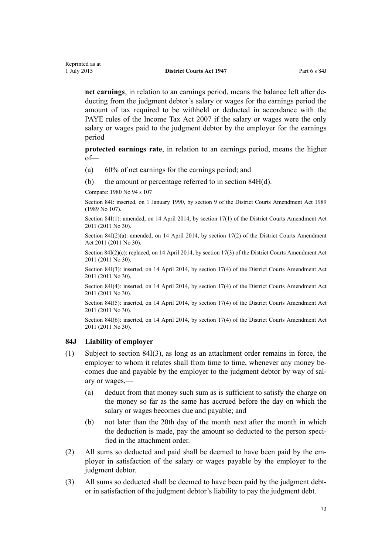**net earnings**, in relation to an earnings period, means the balance left after deducting from the judgment debtor's salary or wages for the earnings period the amount of tax required to be withheld or deducted in accordance with the PAYE rules of the [Income Tax Act 2007](http://prd-lgnz-nlb.prd.pco.net.nz/pdflink.aspx?id=DLM1512300) if the salary or wages were the only salary or wages paid to the judgment debtor by the employer for the earnings period

**protected earnings rate**, in relation to an earnings period, means the higher of—

- (a) 60% of net earnings for the earnings period; and
- (b) the amount or percentage referred to in [section 84H\(d\)](#page-70-0).

Compare: 1980 No 94 [s 107](http://prd-lgnz-nlb.prd.pco.net.nz/pdflink.aspx?id=DLM41257)

Section 84I: inserted, on 1 January 1990, by section 9 of the District Courts Amendment Act 1989 (1989 No 107).

Section 84I(1): amended, on 14 April 2014, by [section 17\(1\)](http://prd-lgnz-nlb.prd.pco.net.nz/pdflink.aspx?id=DLM2929772) of the District Courts Amendment Act 2011 (2011 No 30).

Section 84I(2)(a): amended, on 14 April 2014, by [section 17\(2\)](http://prd-lgnz-nlb.prd.pco.net.nz/pdflink.aspx?id=DLM2929772) of the District Courts Amendment Act 2011 (2011 No 30).

Section 84I(2)(c): replaced, on 14 April 2014, by [section 17\(3\)](http://prd-lgnz-nlb.prd.pco.net.nz/pdflink.aspx?id=DLM2929772) of the District Courts Amendment Act 2011 (2011 No 30).

Section 84I(3): inserted, on 14 April 2014, by [section 17\(4\)](http://prd-lgnz-nlb.prd.pco.net.nz/pdflink.aspx?id=DLM2929772) of the District Courts Amendment Act 2011 (2011 No 30).

Section 84I(4): inserted, on 14 April 2014, by [section 17\(4\)](http://prd-lgnz-nlb.prd.pco.net.nz/pdflink.aspx?id=DLM2929772) of the District Courts Amendment Act 2011 (2011 No 30).

Section 84I(5): inserted, on 14 April 2014, by [section 17\(4\)](http://prd-lgnz-nlb.prd.pco.net.nz/pdflink.aspx?id=DLM2929772) of the District Courts Amendment Act 2011 (2011 No 30).

Section 84I(6): inserted, on 14 April 2014, by [section 17\(4\)](http://prd-lgnz-nlb.prd.pco.net.nz/pdflink.aspx?id=DLM2929772) of the District Courts Amendment Act 2011 (2011 No 30).

#### **84J Liability of employer**

- (1) Subject to [section 84I\(3\)](#page-71-0), as long as an attachment order remains in force, the employer to whom it relates shall from time to time, whenever any money becomes due and payable by the employer to the judgment debtor by way of salary or wages,—
	- (a) deduct from that money such sum as is sufficient to satisfy the charge on the money so far as the same has accrued before the day on which the salary or wages becomes due and payable; and
	- (b) not later than the 20th day of the month next after the month in which the deduction is made, pay the amount so deducted to the person specified in the attachment order.
- (2) All sums so deducted and paid shall be deemed to have been paid by the employer in satisfaction of the salary or wages payable by the employer to the judgment debtor.
- (3) All sums so deducted shall be deemed to have been paid by the judgment debtor in satisfaction of the judgment debtor's liability to pay the judgment debt.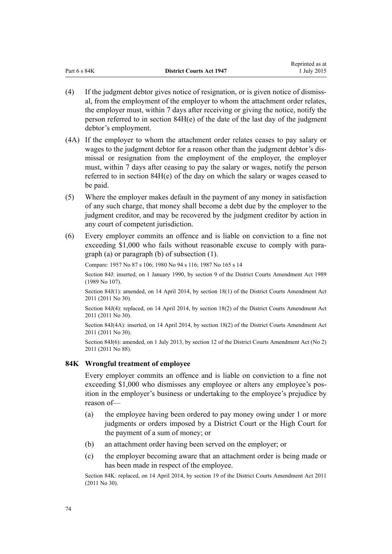<span id="page-73-0"></span>

|              |                                 | www.com     |
|--------------|---------------------------------|-------------|
| Part 6 s 84K | <b>District Courts Act 1947</b> | 1 July 2015 |

Reprinted as at

- (4) If the judgment debtor gives notice of resignation, or is given notice of dismissal, from the employment of the employer to whom the attachment order relates, the employer must, within 7 days after receiving or giving the notice, notify the person referred to in [section 84H\(e\)](#page-70-0) of the date of the last day of the judgment debtor's employment.
- (4A) If the employer to whom the attachment order relates ceases to pay salary or wages to the judgment debtor for a reason other than the judgment debtor's dismissal or resignation from the employment of the employer, the employer must, within 7 days after ceasing to pay the salary or wages, notify the person referred to in [section 84H\(e\)](#page-70-0) of the day on which the salary or wages ceased to be paid.
- (5) Where the employer makes default in the payment of any money in satisfaction of any such charge, that money shall become a debt due by the employer to the judgment creditor, and may be recovered by the judgment creditor by action in any court of competent jurisdiction.
- (6) Every employer commits an offence and is liable on conviction to a fine not exceeding \$1,000 who fails without reasonable excuse to comply with paragraph (a) or paragraph (b) of subsection (1).

Compare: 1957 No 87 [s 106;](http://prd-lgnz-nlb.prd.pco.net.nz/pdflink.aspx?id=DLM312616) 1980 No 94 [s 116](http://prd-lgnz-nlb.prd.pco.net.nz/pdflink.aspx?id=DLM41277); 1987 No 165 [s 14](http://prd-lgnz-nlb.prd.pco.net.nz/pdflink.aspx?id=DLM122235)

Section 84J: inserted, on 1 January 1990, by section 9 of the District Courts Amendment Act 1989 (1989 No 107).

Section 84J(1): amended, on 14 April 2014, by [section 18\(1\)](http://prd-lgnz-nlb.prd.pco.net.nz/pdflink.aspx?id=DLM2929777) of the District Courts Amendment Act 2011 (2011 No 30).

Section 84J(4): replaced, on 14 April 2014, by [section 18\(2\)](http://prd-lgnz-nlb.prd.pco.net.nz/pdflink.aspx?id=DLM2929777) of the District Courts Amendment Act 2011 (2011 No 30).

Section 84J(4A): inserted, on 14 April 2014, by [section 18\(2\)](http://prd-lgnz-nlb.prd.pco.net.nz/pdflink.aspx?id=DLM2929777) of the District Courts Amendment Act 2011 (2011 No 30).

Section 84J(6): amended, on 1 July 2013, by [section 12](http://prd-lgnz-nlb.prd.pco.net.nz/pdflink.aspx?id=DLM4058121) of the District Courts Amendment Act (No 2) 2011 (2011 No 88).

# **84K Wrongful treatment of employee**

Every employer commits an offence and is liable on conviction to a fine not exceeding \$1,000 who dismisses any employee or alters any employee's position in the employer's business or undertaking to the employee's prejudice by reason of—

- (a) the employee having been ordered to pay money owing under 1 or more judgments or orders imposed by a District Court or the High Court for the payment of a sum of money; or
- (b) an attachment order having been served on the employer; or
- (c) the employer becoming aware that an attachment order is being made or has been made in respect of the employee.

Section 84K: replaced, on 14 April 2014, by [section 19](http://prd-lgnz-nlb.prd.pco.net.nz/pdflink.aspx?id=DLM3556507) of the District Courts Amendment Act 2011 (2011 No 30).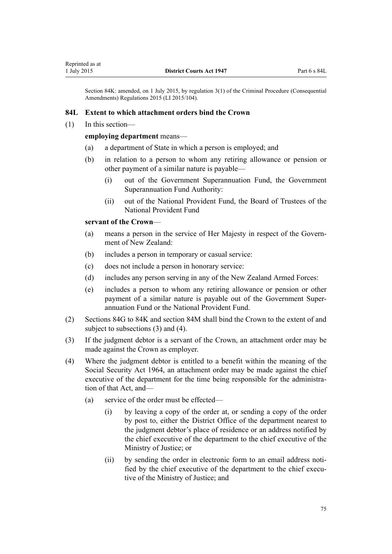<span id="page-74-0"></span>Section 84K: amended, on 1 July 2015, by [regulation 3\(1\)](http://prd-lgnz-nlb.prd.pco.net.nz/pdflink.aspx?id=DLM6474113) of the Criminal Procedure (Consequential Amendments) Regulations 2015 (LI 2015/104).

### **84L Extent to which attachment orders bind the Crown**

(1) In this section—

#### **employing department** means—

- (a) a department of State in which a person is employed; and
- (b) in relation to a person to whom any retiring allowance or pension or other payment of a similar nature is payable—
	- (i) out of the Government Superannuation Fund, the Government Superannuation Fund Authority:
	- (ii) out of the National Provident Fund, the Board of Trustees of the National Provident Fund

## **servant of the Crown**—

- (a) means a person in the service of Her Majesty in respect of the Government of New Zealand:
- (b) includes a person in temporary or casual service:
- (c) does not include a person in honorary service:
- (d) includes any person serving in any of the New Zealand Armed Forces:
- (e) includes a person to whom any retiring allowance or pension or other payment of a similar nature is payable out of the Government Superannuation Fund or the National Provident Fund.
- (2) [Sections 84G](#page-70-0) to [84K](#page-73-0) and [section 84M](#page-75-0) shall bind the Crown to the extent of and subject to subsections (3) and (4).
- (3) If the judgment debtor is a servant of the Crown, an attachment order may be made against the Crown as employer.
- (4) Where the judgment debtor is entitled to a benefit within the meaning of the [Social Security Act 1964,](http://prd-lgnz-nlb.prd.pco.net.nz/pdflink.aspx?id=DLM359106) an attachment order may be made against the chief executive of the department for the time being responsible for the administration of that Act, and—
	- (a) service of the order must be effected—
		- (i) by leaving a copy of the order at, or sending a copy of the order by post to, either the District Office of the department nearest to the judgment debtor's place of residence or an address notified by the chief executive of the department to the chief executive of the Ministry of Justice; or
		- (ii) by sending the order in electronic form to an email address notified by the chief executive of the department to the chief executive of the Ministry of Justice; and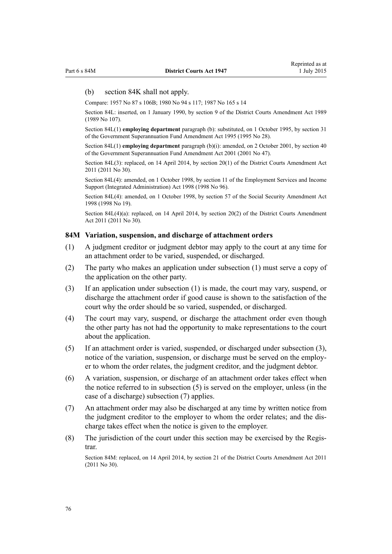#### <span id="page-75-0"></span>(b) [section 84K](#page-73-0) shall not apply.

Compare: 1957 No 87 [s 106B;](http://prd-lgnz-nlb.prd.pco.net.nz/pdflink.aspx?id=DLM312627) 1980 No 94 [s 117](http://prd-lgnz-nlb.prd.pco.net.nz/pdflink.aspx?id=DLM41279); 1987 No 165 [s 14](http://prd-lgnz-nlb.prd.pco.net.nz/pdflink.aspx?id=DLM122235)

Section 84L: inserted, on 1 January 1990, by section 9 of the District Courts Amendment Act 1989 (1989 No 107).

Section 84L(1) **employing department** paragraph (b): substituted, on 1 October 1995, by [section 31](http://prd-lgnz-nlb.prd.pco.net.nz/pdflink.aspx?id=DLM366271) of the Government Superannuation Fund Amendment Act 1995 (1995 No 28).

Section 84L(1) **employing department** paragraph (b)(i): amended, on 2 October 2001, by [section 40](http://prd-lgnz-nlb.prd.pco.net.nz/pdflink.aspx?id=DLM99003) of the Government Superannuation Fund Amendment Act 2001 (2001 No 47).

Section 84L(3): replaced, on 14 April 2014, by [section 20\(1\)](http://prd-lgnz-nlb.prd.pco.net.nz/pdflink.aspx?id=DLM2929778) of the District Courts Amendment Act 2011 (2011 No 30).

Section 84L(4): amended, on 1 October 1998, by [section 11](http://prd-lgnz-nlb.prd.pco.net.nz/pdflink.aspx?id=DLM429013) of the Employment Services and Income Support (Integrated Administration) Act 1998 (1998 No 96).

Section 84L(4): amended, on 1 October 1998, by [section 57](http://prd-lgnz-nlb.prd.pco.net.nz/pdflink.aspx?id=DLM426000) of the Social Security Amendment Act 1998 (1998 No 19).

Section 84L(4)(a): replaced, on 14 April 2014, by [section 20\(2\)](http://prd-lgnz-nlb.prd.pco.net.nz/pdflink.aspx?id=DLM2929778) of the District Courts Amendment Act 2011 (2011 No 30).

### **84M Variation, suspension, and discharge of attachment orders**

- (1) A judgment creditor or judgment debtor may apply to the court at any time for an attachment order to be varied, suspended, or discharged.
- (2) The party who makes an application under subsection (1) must serve a copy of the application on the other party.
- (3) If an application under subsection (1) is made, the court may vary, suspend, or discharge the attachment order if good cause is shown to the satisfaction of the court why the order should be so varied, suspended, or discharged.
- (4) The court may vary, suspend, or discharge the attachment order even though the other party has not had the opportunity to make representations to the court about the application.
- (5) If an attachment order is varied, suspended, or discharged under subsection (3), notice of the variation, suspension, or discharge must be served on the employer to whom the order relates, the judgment creditor, and the judgment debtor.
- (6) A variation, suspension, or discharge of an attachment order takes effect when the notice referred to in subsection (5) is served on the employer, unless (in the case of a discharge) subsection (7) applies.
- (7) An attachment order may also be discharged at any time by written notice from the judgment creditor to the employer to whom the order relates; and the discharge takes effect when the notice is given to the employer.
- (8) The jurisdiction of the court under this section may be exercised by the Registrar.

Section 84M: replaced, on 14 April 2014, by [section 21](http://prd-lgnz-nlb.prd.pco.net.nz/pdflink.aspx?id=DLM2929779) of the District Courts Amendment Act 2011 (2011 No 30).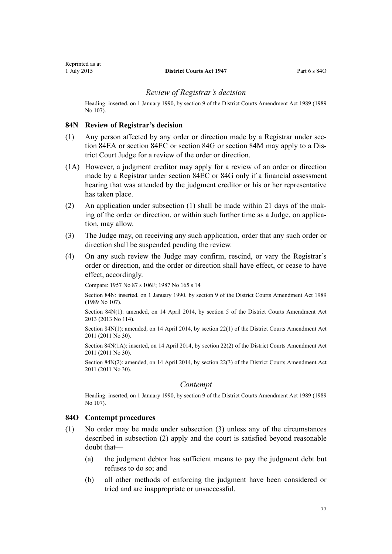## *Review of Registrar's decision*

<span id="page-76-0"></span>Heading: inserted, on 1 January 1990, by section 9 of the District Courts Amendment Act 1989 (1989 No 107).

## **84N Review of Registrar's decision**

- (1) Any person affected by any order or direction made by a Registrar under [sec](#page-66-0)[tion 84EA](#page-66-0) or [section 84EC](#page-68-0) or [section 84G](#page-70-0) or [section 84M](#page-75-0) may apply to a District Court Judge for a review of the order or direction.
- (1A) However, a judgment creditor may apply for a review of an order or direction made by a Registrar under [section 84EC](#page-68-0) or [84G](#page-70-0) only if a financial assessment hearing that was attended by the judgment creditor or his or her representative has taken place.
- (2) An application under subsection (1) shall be made within 21 days of the making of the order or direction, or within such further time as a Judge, on application, may allow.
- (3) The Judge may, on receiving any such application, order that any such order or direction shall be suspended pending the review.
- (4) On any such review the Judge may confirm, rescind, or vary the Registrar's order or direction, and the order or direction shall have effect, or cease to have effect, accordingly.

Compare: 1957 No 87 [s 106F;](http://prd-lgnz-nlb.prd.pco.net.nz/pdflink.aspx?id=DLM312653) 1987 No 165 [s 14](http://prd-lgnz-nlb.prd.pco.net.nz/pdflink.aspx?id=DLM122235)

Section 84N: inserted, on 1 January 1990, by section 9 of the District Courts Amendment Act 1989 (1989 No 107).

Section 84N(1): amended, on 14 April 2014, by [section 5](http://prd-lgnz-nlb.prd.pco.net.nz/pdflink.aspx?id=DLM5621708) of the District Courts Amendment Act 2013 (2013 No 114).

Section 84N(1): amended, on 14 April 2014, by [section 22\(1\)](http://prd-lgnz-nlb.prd.pco.net.nz/pdflink.aspx?id=DLM2929781) of the District Courts Amendment Act 2011 (2011 No 30).

Section 84N(1A): inserted, on 14 April 2014, by [section 22\(2\)](http://prd-lgnz-nlb.prd.pco.net.nz/pdflink.aspx?id=DLM2929781) of the District Courts Amendment Act 2011 (2011 No 30).

Section 84N(2): amended, on 14 April 2014, by [section 22\(3\)](http://prd-lgnz-nlb.prd.pco.net.nz/pdflink.aspx?id=DLM2929781) of the District Courts Amendment Act 2011 (2011 No 30).

#### *Contempt*

Heading: inserted, on 1 January 1990, by section 9 of the District Courts Amendment Act 1989 (1989 No 107).

#### **84O Contempt procedures**

- (1) No order may be made under subsection (3) unless any of the circumstances described in subsection (2) apply and the court is satisfied beyond reasonable doubt that—
	- (a) the judgment debtor has sufficient means to pay the judgment debt but refuses to do so; and
	- (b) all other methods of enforcing the judgment have been considered or tried and are inappropriate or unsuccessful.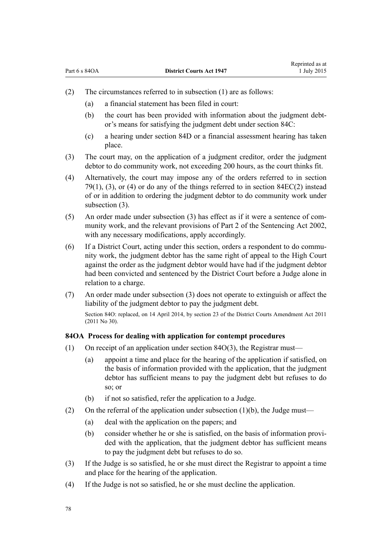- <span id="page-77-0"></span>(2) The circumstances referred to in subsection (1) are as follows:
	- (a) a financial statement has been filed in court:
	- (b) the court has been provided with information about the judgment debtor's means for satisfying the judgment debt under [section 84C](#page-64-0):
	- (c) a hearing under [section 84D](#page-64-0) or a financial assessment hearing has taken place.
- (3) The court may, on the application of a judgment creditor, order the judgment debtor to do community work, not exceeding 200 hours, as the court thinks fit.
- (4) Alternatively, the court may impose any of the orders referred to in [section](#page-59-0) [79\(1\), \(3\), or \(4\)](#page-59-0) or do any of the things referred to in section  $84EC(2)$  instead of or in addition to ordering the judgment debtor to do community work under subsection (3).
- (5) An order made under subsection (3) has effect as if it were a sentence of community work, and the relevant provisions of [Part 2](http://prd-lgnz-nlb.prd.pco.net.nz/pdflink.aspx?id=DLM135593) of the Sentencing Act 2002, with any necessary modifications, apply accordingly.
- (6) If a District Court, acting under this section, orders a respondent to do community work, the judgment debtor has the same right of appeal to the High Court against the order as the judgment debtor would have had if the judgment debtor had been convicted and sentenced by the District Court before a Judge alone in relation to a charge.
- (7) An order made under subsection (3) does not operate to extinguish or affect the liability of the judgment debtor to pay the judgment debt. Section 84O: replaced, on 14 April 2014, by [section 23](http://prd-lgnz-nlb.prd.pco.net.nz/pdflink.aspx?id=DLM3556509) of the District Courts Amendment Act 2011 (2011 No 30).

#### **84OA Process for dealing with application for contempt procedures**

- (1) On receipt of an application under [section 84O\(3\)](#page-76-0), the Registrar must—
	- (a) appoint a time and place for the hearing of the application if satisfied, on the basis of information provided with the application, that the judgment debtor has sufficient means to pay the judgment debt but refuses to do so; or
	- (b) if not so satisfied, refer the application to a Judge.
- (2) On the referral of the application under subsection  $(1)(b)$ , the Judge must—
	- (a) deal with the application on the papers; and
	- (b) consider whether he or she is satisfied, on the basis of information provided with the application, that the judgment debtor has sufficient means to pay the judgment debt but refuses to do so.
- (3) If the Judge is so satisfied, he or she must direct the Registrar to appoint a time and place for the hearing of the application.
- (4) If the Judge is not so satisfied, he or she must decline the application.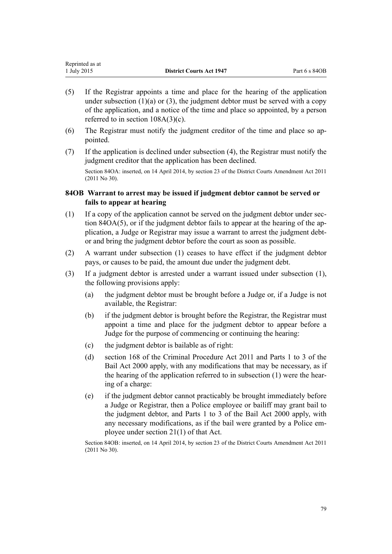| Reprinted as at |                                 |               |
|-----------------|---------------------------------|---------------|
| 1 July 2015     | <b>District Courts Act 1947</b> | Part 6 s 84OB |

Representative as a set of the set of the set of the set of the set of the set of the set of the set of the set of the set of the set of the set of the set of the set of the set of the set of the set of the set of the set

- (5) If the Registrar appoints a time and place for the hearing of the application under subsection  $(1)(a)$  or  $(3)$ , the judgment debtor must be served with a copy of the application, and a notice of the time and place so appointed, by a person referred to in [section 108A\(3\)\(c\)](#page-94-0).
- (6) The Registrar must notify the judgment creditor of the time and place so appointed.
- (7) If the application is declined under subsection (4), the Registrar must notify the judgment creditor that the application has been declined.

Section 84OA: inserted, on 14 April 2014, by [section 23](http://prd-lgnz-nlb.prd.pco.net.nz/pdflink.aspx?id=DLM3556509) of the District Courts Amendment Act 2011 (2011 No 30).

## **84OB Warrant to arrest may be issued if judgment debtor cannot be served or fails to appear at hearing**

- (1) If a copy of the application cannot be served on the judgment debtor under [sec](#page-77-0)[tion 84OA\(5\),](#page-77-0) or if the judgment debtor fails to appear at the hearing of the application, a Judge or Registrar may issue a warrant to arrest the judgment debtor and bring the judgment debtor before the court as soon as possible.
- (2) A warrant under subsection (1) ceases to have effect if the judgment debtor pays, or causes to be paid, the amount due under the judgment debt.
- (3) If a judgment debtor is arrested under a warrant issued under subsection (1), the following provisions apply:
	- (a) the judgment debtor must be brought before a Judge or, if a Judge is not available, the Registrar:
	- (b) if the judgment debtor is brought before the Registrar, the Registrar must appoint a time and place for the judgment debtor to appear before a Judge for the purpose of commencing or continuing the hearing:
	- (c) the judgment debtor is bailable as of right:
	- (d) [section 168](http://prd-lgnz-nlb.prd.pco.net.nz/pdflink.aspx?id=DLM3360288) of the Criminal Procedure Act 2011 and [Parts 1 to 3](http://prd-lgnz-nlb.prd.pco.net.nz/pdflink.aspx?id=DLM68901) of the Bail Act 2000 apply, with any modifications that may be necessary, as if the hearing of the application referred to in subsection (1) were the hearing of a charge:
	- (e) if the judgment debtor cannot practicably be brought immediately before a Judge or Registrar, then a Police employee or bailiff may grant bail to the judgment debtor, and [Parts 1 to 3](http://prd-lgnz-nlb.prd.pco.net.nz/pdflink.aspx?id=DLM68901) of the Bail Act 2000 apply, with any necessary modifications, as if the bail were granted by a Police employee under [section 21\(1\)](http://prd-lgnz-nlb.prd.pco.net.nz/pdflink.aspx?id=DLM68931) of that Act.

Section 84OB: inserted, on 14 April 2014, by [section 23](http://prd-lgnz-nlb.prd.pco.net.nz/pdflink.aspx?id=DLM3556509) of the District Courts Amendment Act 2011 (2011 No 30).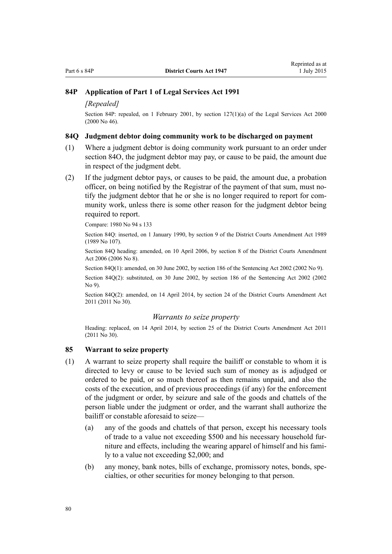## **84P Application of Part 1 of Legal Services Act 1991**

#### *[Repealed]*

Section 84P: repealed, on 1 February 2001, by [section 127\(1\)\(a\)](http://prd-lgnz-nlb.prd.pco.net.nz/pdflink.aspx?id=DLM73104) of the Legal Services Act 2000 (2000 No 46).

#### **84Q Judgment debtor doing community work to be discharged on payment**

- (1) Where a judgment debtor is doing community work pursuant to an order under [section 84O,](#page-76-0) the judgment debtor may pay, or cause to be paid, the amount due in respect of the judgment debt.
- (2) If the judgment debtor pays, or causes to be paid, the amount due, a probation officer, on being notified by the Registrar of the payment of that sum, must notify the judgment debtor that he or she is no longer required to report for community work, unless there is some other reason for the judgment debtor being required to report.

Compare: 1980 No 94 [s 133](http://prd-lgnz-nlb.prd.pco.net.nz/pdflink.aspx?id=DLM41411)

Section 84Q: inserted, on 1 January 1990, by section 9 of the District Courts Amendment Act 1989 (1989 No 107).

Section 84Q heading: amended, on 10 April 2006, by [section 8](http://prd-lgnz-nlb.prd.pco.net.nz/pdflink.aspx?id=DLM371871) of the District Courts Amendment Act 2006 (2006 No 8).

Section 84Q(1): amended, on 30 June 2002, by [section 186](http://prd-lgnz-nlb.prd.pco.net.nz/pdflink.aspx?id=DLM137267) of the Sentencing Act 2002 (2002 No 9).

Section 84Q(2): substituted, on 30 June 2002, by [section 186](http://prd-lgnz-nlb.prd.pco.net.nz/pdflink.aspx?id=DLM137267) of the Sentencing Act 2002 (2002 No 9).

Section 84Q(2): amended, on 14 April 2014, by [section 24](http://prd-lgnz-nlb.prd.pco.net.nz/pdflink.aspx?id=DLM2929783) of the District Courts Amendment Act 2011 (2011 No 30).

#### *Warrants to seize property*

Heading: replaced, on 14 April 2014, by [section 25](http://prd-lgnz-nlb.prd.pco.net.nz/pdflink.aspx?id=DLM2929784) of the District Courts Amendment Act 2011 (2011 No 30).

### **85 Warrant to seize property**

- (1) A warrant to seize property shall require the bailiff or constable to whom it is directed to levy or cause to be levied such sum of money as is adjudged or ordered to be paid, or so much thereof as then remains unpaid, and also the costs of the execution, and of previous proceedings (if any) for the enforcement of the judgment or order, by seizure and sale of the goods and chattels of the person liable under the judgment or order, and the warrant shall authorize the bailiff or constable aforesaid to seize—
	- (a) any of the goods and chattels of that person, except his necessary tools of trade to a value not exceeding \$500 and his necessary household furniture and effects, including the wearing apparel of himself and his family to a value not exceeding \$2,000; and
	- (b) any money, bank notes, bills of exchange, promissory notes, bonds, specialties, or other securities for money belonging to that person.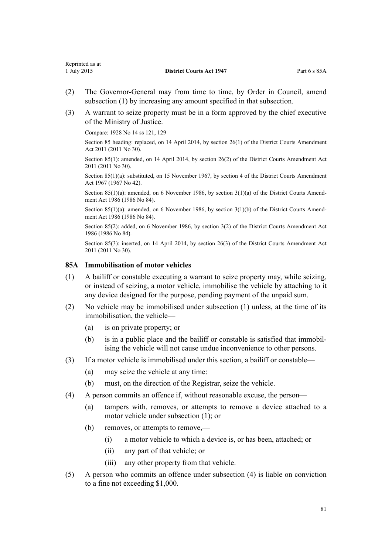- (2) The Governor-General may from time to time, by Order in Council, amend subsection (1) by increasing any amount specified in that subsection.
- (3) A warrant to seize property must be in a form approved by the chief executive of the Ministry of Justice.

Compare: 1928 No 14 ss 121, 129

Section 85 heading: replaced, on 14 April 2014, by [section 26\(1\)](http://prd-lgnz-nlb.prd.pco.net.nz/pdflink.aspx?id=DLM2929786) of the District Courts Amendment Act 2011 (2011 No 30).

Section 85(1): amended, on 14 April 2014, by [section 26\(2\)](http://prd-lgnz-nlb.prd.pco.net.nz/pdflink.aspx?id=DLM2929786) of the District Courts Amendment Act 2011 (2011 No 30).

Section 85(1)(a): substituted, on 15 November 1967, by section 4 of the District Courts Amendment Act 1967 (1967 No 42).

Section 85(1)(a): amended, on 6 November 1986, by section 3(1)(a) of the District Courts Amendment Act 1986 (1986 No 84).

Section 85(1)(a): amended, on 6 November 1986, by section 3(1)(b) of the District Courts Amendment Act 1986 (1986 No 84).

Section 85(2): added, on 6 November 1986, by section 3(2) of the District Courts Amendment Act 1986 (1986 No 84).

Section 85(3): inserted, on 14 April 2014, by [section 26\(3\)](http://prd-lgnz-nlb.prd.pco.net.nz/pdflink.aspx?id=DLM2929786) of the District Courts Amendment Act 2011 (2011 No 30).

## **85A Immobilisation of motor vehicles**

- (1) A bailiff or constable executing a warrant to seize property may, while seizing, or instead of seizing, a motor vehicle, immobilise the vehicle by attaching to it any device designed for the purpose, pending payment of the unpaid sum.
- (2) No vehicle may be immobilised under subsection (1) unless, at the time of its immobilisation, the vehicle—
	- (a) is on private property; or
	- (b) is in a public place and the bailiff or constable is satisfied that immobilising the vehicle will not cause undue inconvenience to other persons.
- (3) If a motor vehicle is immobilised under this section, a bailiff or constable—
	- (a) may seize the vehicle at any time:
	- (b) must, on the direction of the Registrar, seize the vehicle.
- (4) A person commits an offence if, without reasonable excuse, the person—
	- (a) tampers with, removes, or attempts to remove a device attached to a motor vehicle under subsection (1); or
	- (b) removes, or attempts to remove,—
		- (i) a motor vehicle to which a device is, or has been, attached; or
		- (ii) any part of that vehicle; or
		- (iii) any other property from that vehicle.
- (5) A person who commits an offence under subsection (4) is liable on conviction to a fine not exceeding \$1,000.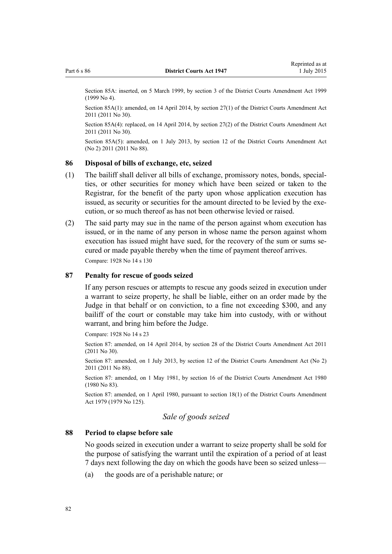Section 85A: inserted, on 5 March 1999, by [section 3](http://prd-lgnz-nlb.prd.pco.net.nz/pdflink.aspx?id=DLM19365) of the District Courts Amendment Act 1999 (1999 No 4).

Section 85A(1): amended, on 14 April 2014, by [section 27\(1\)](http://prd-lgnz-nlb.prd.pco.net.nz/pdflink.aspx?id=DLM2929787) of the District Courts Amendment Act 2011 (2011 No 30).

Section 85A(4): replaced, on 14 April 2014, by [section 27\(2\)](http://prd-lgnz-nlb.prd.pco.net.nz/pdflink.aspx?id=DLM2929787) of the District Courts Amendment Act 2011 (2011 No 30).

Section 85A(5): amended, on 1 July 2013, by [section 12](http://prd-lgnz-nlb.prd.pco.net.nz/pdflink.aspx?id=DLM4058121) of the District Courts Amendment Act (No 2) 2011 (2011 No 88).

### **86 Disposal of bills of exchange, etc, seized**

- (1) The bailiff shall deliver all bills of exchange, promissory notes, bonds, specialties, or other securities for money which have been seized or taken to the Registrar, for the benefit of the party upon whose application execution has issued, as security or securities for the amount directed to be levied by the execution, or so much thereof as has not been otherwise levied or raised.
- (2) The said party may sue in the name of the person against whom execution has issued, or in the name of any person in whose name the person against whom execution has issued might have sued, for the recovery of the sum or sums secured or made payable thereby when the time of payment thereof arrives. Compare: 1928 No 14 s 130

#### **87 Penalty for rescue of goods seized**

If any person rescues or attempts to rescue any goods seized in execution under a warrant to seize property, he shall be liable, either on an order made by the Judge in that behalf or on conviction, to a fine not exceeding \$300, and any bailiff of the court or constable may take him into custody, with or without warrant, and bring him before the Judge.

Compare: 1928 No 14 s 23

Section 87: amended, on 14 April 2014, by [section 28](http://prd-lgnz-nlb.prd.pco.net.nz/pdflink.aspx?id=DLM2929788) of the District Courts Amendment Act 2011 (2011 No 30).

Section 87: amended, on 1 July 2013, by [section 12](http://prd-lgnz-nlb.prd.pco.net.nz/pdflink.aspx?id=DLM4058121) of the District Courts Amendment Act (No 2) 2011 (2011 No 88).

Section 87: amended, on 1 May 1981, by section 16 of the District Courts Amendment Act 1980 (1980 No 83).

Section 87: amended, on 1 April 1980, pursuant to [section 18\(1\)](http://prd-lgnz-nlb.prd.pco.net.nz/pdflink.aspx?id=DLM35085) of the District Courts Amendment Act 1979 (1979 No 125).

## *Sale of goods seized*

#### **88 Period to elapse before sale**

No goods seized in execution under a warrant to seize property shall be sold for the purpose of satisfying the warrant until the expiration of a period of at least 7 days next following the day on which the goods have been so seized unless—

(a) the goods are of a perishable nature; or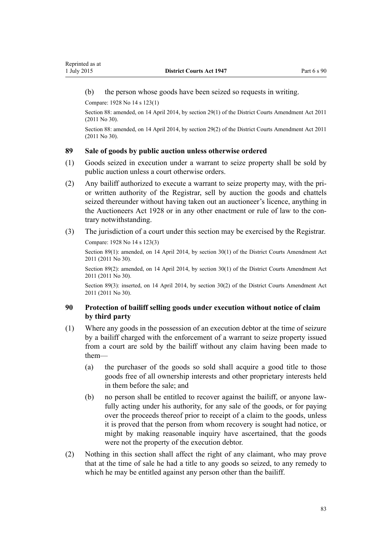<span id="page-82-0"></span>(b) the person whose goods have been seized so requests in writing.

Compare: 1928 No 14 s 123(1)

Section 88: amended, on 14 April 2014, by [section 29\(1\)](http://prd-lgnz-nlb.prd.pco.net.nz/pdflink.aspx?id=DLM2929789) of the District Courts Amendment Act 2011 (2011 No 30).

Section 88: amended, on 14 April 2014, by [section 29\(2\)](http://prd-lgnz-nlb.prd.pco.net.nz/pdflink.aspx?id=DLM2929789) of the District Courts Amendment Act 2011 (2011 No 30).

### **89 Sale of goods by public auction unless otherwise ordered**

- (1) Goods seized in execution under a warrant to seize property shall be sold by public auction unless a court otherwise orders.
- (2) Any bailiff authorized to execute a warrant to seize property may, with the prior written authority of the Registrar, sell by auction the goods and chattels seized thereunder without having taken out an auctioneer's licence, anything in the [Auctioneers Act 1928](http://prd-lgnz-nlb.prd.pco.net.nz/pdflink.aspx?id=DLM205305) or in any other enactment or rule of law to the contrary notwithstanding.
- (3) The jurisdiction of a court under this section may be exercised by the Registrar.

Compare: 1928 No 14 s 123(3)

Section 89(1): amended, on 14 April 2014, by [section 30\(1\)](http://prd-lgnz-nlb.prd.pco.net.nz/pdflink.aspx?id=DLM2929790) of the District Courts Amendment Act 2011 (2011 No 30).

Section 89(2): amended, on 14 April 2014, by [section 30\(1\)](http://prd-lgnz-nlb.prd.pco.net.nz/pdflink.aspx?id=DLM2929790) of the District Courts Amendment Act 2011 (2011 No 30).

Section 89(3): inserted, on 14 April 2014, by [section 30\(2\)](http://prd-lgnz-nlb.prd.pco.net.nz/pdflink.aspx?id=DLM2929790) of the District Courts Amendment Act 2011 (2011 No 30).

# **90 Protection of bailiff selling goods under execution without notice of claim by third party**

- (1) Where any goods in the possession of an execution debtor at the time of seizure by a bailiff charged with the enforcement of a warrant to seize property issued from a court are sold by the bailiff without any claim having been made to them—
	- (a) the purchaser of the goods so sold shall acquire a good title to those goods free of all ownership interests and other proprietary interests held in them before the sale; and
	- (b) no person shall be entitled to recover against the bailiff, or anyone lawfully acting under his authority, for any sale of the goods, or for paying over the proceeds thereof prior to receipt of a claim to the goods, unless it is proved that the person from whom recovery is sought had notice, or might by making reasonable inquiry have ascertained, that the goods were not the property of the execution debtor.
- (2) Nothing in this section shall affect the right of any claimant, who may prove that at the time of sale he had a title to any goods so seized, to any remedy to which he may be entitled against any person other than the bailiff.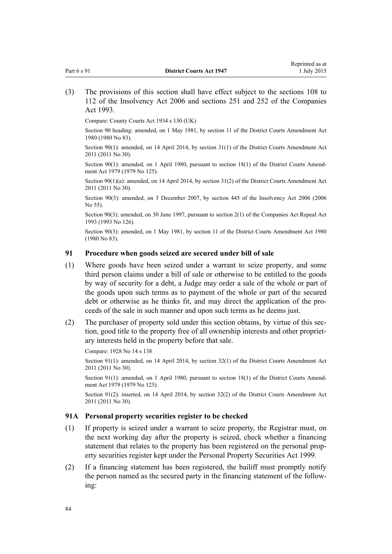Compare: County Courts Act 1934 s 130 (UK)

Section 90 heading: amended, on 1 May 1981, by section 11 of the District Courts Amendment Act 1980 (1980 No 83).

Section 90(1): amended, on 14 April 2014, by [section 31\(1\)](http://prd-lgnz-nlb.prd.pco.net.nz/pdflink.aspx?id=DLM2929791) of the District Courts Amendment Act 2011 (2011 No 30).

Section 90(1): amended, on 1 April 1980, pursuant to [section 18\(1\)](http://prd-lgnz-nlb.prd.pco.net.nz/pdflink.aspx?id=DLM35085) of the District Courts Amendment Act 1979 (1979 No 125).

Section 90(1)(a): amended, on 14 April 2014, by [section 31\(2\)](http://prd-lgnz-nlb.prd.pco.net.nz/pdflink.aspx?id=DLM2929791) of the District Courts Amendment Act 2011 (2011 No 30).

Section 90(3): amended, on 3 December 2007, by [section 445](http://prd-lgnz-nlb.prd.pco.net.nz/pdflink.aspx?id=DLM387857) of the Insolvency Act 2006 (2006 No 55).

Section 90(3): amended, on 30 June 1997, pursuant to [section 2\(1\)](http://prd-lgnz-nlb.prd.pco.net.nz/pdflink.aspx?id=DLM328327) of the Companies Act Repeal Act 1993 (1993 No 126).

Section 90(3): amended, on 1 May 1981, by section 11 of the District Courts Amendment Act 1980 (1980 No 83).

#### **91 Procedure when goods seized are secured under bill of sale**

- (1) Where goods have been seized under a warrant to seize property, and some third person claims under a bill of sale or otherwise to be entitled to the goods by way of security for a debt, a Judge may order a sale of the whole or part of the goods upon such terms as to payment of the whole or part of the secured debt or otherwise as he thinks fit, and may direct the application of the proceeds of the sale in such manner and upon such terms as he deems just.
- (2) The purchaser of property sold under this section obtains, by virtue of this section, good title to the property free of all ownership interests and other proprietary interests held in the property before that sale.

Compare: 1928 No 14 s 138

Section 91(1): amended, on 14 April 2014, by [section 32\(1\)](http://prd-lgnz-nlb.prd.pco.net.nz/pdflink.aspx?id=DLM2929792) of the District Courts Amendment Act 2011 (2011 No 30).

Section 91(1): amended, on 1 April 1980, pursuant to [section 18\(1\)](http://prd-lgnz-nlb.prd.pco.net.nz/pdflink.aspx?id=DLM35085) of the District Courts Amendment Act 1979 (1979 No 125).

Section 91(2): inserted, on 14 April 2014, by [section 32\(2\)](http://prd-lgnz-nlb.prd.pco.net.nz/pdflink.aspx?id=DLM2929792) of the District Courts Amendment Act 2011 (2011 No 30).

#### **91A Personal property securities register to be checked**

- (1) If property is seized under a warrant to seize property, the Registrar must, on the next working day after the property is seized, check whether a financing statement that relates to the property has been registered on the personal property securities register kept under the [Personal Property Securities Act 1999.](http://prd-lgnz-nlb.prd.pco.net.nz/pdflink.aspx?id=DLM45599)
- (2) If a financing statement has been registered, the bailiff must promptly notify the person named as the secured party in the financing statement of the following: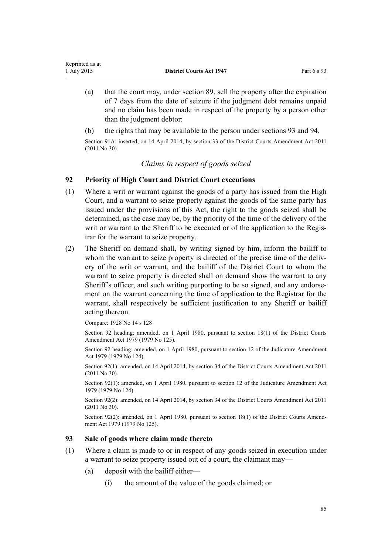- <span id="page-84-0"></span>(a) that the court may, under [section 89](#page-82-0), sell the property after the expiration of 7 days from the date of seizure if the judgment debt remains unpaid and no claim has been made in respect of the property by a person other than the judgment debtor:
- (b) the rights that may be available to the person under sections 93 and [94.](#page-85-0)

Section 91A: inserted, on 14 April 2014, by [section 33](http://prd-lgnz-nlb.prd.pco.net.nz/pdflink.aspx?id=DLM3556513) of the District Courts Amendment Act 2011 (2011 No 30).

## *Claims in respect of goods seized*

## **92 Priority of High Court and District Court executions**

- (1) Where a writ or warrant against the goods of a party has issued from the High Court, and a warrant to seize property against the goods of the same party has issued under the provisions of this Act, the right to the goods seized shall be determined, as the case may be, by the priority of the time of the delivery of the writ or warrant to the Sheriff to be executed or of the application to the Registrar for the warrant to seize property.
- (2) The Sheriff on demand shall, by writing signed by him, inform the bailiff to whom the warrant to seize property is directed of the precise time of the delivery of the writ or warrant, and the bailiff of the District Court to whom the warrant to seize property is directed shall on demand show the warrant to any Sheriff's officer, and such writing purporting to be so signed, and any endorsement on the warrant concerning the time of application to the Registrar for the warrant, shall respectively be sufficient justification to any Sheriff or bailiff acting thereon.

Compare: 1928 No 14 s 128

Section 92 heading: amended, on 1 April 1980, pursuant to [section 18\(1\)](http://prd-lgnz-nlb.prd.pco.net.nz/pdflink.aspx?id=DLM35085) of the District Courts Amendment Act 1979 (1979 No 125).

Section 92 heading: amended, on 1 April 1980, pursuant to [section 12](http://prd-lgnz-nlb.prd.pco.net.nz/pdflink.aspx?id=DLM35049) of the Judicature Amendment Act 1979 (1979 No 124).

Section 92(1): amended, on 14 April 2014, by [section 34](http://prd-lgnz-nlb.prd.pco.net.nz/pdflink.aspx?id=DLM2929793) of the District Courts Amendment Act 2011 (2011 No 30).

Section 92(1): amended, on 1 April 1980, pursuant to [section 12](http://prd-lgnz-nlb.prd.pco.net.nz/pdflink.aspx?id=DLM35049) of the Judicature Amendment Act 1979 (1979 No 124).

Section 92(2): amended, on 14 April 2014, by [section 34](http://prd-lgnz-nlb.prd.pco.net.nz/pdflink.aspx?id=DLM2929793) of the District Courts Amendment Act 2011 (2011 No 30).

Section 92(2): amended, on 1 April 1980, pursuant to [section 18\(1\)](http://prd-lgnz-nlb.prd.pco.net.nz/pdflink.aspx?id=DLM35085) of the District Courts Amendment Act 1979 (1979 No 125).

## **93 Sale of goods where claim made thereto**

- (1) Where a claim is made to or in respect of any goods seized in execution under a warrant to seize property issued out of a court, the claimant may—
	- (a) deposit with the bailiff either—
		- (i) the amount of the value of the goods claimed; or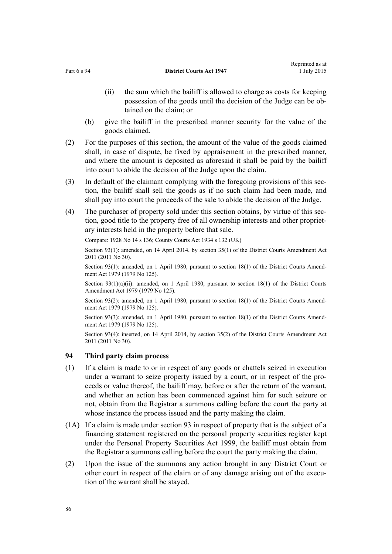- <span id="page-85-0"></span>(ii) the sum which the bailiff is allowed to charge as costs for keeping possession of the goods until the decision of the Judge can be obtained on the claim; or
- (b) give the bailiff in the prescribed manner security for the value of the goods claimed.
- (2) For the purposes of this section, the amount of the value of the goods claimed shall, in case of dispute, be fixed by appraisement in the prescribed manner, and where the amount is deposited as aforesaid it shall be paid by the bailiff into court to abide the decision of the Judge upon the claim.
- (3) In default of the claimant complying with the foregoing provisions of this section, the bailiff shall sell the goods as if no such claim had been made, and shall pay into court the proceeds of the sale to abide the decision of the Judge.
- (4) The purchaser of property sold under this section obtains, by virtue of this section, good title to the property free of all ownership interests and other proprietary interests held in the property before that sale.

Compare: 1928 No 14 s 136; County Courts Act 1934 s 132 (UK)

Section 93(1): amended, on 14 April 2014, by [section 35\(1\)](http://prd-lgnz-nlb.prd.pco.net.nz/pdflink.aspx?id=DLM2929794) of the District Courts Amendment Act 2011 (2011 No 30).

Section 93(1): amended, on 1 April 1980, pursuant to [section 18\(1\)](http://prd-lgnz-nlb.prd.pco.net.nz/pdflink.aspx?id=DLM35085) of the District Courts Amendment Act 1979 (1979 No 125).

Section  $93(1)(a)(ii)$ : amended, on 1 April 1980, pursuant to [section 18\(1\)](http://prd-lgnz-nlb.prd.pco.net.nz/pdflink.aspx?id=DLM35085) of the District Courts Amendment Act 1979 (1979 No 125).

Section 93(2): amended, on 1 April 1980, pursuant to [section 18\(1\)](http://prd-lgnz-nlb.prd.pco.net.nz/pdflink.aspx?id=DLM35085) of the District Courts Amendment Act 1979 (1979 No 125).

Section 93(3): amended, on 1 April 1980, pursuant to [section 18\(1\)](http://prd-lgnz-nlb.prd.pco.net.nz/pdflink.aspx?id=DLM35085) of the District Courts Amendment Act 1979 (1979 No 125).

Section 93(4): inserted, on 14 April 2014, by [section 35\(2\)](http://prd-lgnz-nlb.prd.pco.net.nz/pdflink.aspx?id=DLM2929794) of the District Courts Amendment Act 2011 (2011 No 30).

## **94 Third party claim process**

- (1) If a claim is made to or in respect of any goods or chattels seized in execution under a warrant to seize property issued by a court, or in respect of the proceeds or value thereof, the bailiff may, before or after the return of the warrant, and whether an action has been commenced against him for such seizure or not, obtain from the Registrar a summons calling before the court the party at whose instance the process issued and the party making the claim.
- (1A) If a claim is made under [section 93](#page-84-0) in respect of property that is the subject of a financing statement registered on the personal property securities register kept under the [Personal Property Securities Act 1999,](http://prd-lgnz-nlb.prd.pco.net.nz/pdflink.aspx?id=DLM45599) the bailiff must obtain from the Registrar a summons calling before the court the party making the claim.
- (2) Upon the issue of the summons any action brought in any District Court or other court in respect of the claim or of any damage arising out of the execution of the warrant shall be stayed.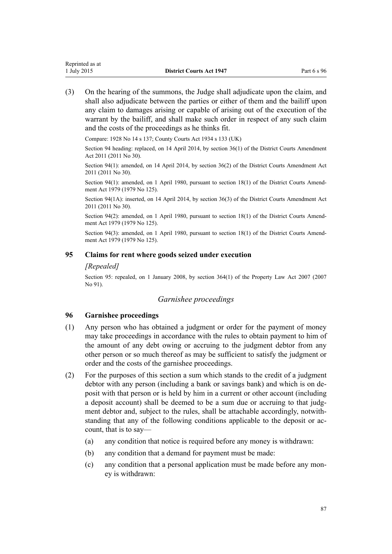(3) On the hearing of the summons, the Judge shall adjudicate upon the claim, and shall also adjudicate between the parties or either of them and the bailiff upon any claim to damages arising or capable of arising out of the execution of the warrant by the bailiff, and shall make such order in respect of any such claim and the costs of the proceedings as he thinks fit.

Compare: 1928 No 14 s 137; County Courts Act 1934 s 133 (UK)

Section 94 heading: replaced, on 14 April 2014, by [section 36\(1\)](http://prd-lgnz-nlb.prd.pco.net.nz/pdflink.aspx?id=DLM2929795) of the District Courts Amendment Act 2011 (2011 No 30).

Section 94(1): amended, on 14 April 2014, by [section 36\(2\)](http://prd-lgnz-nlb.prd.pco.net.nz/pdflink.aspx?id=DLM2929795) of the District Courts Amendment Act 2011 (2011 No 30).

Section 94(1): amended, on 1 April 1980, pursuant to [section 18\(1\)](http://prd-lgnz-nlb.prd.pco.net.nz/pdflink.aspx?id=DLM35085) of the District Courts Amendment Act 1979 (1979 No 125).

Section 94(1A): inserted, on 14 April 2014, by [section 36\(3\)](http://prd-lgnz-nlb.prd.pco.net.nz/pdflink.aspx?id=DLM2929795) of the District Courts Amendment Act 2011 (2011 No 30).

Section 94(2): amended, on 1 April 1980, pursuant to [section 18\(1\)](http://prd-lgnz-nlb.prd.pco.net.nz/pdflink.aspx?id=DLM35085) of the District Courts Amendment Act 1979 (1979 No 125).

Section 94(3): amended, on 1 April 1980, pursuant to [section 18\(1\)](http://prd-lgnz-nlb.prd.pco.net.nz/pdflink.aspx?id=DLM35085) of the District Courts Amendment Act 1979 (1979 No 125).

## **95 Claims for rent where goods seized under execution**

## *[Repealed]*

Section 95: repealed, on 1 January 2008, by [section 364\(1\)](http://prd-lgnz-nlb.prd.pco.net.nz/pdflink.aspx?id=DLM969644) of the Property Law Act 2007 (2007 No 91).

# *Garnishee proceedings*

# **96 Garnishee proceedings**

- (1) Any person who has obtained a judgment or order for the payment of money may take proceedings in accordance with the rules to obtain payment to him of the amount of any debt owing or accruing to the judgment debtor from any other person or so much thereof as may be sufficient to satisfy the judgment or order and the costs of the garnishee proceedings.
- (2) For the purposes of this section a sum which stands to the credit of a judgment debtor with any person (including a bank or savings bank) and which is on deposit with that person or is held by him in a current or other account (including a deposit account) shall be deemed to be a sum due or accruing to that judgment debtor and, subject to the rules, shall be attachable accordingly, notwithstanding that any of the following conditions applicable to the deposit or account, that is to say—
	- (a) any condition that notice is required before any money is withdrawn:
	- (b) any condition that a demand for payment must be made:
	- (c) any condition that a personal application must be made before any money is withdrawn: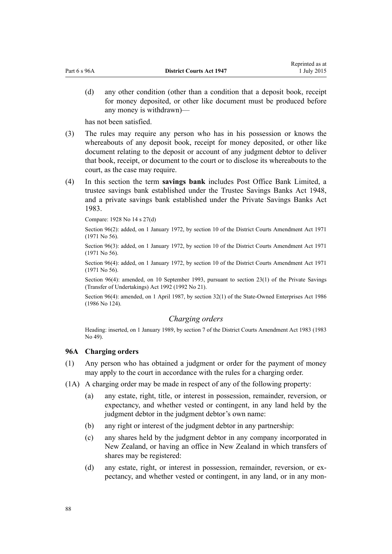(d) any other condition (other than a condition that a deposit book, receipt for money deposited, or other like document must be produced before any money is withdrawn)—

has not been satisfied.

- (3) The rules may require any person who has in his possession or knows the whereabouts of any deposit book, receipt for money deposited, or other like document relating to the deposit or account of any judgment debtor to deliver that book, receipt, or document to the court or to disclose its whereabouts to the court, as the case may require.
- (4) In this section the term **savings bank** includes Post Office Bank Limited, a trustee savings bank established under the Trustee Savings Banks Act 1948, and a private savings bank established under the Private Savings Banks Act 1983.

Compare: 1928 No 14 s 27(d)

Section 96(2): added, on 1 January 1972, by section 10 of the District Courts Amendment Act 1971 (1971 No 56).

Section 96(3): added, on 1 January 1972, by section 10 of the District Courts Amendment Act 1971 (1971 No 56).

Section 96(4): added, on 1 January 1972, by section 10 of the District Courts Amendment Act 1971 (1971 No 56).

Section 96(4): amended, on 10 September 1993, pursuant to [section 23\(1\)](http://prd-lgnz-nlb.prd.pco.net.nz/pdflink.aspx?id=DLM261024) of the Private Savings (Transfer of Undertakings) Act 1992 (1992 No 21).

Section 96(4): amended, on 1 April 1987, by [section 32\(1\)](http://prd-lgnz-nlb.prd.pco.net.nz/pdflink.aspx?id=DLM98437) of the State-Owned Enterprises Act 1986 (1986 No 124).

## *Charging orders*

Heading: inserted, on 1 January 1989, by section 7 of the District Courts Amendment Act 1983 (1983 No 49).

## **96A Charging orders**

- (1) Any person who has obtained a judgment or order for the payment of money may apply to the court in accordance with the rules for a charging order.
- (1A) A charging order may be made in respect of any of the following property:
	- (a) any estate, right, title, or interest in possession, remainder, reversion, or expectancy, and whether vested or contingent, in any land held by the judgment debtor in the judgment debtor's own name:
	- (b) any right or interest of the judgment debtor in any partnership:
	- (c) any shares held by the judgment debtor in any company incorporated in New Zealand, or having an office in New Zealand in which transfers of shares may be registered:
	- (d) any estate, right, or interest in possession, remainder, reversion, or expectancy, and whether vested or contingent, in any land, or in any mon-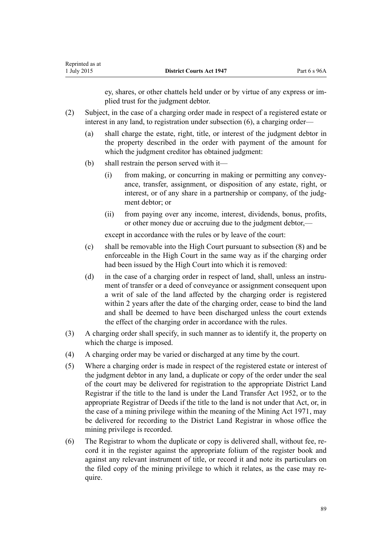ey, shares, or other chattels held under or by virtue of any express or implied trust for the judgment debtor.

- (2) Subject, in the case of a charging order made in respect of a registered estate or interest in any land, to registration under subsection (6), a charging order—
	- (a) shall charge the estate, right, title, or interest of the judgment debtor in the property described in the order with payment of the amount for which the judgment creditor has obtained judgment:
	- (b) shall restrain the person served with it—
		- (i) from making, or concurring in making or permitting any conveyance, transfer, assignment, or disposition of any estate, right, or interest, or of any share in a partnership or company, of the judgment debtor; or
		- (ii) from paying over any income, interest, dividends, bonus, profits, or other money due or accruing due to the judgment debtor,—

except in accordance with the rules or by leave of the court:

- (c) shall be removable into the High Court pursuant to subsection (8) and be enforceable in the High Court in the same way as if the charging order had been issued by the High Court into which it is removed:
- (d) in the case of a charging order in respect of land, shall, unless an instrument of transfer or a deed of conveyance or assignment consequent upon a writ of sale of the land affected by the charging order is registered within 2 years after the date of the charging order, cease to bind the land and shall be deemed to have been discharged unless the court extends the effect of the charging order in accordance with the rules.
- (3) A charging order shall specify, in such manner as to identify it, the property on which the charge is imposed.
- (4) A charging order may be varied or discharged at any time by the court.
- (5) Where a charging order is made in respect of the registered estate or interest of the judgment debtor in any land, a duplicate or copy of the order under the seal of the court may be delivered for registration to the appropriate District Land Registrar if the title to the land is under the [Land Transfer Act 1952,](http://prd-lgnz-nlb.prd.pco.net.nz/pdflink.aspx?id=DLM269031) or to the appropriate Registrar of Deeds if the title to the land is not under that Act, or, in the case of a mining privilege within the meaning of the Mining Act 1971, may be delivered for recording to the District Land Registrar in whose office the mining privilege is recorded.
- (6) The Registrar to whom the duplicate or copy is delivered shall, without fee, record it in the register against the appropriate folium of the register book and against any relevant instrument of title, or record it and note its particulars on the filed copy of the mining privilege to which it relates, as the case may require.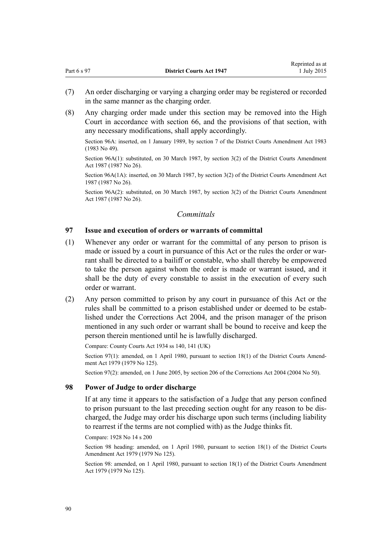Reprinted as at

(8) Any charging order made under this section may be removed into the High Court in accordance with [section 66,](#page-52-0) and the provisions of that section, with any necessary modifications, shall apply accordingly.

Section 96A: inserted, on 1 January 1989, by section 7 of the District Courts Amendment Act 1983 (1983 No 49).

Section 96A(1): substituted, on 30 March 1987, by section 3(2) of the District Courts Amendment Act 1987 (1987 No 26).

Section 96A(1A): inserted, on 30 March 1987, by section 3(2) of the District Courts Amendment Act 1987 (1987 No 26).

Section 96A(2): substituted, on 30 March 1987, by section 3(2) of the District Courts Amendment Act 1987 (1987 No 26).

# *Committals*

## **97 Issue and execution of orders or warrants of committal**

- (1) Whenever any order or warrant for the committal of any person to prison is made or issued by a court in pursuance of this Act or the rules the order or warrant shall be directed to a bailiff or constable, who shall thereby be empowered to take the person against whom the order is made or warrant issued, and it shall be the duty of every constable to assist in the execution of every such order or warrant.
- (2) Any person committed to prison by any court in pursuance of this Act or the rules shall be committed to a prison established under or deemed to be established under the [Corrections Act 2004,](http://prd-lgnz-nlb.prd.pco.net.nz/pdflink.aspx?id=DLM294848) and the prison manager of the prison mentioned in any such order or warrant shall be bound to receive and keep the person therein mentioned until he is lawfully discharged.

Compare: County Courts Act 1934 ss 140, 141 (UK)

Section 97(1): amended, on 1 April 1980, pursuant to [section 18\(1\)](http://prd-lgnz-nlb.prd.pco.net.nz/pdflink.aspx?id=DLM35085) of the District Courts Amendment Act 1979 (1979 No 125).

Section 97(2): amended, on 1 June 2005, by [section 206](http://prd-lgnz-nlb.prd.pco.net.nz/pdflink.aspx?id=DLM297136) of the Corrections Act 2004 (2004 No 50).

### **98 Power of Judge to order discharge**

If at any time it appears to the satisfaction of a Judge that any person confined to prison pursuant to the last preceding section ought for any reason to be discharged, the Judge may order his discharge upon such terms (including liability to rearrest if the terms are not complied with) as the Judge thinks fit.

Compare: 1928 No 14 s 200

Section 98 heading: amended, on 1 April 1980, pursuant to [section 18\(1\)](http://prd-lgnz-nlb.prd.pco.net.nz/pdflink.aspx?id=DLM35085) of the District Courts Amendment Act 1979 (1979 No 125).

Section 98: amended, on 1 April 1980, pursuant to [section 18\(1\)](http://prd-lgnz-nlb.prd.pco.net.nz/pdflink.aspx?id=DLM35085) of the District Courts Amendment Act 1979 (1979 No 125).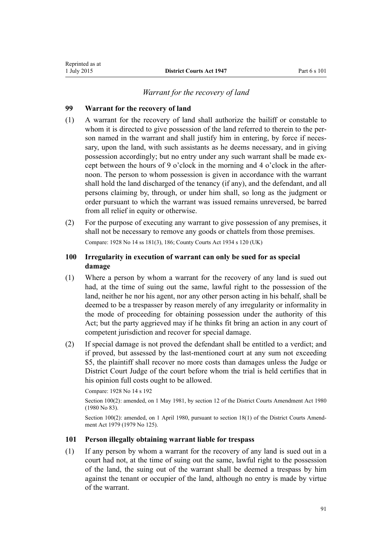## *Warrant for the recovery of land*

# **99 Warrant for the recovery of land**

- (1) A warrant for the recovery of land shall authorize the bailiff or constable to whom it is directed to give possession of the land referred to therein to the person named in the warrant and shall justify him in entering, by force if necessary, upon the land, with such assistants as he deems necessary, and in giving possession accordingly; but no entry under any such warrant shall be made except between the hours of 9 o'clock in the morning and 4 o'clock in the afternoon. The person to whom possession is given in accordance with the warrant shall hold the land discharged of the tenancy (if any), and the defendant, and all persons claiming by, through, or under him shall, so long as the judgment or order pursuant to which the warrant was issued remains unreversed, be barred from all relief in equity or otherwise.
- (2) For the purpose of executing any warrant to give possession of any premises, it shall not be necessary to remove any goods or chattels from those premises. Compare: 1928 No 14 ss 181(3), 186; County Courts Act 1934 s 120 (UK)

# **100 Irregularity in execution of warrant can only be sued for as special damage**

- (1) Where a person by whom a warrant for the recovery of any land is sued out had, at the time of suing out the same, lawful right to the possession of the land, neither he nor his agent, nor any other person acting in his behalf, shall be deemed to be a trespasser by reason merely of any irregularity or informality in the mode of proceeding for obtaining possession under the authority of this Act; but the party aggrieved may if he thinks fit bring an action in any court of competent jurisdiction and recover for special damage.
- (2) If special damage is not proved the defendant shall be entitled to a verdict; and if proved, but assessed by the last-mentioned court at any sum not exceeding \$5, the plaintiff shall recover no more costs than damages unless the Judge or District Court Judge of the court before whom the trial is held certifies that in his opinion full costs ought to be allowed.

Compare: 1928 No 14 s 192

Section 100(2): amended, on 1 May 1981, by section 12 of the District Courts Amendment Act 1980 (1980 No 83).

Section 100(2): amended, on 1 April 1980, pursuant to [section 18\(1\)](http://prd-lgnz-nlb.prd.pco.net.nz/pdflink.aspx?id=DLM35085) of the District Courts Amendment Act 1979 (1979 No 125).

## **101 Person illegally obtaining warrant liable for trespass**

(1) If any person by whom a warrant for the recovery of any land is sued out in a court had not, at the time of suing out the same, lawful right to the possession of the land, the suing out of the warrant shall be deemed a trespass by him against the tenant or occupier of the land, although no entry is made by virtue of the warrant.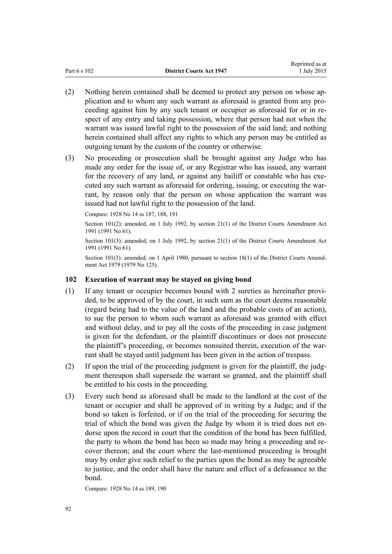- (2) Nothing herein contained shall be deemed to protect any person on whose application and to whom any such warrant as aforesaid is granted from any proceeding against him by any such tenant or occupier as aforesaid for or in respect of any entry and taking possession, where that person had not when the warrant was issued lawful right to the possession of the said land; and nothing herein contained shall affect any rights to which any person may be entitled as outgoing tenant by the custom of the country or otherwise.
- (3) No proceeding or prosecution shall be brought against any Judge who has made any order for the issue of, or any Registrar who has issued, any warrant for the recovery of any land, or against any bailiff or constable who has executed any such warrant as aforesaid for ordering, issuing, or executing the warrant, by reason only that the person on whose application the warrant was issued had not lawful right to the possession of the land.

Compare: 1928 No 14 ss 187, 188, 191

Section 101(2): amended, on 1 July 1992, by [section 21\(1\)](http://prd-lgnz-nlb.prd.pco.net.nz/pdflink.aspx?id=DLM230259) of the District Courts Amendment Act 1991 (1991 No 61).

Section 101(3): amended, on 1 July 1992, by [section 21\(1\)](http://prd-lgnz-nlb.prd.pco.net.nz/pdflink.aspx?id=DLM230259) of the District Courts Amendment Act 1991 (1991 No 61).

Section 101(3): amended, on 1 April 1980, pursuant to [section 18\(1\)](http://prd-lgnz-nlb.prd.pco.net.nz/pdflink.aspx?id=DLM35085) of the District Courts Amendment Act 1979 (1979 No 125).

# **102 Execution of warrant may be stayed on giving bond**

- (1) If any tenant or occupier becomes bound with 2 sureties as hereinafter provided, to be approved of by the court, in such sum as the court deems reasonable (regard being had to the value of the land and the probable costs of an action), to sue the person to whom such warrant as aforesaid was granted with effect and without delay, and to pay all the costs of the proceeding in case judgment is given for the defendant, or the plaintiff discontinues or does not prosecute the plaintiff's proceeding, or becomes nonsuited therein, execution of the warrant shall be stayed until judgment has been given in the action of trespass.
- (2) If upon the trial of the proceeding judgment is given for the plaintiff, the judgment thereupon shall supersede the warrant so granted, and the plaintiff shall be entitled to his costs in the proceeding.
- (3) Every such bond as aforesaid shall be made to the landlord at the cost of the tenant or occupier and shall be approved of in writing by a Judge; and if the bond so taken is forfeited, or if on the trial of the proceeding for securing the trial of which the bond was given the Judge by whom it is tried does not endorse upon the record in court that the condition of the bond has been fulfilled, the party to whom the bond has been so made may bring a proceeding and recover thereon; and the court where the last-mentioned proceeding is brought may by order give such relief to the parties upon the bond as may be agreeable to justice, and the order shall have the nature and effect of a defeasance to the bond.

Compare: 1928 No 14 ss 189, 190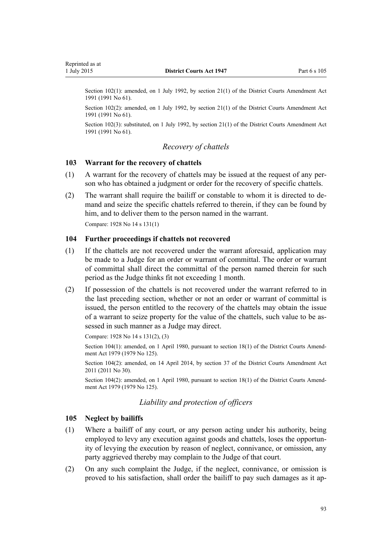Section 102(1): amended, on 1 July 1992, by [section 21\(1\)](http://prd-lgnz-nlb.prd.pco.net.nz/pdflink.aspx?id=DLM230259) of the District Courts Amendment Act 1991 (1991 No 61).

Section 102(2): amended, on 1 July 1992, by [section 21\(1\)](http://prd-lgnz-nlb.prd.pco.net.nz/pdflink.aspx?id=DLM230259) of the District Courts Amendment Act 1991 (1991 No 61).

Section 102(3): substituted, on 1 July 1992, by [section 21\(1\)](http://prd-lgnz-nlb.prd.pco.net.nz/pdflink.aspx?id=DLM230259) of the District Courts Amendment Act 1991 (1991 No 61).

### *Recovery of chattels*

#### **103 Warrant for the recovery of chattels**

- (1) A warrant for the recovery of chattels may be issued at the request of any person who has obtained a judgment or order for the recovery of specific chattels.
- (2) The warrant shall require the bailiff or constable to whom it is directed to demand and seize the specific chattels referred to therein, if they can be found by him, and to deliver them to the person named in the warrant.

Compare: 1928 No 14 s 131(1)

#### **104 Further proceedings if chattels not recovered**

- (1) If the chattels are not recovered under the warrant aforesaid, application may be made to a Judge for an order or warrant of committal. The order or warrant of committal shall direct the committal of the person named therein for such period as the Judge thinks fit not exceeding 1 month.
- (2) If possession of the chattels is not recovered under the warrant referred to in the last preceding section, whether or not an order or warrant of committal is issued, the person entitled to the recovery of the chattels may obtain the issue of a warrant to seize property for the value of the chattels, such value to be assessed in such manner as a Judge may direct.

```
Compare: 1928 No 14 s 131(2), (3)
```
Section 104(1): amended, on 1 April 1980, pursuant to [section 18\(1\)](http://prd-lgnz-nlb.prd.pco.net.nz/pdflink.aspx?id=DLM35085) of the District Courts Amendment Act 1979 (1979 No 125).

Section 104(2): amended, on 14 April 2014, by [section 37](http://prd-lgnz-nlb.prd.pco.net.nz/pdflink.aspx?id=DLM2929796) of the District Courts Amendment Act 2011 (2011 No 30).

Section 104(2): amended, on 1 April 1980, pursuant to [section 18\(1\)](http://prd-lgnz-nlb.prd.pco.net.nz/pdflink.aspx?id=DLM35085) of the District Courts Amendment Act 1979 (1979 No 125).

### *Liability and protection of officers*

#### **105 Neglect by bailiffs**

- (1) Where a bailiff of any court, or any person acting under his authority, being employed to levy any execution against goods and chattels, loses the opportunity of levying the execution by reason of neglect, connivance, or omission, any party aggrieved thereby may complain to the Judge of that court.
- (2) On any such complaint the Judge, if the neglect, connivance, or omission is proved to his satisfaction, shall order the bailiff to pay such damages as it ap-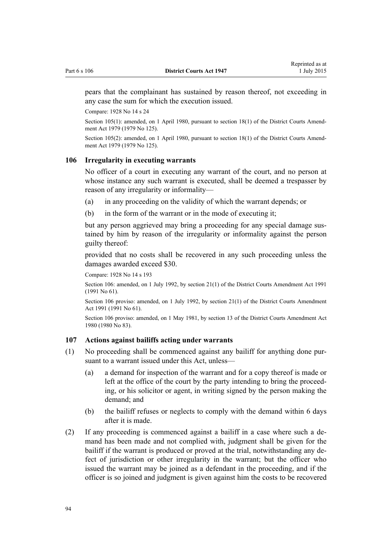pears that the complainant has sustained by reason thereof, not exceeding in any case the sum for which the execution issued.

Compare: 1928 No 14 s 24

Section 105(1): amended, on 1 April 1980, pursuant to [section 18\(1\)](http://prd-lgnz-nlb.prd.pco.net.nz/pdflink.aspx?id=DLM35085) of the District Courts Amendment Act 1979 (1979 No 125).

Section 105(2): amended, on 1 April 1980, pursuant to [section 18\(1\)](http://prd-lgnz-nlb.prd.pco.net.nz/pdflink.aspx?id=DLM35085) of the District Courts Amendment Act 1979 (1979 No 125).

#### **106 Irregularity in executing warrants**

No officer of a court in executing any warrant of the court, and no person at whose instance any such warrant is executed, shall be deemed a trespasser by reason of any irregularity or informality—

- (a) in any proceeding on the validity of which the warrant depends; or
- (b) in the form of the warrant or in the mode of executing it;

but any person aggrieved may bring a proceeding for any special damage sustained by him by reason of the irregularity or informality against the person guilty thereof:

provided that no costs shall be recovered in any such proceeding unless the damages awarded exceed \$30.

Compare: 1928 No 14 s 193

Section 106: amended, on 1 July 1992, by [section 21\(1\)](http://prd-lgnz-nlb.prd.pco.net.nz/pdflink.aspx?id=DLM230259) of the District Courts Amendment Act 1991 (1991 No 61).

Section 106 proviso: amended, on 1 July 1992, by [section 21\(1\)](http://prd-lgnz-nlb.prd.pco.net.nz/pdflink.aspx?id=DLM230259) of the District Courts Amendment Act 1991 (1991 No 61).

Section 106 proviso: amended, on 1 May 1981, by section 13 of the District Courts Amendment Act 1980 (1980 No 83).

### **107 Actions against bailiffs acting under warrants**

- (1) No proceeding shall be commenced against any bailiff for anything done pursuant to a warrant issued under this Act, unless-
	- (a) a demand for inspection of the warrant and for a copy thereof is made or left at the office of the court by the party intending to bring the proceeding, or his solicitor or agent, in writing signed by the person making the demand; and
	- (b) the bailiff refuses or neglects to comply with the demand within 6 days after it is made.
- (2) If any proceeding is commenced against a bailiff in a case where such a demand has been made and not complied with, judgment shall be given for the bailiff if the warrant is produced or proved at the trial, notwithstanding any defect of jurisdiction or other irregularity in the warrant; but the officer who issued the warrant may be joined as a defendant in the proceeding, and if the officer is so joined and judgment is given against him the costs to be recovered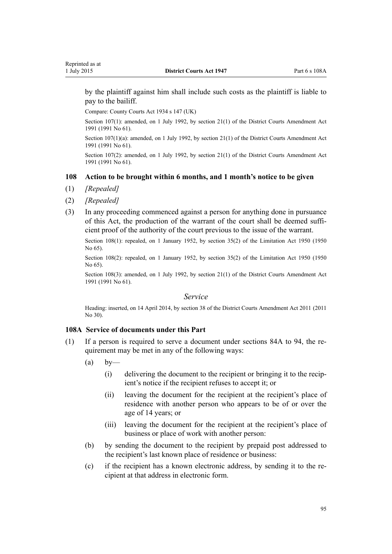<span id="page-94-0"></span>by the plaintiff against him shall include such costs as the plaintiff is liable to pay to the bailiff.

Compare: County Courts Act 1934 s 147 (UK)

Section 107(1): amended, on 1 July 1992, by [section 21\(1\)](http://prd-lgnz-nlb.prd.pco.net.nz/pdflink.aspx?id=DLM230259) of the District Courts Amendment Act 1991 (1991 No 61).

Section 107(1)(a): amended, on 1 July 1992, by [section 21\(1\)](http://prd-lgnz-nlb.prd.pco.net.nz/pdflink.aspx?id=DLM230259) of the District Courts Amendment Act 1991 (1991 No 61).

Section 107(2): amended, on 1 July 1992, by [section 21\(1\)](http://prd-lgnz-nlb.prd.pco.net.nz/pdflink.aspx?id=DLM230259) of the District Courts Amendment Act 1991 (1991 No 61).

#### **108 Action to be brought within 6 months, and 1 month's notice to be given**

- (1) *[Repealed]*
- (2) *[Repealed]*
- (3) In any proceeding commenced against a person for anything done in pursuance of this Act, the production of the warrant of the court shall be deemed sufficient proof of the authority of the court previous to the issue of the warrant.

Section 108(1): repealed, on 1 January 1952, by [section 35\(2\)](http://prd-lgnz-nlb.prd.pco.net.nz/pdflink.aspx?id=DLM262646) of the Limitation Act 1950 (1950) No 65).

Section 108(2): repealed, on 1 January 1952, by [section 35\(2\)](http://prd-lgnz-nlb.prd.pco.net.nz/pdflink.aspx?id=DLM262646) of the Limitation Act 1950 (1950 No 65).

Section 108(3): amended, on 1 July 1992, by [section 21\(1\)](http://prd-lgnz-nlb.prd.pco.net.nz/pdflink.aspx?id=DLM230259) of the District Courts Amendment Act 1991 (1991 No 61).

#### *Service*

Heading: inserted, on 14 April 2014, by [section 38](http://prd-lgnz-nlb.prd.pco.net.nz/pdflink.aspx?id=DLM2929797) of the District Courts Amendment Act 2011 (2011 No 30).

#### **108A Service of documents under this Part**

- (1) If a person is required to serve a document under [sections 84A to 94](#page-63-0), the requirement may be met in any of the following ways:
	- $(a)$  by—
		- (i) delivering the document to the recipient or bringing it to the recipient's notice if the recipient refuses to accept it; or
		- (ii) leaving the document for the recipient at the recipient's place of residence with another person who appears to be of or over the age of 14 years; or
		- (iii) leaving the document for the recipient at the recipient's place of business or place of work with another person:
	- (b) by sending the document to the recipient by prepaid post addressed to the recipient's last known place of residence or business:
	- (c) if the recipient has a known electronic address, by sending it to the recipient at that address in electronic form.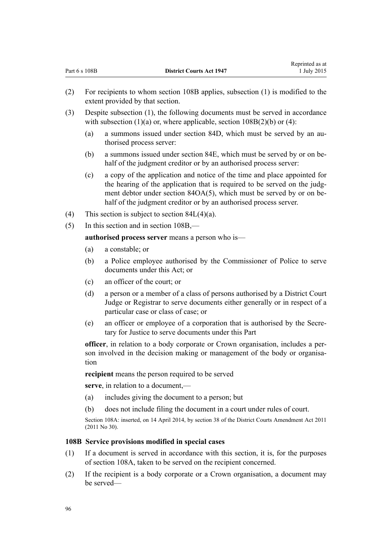- (2) For recipients to whom section 108B applies, subsection (1) is modified to the extent provided by that section.
- (3) Despite subsection (1), the following documents must be served in accordance with subsection  $(1)(a)$  or, where applicable, section  $108B(2)(b)$  or  $(4)$ :
	- (a) a summons issued under [section 84D](#page-64-0), which must be served by an authorised process server:

Reprinted as at

- (b) a summons issued under [section 84E,](#page-65-0) which must be served by or on behalf of the judgment creditor or by an authorised process server:
- (c) a copy of the application and notice of the time and place appointed for the hearing of the application that is required to be served on the judgment debtor under [section 84OA\(5\)](#page-77-0), which must be served by or on behalf of the judgment creditor or by an authorised process server.
- (4) This section is subject to section  $84L(4)(a)$ .
- (5) In this section and in section 108B,—

**authorised process server** means a person who is—

- (a) a constable; or
- (b) a Police employee authorised by the Commissioner of Police to serve documents under this Act; or
- (c) an officer of the court; or
- (d) a person or a member of a class of persons authorised by a District Court Judge or Registrar to serve documents either generally or in respect of a particular case or class of case; or
- (e) an officer or employee of a corporation that is authorised by the Secretary for Justice to serve documents under this Part

**officer**, in relation to a body corporate or Crown organisation, includes a person involved in the decision making or management of the body or organisation

**recipient** means the person required to be served

**serve**, in relation to a document,—

- (a) includes giving the document to a person; but
- (b) does not include filing the document in a court under rules of court.

Section 108A: inserted, on 14 April 2014, by [section 38](http://prd-lgnz-nlb.prd.pco.net.nz/pdflink.aspx?id=DLM2929797) of the District Courts Amendment Act 2011 (2011 No 30).

## **108B Service provisions modified in special cases**

- (1) If a document is served in accordance with this section, it is, for the purposes of [section 108A,](#page-94-0) taken to be served on the recipient concerned.
- (2) If the recipient is a body corporate or a Crown organisation, a document may be served—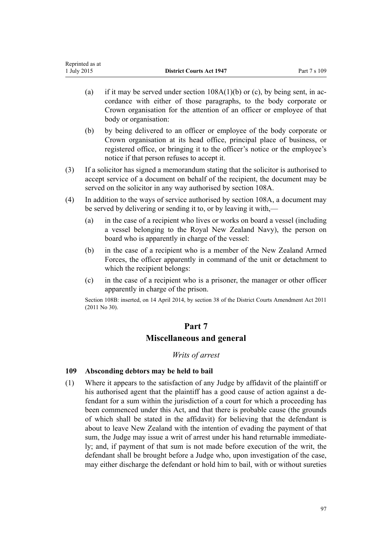- (a) if it may be served under section  $108A(1)(b)$  or (c), by being sent, in accordance with either of those paragraphs, to the body corporate or Crown organisation for the attention of an officer or employee of that body or organisation:
- (b) by being delivered to an officer or employee of the body corporate or Crown organisation at its head office, principal place of business, or registered office, or bringing it to the officer's notice or the employee's notice if that person refuses to accept it.
- (3) If a solicitor has signed a memorandum stating that the solicitor is authorised to accept service of a document on behalf of the recipient, the document may be served on the solicitor in any way authorised by [section 108A](#page-94-0).
- (4) In addition to the ways of service authorised by [section 108A,](#page-94-0) a document may be served by delivering or sending it to, or by leaving it with,—
	- (a) in the case of a recipient who lives or works on board a vessel (including a vessel belonging to the Royal New Zealand Navy), the person on board who is apparently in charge of the vessel:
	- (b) in the case of a recipient who is a member of the New Zealand Armed Forces, the officer apparently in command of the unit or detachment to which the recipient belongs:
	- (c) in the case of a recipient who is a prisoner, the manager or other officer apparently in charge of the prison.

Section 108B: inserted, on 14 April 2014, by [section 38](http://prd-lgnz-nlb.prd.pco.net.nz/pdflink.aspx?id=DLM2929797) of the District Courts Amendment Act 2011 (2011 No 30).

# **Part 7 Miscellaneous and general**

# *Writs of arrest*

# **109 Absconding debtors may be held to bail**

(1) Where it appears to the satisfaction of any Judge by affidavit of the plaintiff or his authorised agent that the plaintiff has a good cause of action against a defendant for a sum within the jurisdiction of a court for which a proceeding has been commenced under this Act, and that there is probable cause (the grounds of which shall be stated in the affidavit) for believing that the defendant is about to leave New Zealand with the intention of evading the payment of that sum, the Judge may issue a writ of arrest under his hand returnable immediately; and, if payment of that sum is not made before execution of the writ, the defendant shall be brought before a Judge who, upon investigation of the case, may either discharge the defendant or hold him to bail, with or without sureties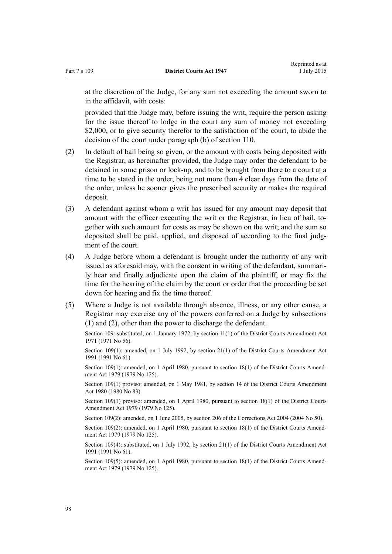at the discretion of the Judge, for any sum not exceeding the amount sworn to in the affidavit, with costs:

provided that the Judge may, before issuing the writ, require the person asking for the issue thereof to lodge in the court any sum of money not exceeding \$2,000, or to give security therefor to the satisfaction of the court, to abide the decision of the court under paragraph (b) of [section 110](#page-98-0).

- (2) In default of bail being so given, or the amount with costs being deposited with the Registrar, as hereinafter provided, the Judge may order the defendant to be detained in some prison or lock-up, and to be brought from there to a court at a time to be stated in the order, being not more than 4 clear days from the date of the order, unless he sooner gives the prescribed security or makes the required deposit.
- (3) A defendant against whom a writ has issued for any amount may deposit that amount with the officer executing the writ or the Registrar, in lieu of bail, together with such amount for costs as may be shown on the writ; and the sum so deposited shall be paid, applied, and disposed of according to the final judgment of the court.
- (4) A Judge before whom a defendant is brought under the authority of any writ issued as aforesaid may, with the consent in writing of the defendant, summarily hear and finally adjudicate upon the claim of the plaintiff, or may fix the time for the hearing of the claim by the court or order that the proceeding be set down for hearing and fix the time thereof.
- (5) Where a Judge is not available through absence, illness, or any other cause, a Registrar may exercise any of the powers conferred on a Judge by subsections (1) and (2), other than the power to discharge the defendant.

Section 109: substituted, on 1 January 1972, by section 11(1) of the District Courts Amendment Act 1971 (1971 No 56).

Section 109(1): amended, on 1 July 1992, by [section 21\(1\)](http://prd-lgnz-nlb.prd.pco.net.nz/pdflink.aspx?id=DLM230259) of the District Courts Amendment Act 1991 (1991 No 61).

Section 109(1): amended, on 1 April 1980, pursuant to [section 18\(1\)](http://prd-lgnz-nlb.prd.pco.net.nz/pdflink.aspx?id=DLM35085) of the District Courts Amendment Act 1979 (1979 No 125).

Section 109(1) proviso: amended, on 1 May 1981, by section 14 of the District Courts Amendment Act 1980 (1980 No 83).

Section 109(1) proviso: amended, on 1 April 1980, pursuant to [section 18\(1\)](http://prd-lgnz-nlb.prd.pco.net.nz/pdflink.aspx?id=DLM35085) of the District Courts Amendment Act 1979 (1979 No 125).

Section 109(2): amended, on 1 June 2005, by [section 206](http://prd-lgnz-nlb.prd.pco.net.nz/pdflink.aspx?id=DLM297136) of the Corrections Act 2004 (2004 No 50).

Section 109(2): amended, on 1 April 1980, pursuant to [section 18\(1\)](http://prd-lgnz-nlb.prd.pco.net.nz/pdflink.aspx?id=DLM35085) of the District Courts Amendment Act 1979 (1979 No 125).

Section 109(4): substituted, on 1 July 1992, by [section 21\(1\)](http://prd-lgnz-nlb.prd.pco.net.nz/pdflink.aspx?id=DLM230259) of the District Courts Amendment Act 1991 (1991 No 61).

Section 109(5): amended, on 1 April 1980, pursuant to [section 18\(1\)](http://prd-lgnz-nlb.prd.pco.net.nz/pdflink.aspx?id=DLM35085) of the District Courts Amendment Act 1979 (1979 No 125).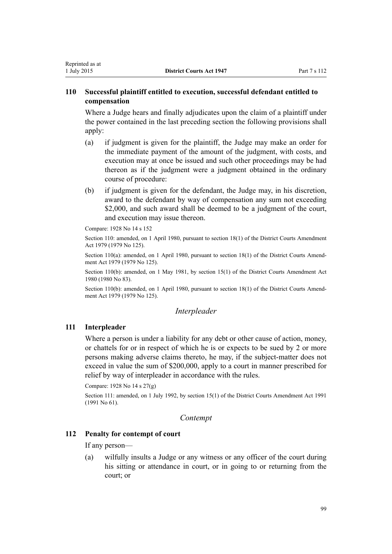# <span id="page-98-0"></span>**110 Successful plaintiff entitled to execution, successful defendant entitled to compensation**

Where a Judge hears and finally adjudicates upon the claim of a plaintiff under the power contained in the last preceding section the following provisions shall apply:

- (a) if judgment is given for the plaintiff, the Judge may make an order for the immediate payment of the amount of the judgment, with costs, and execution may at once be issued and such other proceedings may be had thereon as if the judgment were a judgment obtained in the ordinary course of procedure:
- (b) if judgment is given for the defendant, the Judge may, in his discretion, award to the defendant by way of compensation any sum not exceeding \$2,000, and such award shall be deemed to be a judgment of the court, and execution may issue thereon.

Compare: 1928 No 14 s 152

Section 110: amended, on 1 April 1980, pursuant to [section 18\(1\)](http://prd-lgnz-nlb.prd.pco.net.nz/pdflink.aspx?id=DLM35085) of the District Courts Amendment Act 1979 (1979 No 125).

Section 110(a): amended, on 1 April 1980, pursuant to [section 18\(1\)](http://prd-lgnz-nlb.prd.pco.net.nz/pdflink.aspx?id=DLM35085) of the District Courts Amendment Act 1979 (1979 No 125).

Section 110(b): amended, on 1 May 1981, by section 15(1) of the District Courts Amendment Act 1980 (1980 No 83).

Section 110(b): amended, on 1 April 1980, pursuant to [section 18\(1\)](http://prd-lgnz-nlb.prd.pco.net.nz/pdflink.aspx?id=DLM35085) of the District Courts Amendment Act 1979 (1979 No 125).

# *Interpleader*

# **111 Interpleader**

Where a person is under a liability for any debt or other cause of action, money, or chattels for or in respect of which he is or expects to be sued by 2 or more persons making adverse claims thereto, he may, if the subject-matter does not exceed in value the sum of \$200,000, apply to a court in manner prescribed for relief by way of interpleader in accordance with the rules.

Compare: 1928 No 14 s 27(g)

Section 111: amended, on 1 July 1992, by [section 15\(1\)](http://prd-lgnz-nlb.prd.pco.net.nz/pdflink.aspx?id=DLM230253) of the District Courts Amendment Act 1991 (1991 No 61).

## *Contempt*

## **112 Penalty for contempt of court**

If any person—

(a) wilfully insults a Judge or any witness or any officer of the court during his sitting or attendance in court, or in going to or returning from the court; or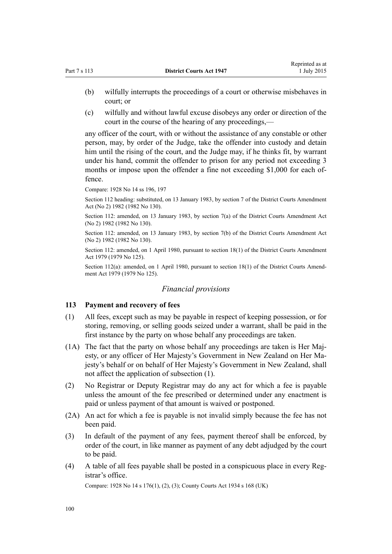- (b) wilfully interrupts the proceedings of a court or otherwise misbehaves in court; or
- (c) wilfully and without lawful excuse disobeys any order or direction of the court in the course of the hearing of any proceedings,—

any officer of the court, with or without the assistance of any constable or other person, may, by order of the Judge, take the offender into custody and detain him until the rising of the court, and the Judge may, if he thinks fit, by warrant under his hand, commit the offender to prison for any period not exceeding 3 months or impose upon the offender a fine not exceeding \$1,000 for each offence.

Compare: 1928 No 14 ss 196, 197

Section 112 heading: substituted, on 13 January 1983, by [section 7](http://prd-lgnz-nlb.prd.pco.net.nz/pdflink.aspx?id=DLM63969) of the District Courts Amendment Act (No 2) 1982 (1982 No 130).

Section 112: amended, on 13 January 1983, by [section 7\(a\)](http://prd-lgnz-nlb.prd.pco.net.nz/pdflink.aspx?id=DLM63969) of the District Courts Amendment Act (No 2) 1982 (1982 No 130).

Section 112: amended, on 13 January 1983, by [section 7\(b\)](http://prd-lgnz-nlb.prd.pco.net.nz/pdflink.aspx?id=DLM63969) of the District Courts Amendment Act (No 2) 1982 (1982 No 130).

Section 112: amended, on 1 April 1980, pursuant to [section 18\(1\)](http://prd-lgnz-nlb.prd.pco.net.nz/pdflink.aspx?id=DLM35085) of the District Courts Amendment Act 1979 (1979 No 125).

Section 112(a): amended, on 1 April 1980, pursuant to [section 18\(1\)](http://prd-lgnz-nlb.prd.pco.net.nz/pdflink.aspx?id=DLM35085) of the District Courts Amendment Act 1979 (1979 No 125).

#### *Financial provisions*

#### **113 Payment and recovery of fees**

- (1) All fees, except such as may be payable in respect of keeping possession, or for storing, removing, or selling goods seized under a warrant, shall be paid in the first instance by the party on whose behalf any proceedings are taken.
- (1A) The fact that the party on whose behalf any proceedings are taken is Her Majesty, or any officer of Her Majesty's Government in New Zealand on Her Majesty's behalf or on behalf of Her Majesty's Government in New Zealand, shall not affect the application of subsection (1).
- (2) No Registrar or Deputy Registrar may do any act for which a fee is payable unless the amount of the fee prescribed or determined under any enactment is paid or unless payment of that amount is waived or postponed.
- (2A) An act for which a fee is payable is not invalid simply because the fee has not been paid.
- (3) In default of the payment of any fees, payment thereof shall be enforced, by order of the court, in like manner as payment of any debt adjudged by the court to be paid.
- (4) A table of all fees payable shall be posted in a conspicuous place in every Registrar's office.

Compare: 1928 No 14 s 176(1), (2), (3); County Courts Act 1934 s 168 (UK)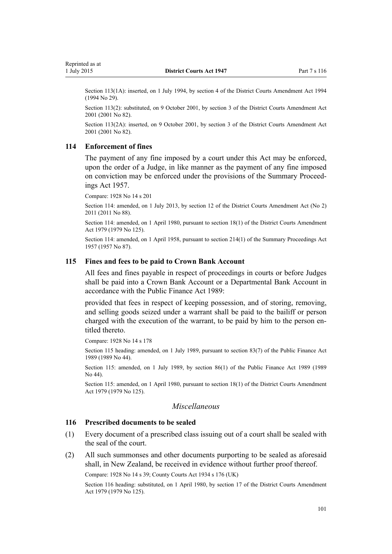Section 113(1A): inserted, on 1 July 1994, by section 4 of the District Courts Amendment Act 1994 (1994 No 29).

Section 113(2): substituted, on 9 October 2001, by [section 3](http://prd-lgnz-nlb.prd.pco.net.nz/pdflink.aspx?id=DLM113904) of the District Courts Amendment Act 2001 (2001 No 82).

Section 113(2A): inserted, on 9 October 2001, by [section 3](http://prd-lgnz-nlb.prd.pco.net.nz/pdflink.aspx?id=DLM113904) of the District Courts Amendment Act 2001 (2001 No 82).

### **114 Enforcement of fines**

The payment of any fine imposed by a court under this Act may be enforced, upon the order of a Judge, in like manner as the payment of any fine imposed on conviction may be enforced under the provisions of the [Summary Proceed](http://prd-lgnz-nlb.prd.pco.net.nz/pdflink.aspx?id=DLM310742)[ings Act 1957.](http://prd-lgnz-nlb.prd.pco.net.nz/pdflink.aspx?id=DLM310742)

Compare: 1928 No 14 s 201

Section 114: amended, on 1 July 2013, by [section 12](http://prd-lgnz-nlb.prd.pco.net.nz/pdflink.aspx?id=DLM4058121) of the District Courts Amendment Act (No 2) 2011 (2011 No 88).

Section 114: amended, on 1 April 1980, pursuant to [section 18\(1\)](http://prd-lgnz-nlb.prd.pco.net.nz/pdflink.aspx?id=DLM35085) of the District Courts Amendment Act 1979 (1979 No 125).

Section 114: amended, on 1 April 1958, pursuant to [section 214\(1\)](http://prd-lgnz-nlb.prd.pco.net.nz/pdflink.aspx?id=DLM314306) of the Summary Proceedings Act 1957 (1957 No 87).

### **115 Fines and fees to be paid to Crown Bank Account**

All fees and fines payable in respect of proceedings in courts or before Judges shall be paid into a Crown Bank Account or a Departmental Bank Account in accordance with the [Public Finance Act 1989](http://prd-lgnz-nlb.prd.pco.net.nz/pdflink.aspx?id=DLM160808):

provided that fees in respect of keeping possession, and of storing, removing, and selling goods seized under a warrant shall be paid to the bailiff or person charged with the execution of the warrant, to be paid by him to the person entitled thereto.

Compare: 1928 No 14 s 178

Section 115 heading: amended, on 1 July 1989, pursuant to [section 83\(7\)](http://prd-lgnz-nlb.prd.pco.net.nz/pdflink.aspx?id=DLM163167) of the Public Finance Act 1989 (1989 No 44).

Section 115: amended, on 1 July 1989, by [section 86\(1\)](http://prd-lgnz-nlb.prd.pco.net.nz/pdflink.aspx?id=DLM163175) of the Public Finance Act 1989 (1989 No 44).

Section 115: amended, on 1 April 1980, pursuant to [section 18\(1\)](http://prd-lgnz-nlb.prd.pco.net.nz/pdflink.aspx?id=DLM35085) of the District Courts Amendment Act 1979 (1979 No 125).

## *Miscellaneous*

#### **116 Prescribed documents to be sealed**

- (1) Every document of a prescribed class issuing out of a court shall be sealed with the seal of the court.
- (2) All such summonses and other documents purporting to be sealed as aforesaid shall, in New Zealand, be received in evidence without further proof thereof.

Compare: 1928 No 14 s 39; County Courts Act 1934 s 176 (UK)

Section 116 heading: substituted, on 1 April 1980, by [section 17](http://prd-lgnz-nlb.prd.pco.net.nz/pdflink.aspx?id=DLM35084) of the District Courts Amendment Act 1979 (1979 No 125).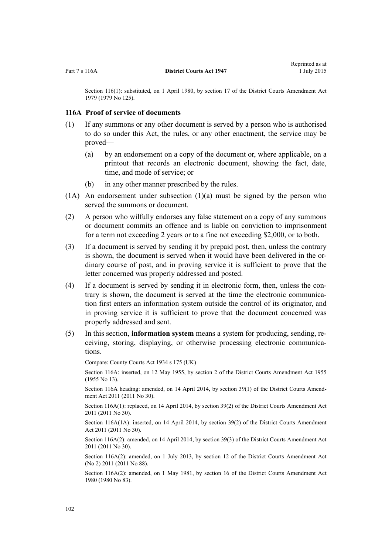Section 116(1): substituted, on 1 April 1980, by [section 17](http://prd-lgnz-nlb.prd.pco.net.nz/pdflink.aspx?id=DLM35084) of the District Courts Amendment Act 1979 (1979 No 125).

#### **116A Proof of service of documents**

- (1) If any summons or any other document is served by a person who is authorised to do so under this Act, the rules, or any other enactment, the service may be proved—
	- (a) by an endorsement on a copy of the document or, where applicable, on a printout that records an electronic document, showing the fact, date, time, and mode of service; or
	- (b) in any other manner prescribed by the rules.
- $(1)$  An endorsement under subsection  $(1)(a)$  must be signed by the person who served the summons or document.
- (2) A person who wilfully endorses any false statement on a copy of any summons or document commits an offence and is liable on conviction to imprisonment for a term not exceeding 2 years or to a fine not exceeding \$2,000, or to both.
- (3) If a document is served by sending it by prepaid post, then, unless the contrary is shown, the document is served when it would have been delivered in the ordinary course of post, and in proving service it is sufficient to prove that the letter concerned was properly addressed and posted.
- (4) If a document is served by sending it in electronic form, then, unless the contrary is shown, the document is served at the time the electronic communication first enters an information system outside the control of its originator, and in proving service it is sufficient to prove that the document concerned was properly addressed and sent.
- (5) In this section, **information system** means a system for producing, sending, receiving, storing, displaying, or otherwise processing electronic communications.

Compare: County Courts Act 1934 s 175 (UK)

Section 116A: inserted, on 12 May 1955, by section 2 of the District Courts Amendment Act 1955 (1955 No 13).

Section 116A heading: amended, on 14 April 2014, by [section 39\(1\)](http://prd-lgnz-nlb.prd.pco.net.nz/pdflink.aspx?id=DLM2929818) of the District Courts Amendment Act 2011 (2011 No 30).

Section 116A(1): replaced, on 14 April 2014, by [section 39\(2\)](http://prd-lgnz-nlb.prd.pco.net.nz/pdflink.aspx?id=DLM2929818) of the District Courts Amendment Act 2011 (2011 No 30).

Section 116A(1A): inserted, on 14 April 2014, by [section 39\(2\)](http://prd-lgnz-nlb.prd.pco.net.nz/pdflink.aspx?id=DLM2929818) of the District Courts Amendment Act 2011 (2011 No 30).

Section 116A(2): amended, on 14 April 2014, by [section 39\(3\)](http://prd-lgnz-nlb.prd.pco.net.nz/pdflink.aspx?id=DLM2929818) of the District Courts Amendment Act 2011 (2011 No 30).

Section 116A(2): amended, on 1 July 2013, by [section 12](http://prd-lgnz-nlb.prd.pco.net.nz/pdflink.aspx?id=DLM4058121) of the District Courts Amendment Act (No 2) 2011 (2011 No 88).

Section 116A(2): amended, on 1 May 1981, by section 16 of the District Courts Amendment Act 1980 (1980 No 83).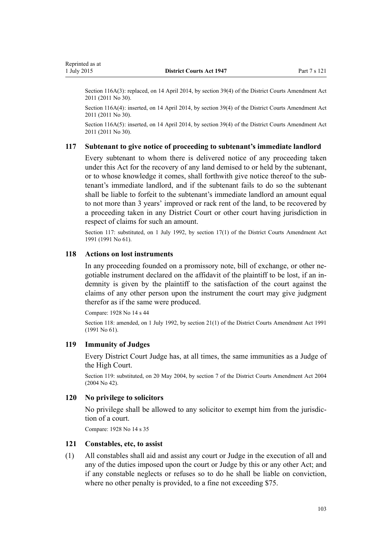Section 116A(3): replaced, on 14 April 2014, by [section 39\(4\)](http://prd-lgnz-nlb.prd.pco.net.nz/pdflink.aspx?id=DLM2929818) of the District Courts Amendment Act 2011 (2011 No 30).

Section 116A(4): inserted, on 14 April 2014, by [section 39\(4\)](http://prd-lgnz-nlb.prd.pco.net.nz/pdflink.aspx?id=DLM2929818) of the District Courts Amendment Act 2011 (2011 No 30).

Section 116A(5): inserted, on 14 April 2014, by [section 39\(4\)](http://prd-lgnz-nlb.prd.pco.net.nz/pdflink.aspx?id=DLM2929818) of the District Courts Amendment Act 2011 (2011 No 30).

#### **117 Subtenant to give notice of proceeding to subtenant's immediate landlord**

Every subtenant to whom there is delivered notice of any proceeding taken under this Act for the recovery of any land demised to or held by the subtenant, or to whose knowledge it comes, shall forthwith give notice thereof to the subtenant's immediate landlord, and if the subtenant fails to do so the subtenant shall be liable to forfeit to the subtenant's immediate landlord an amount equal to not more than 3 years' improved or rack rent of the land, to be recovered by a proceeding taken in any District Court or other court having jurisdiction in respect of claims for such an amount.

Section 117: substituted, on 1 July 1992, by [section 17\(1\)](http://prd-lgnz-nlb.prd.pco.net.nz/pdflink.aspx?id=DLM230255) of the District Courts Amendment Act 1991 (1991 No 61).

#### **118 Actions on lost instruments**

In any proceeding founded on a promissory note, bill of exchange, or other negotiable instrument declared on the affidavit of the plaintiff to be lost, if an indemnity is given by the plaintiff to the satisfaction of the court against the claims of any other person upon the instrument the court may give judgment therefor as if the same were produced.

Compare: 1928 No 14 s 44

Section 118: amended, on 1 July 1992, by [section 21\(1\)](http://prd-lgnz-nlb.prd.pco.net.nz/pdflink.aspx?id=DLM230259) of the District Courts Amendment Act 1991 (1991 No 61).

### **119 Immunity of Judges**

Every District Court Judge has, at all times, the same immunities as a Judge of the High Court.

Section 119: substituted, on 20 May 2004, by [section 7](http://prd-lgnz-nlb.prd.pco.net.nz/pdflink.aspx?id=DLM293794) of the District Courts Amendment Act 2004 (2004 No 42).

#### **120 No privilege to solicitors**

No privilege shall be allowed to any solicitor to exempt him from the jurisdiction of a court.

Compare: 1928 No 14 s 35

## **121 Constables, etc, to assist**

(1) All constables shall aid and assist any court or Judge in the execution of all and any of the duties imposed upon the court or Judge by this or any other Act; and if any constable neglects or refuses so to do he shall be liable on conviction, where no other penalty is provided, to a fine not exceeding \$75.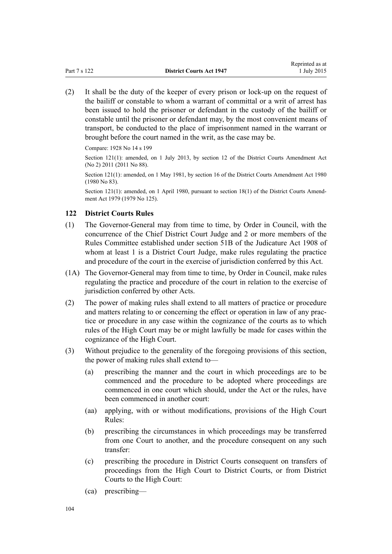(2) It shall be the duty of the keeper of every prison or lock-up on the request of the bailiff or constable to whom a warrant of committal or a writ of arrest has been issued to hold the prisoner or defendant in the custody of the bailiff or constable until the prisoner or defendant may, by the most convenient means of transport, be conducted to the place of imprisonment named in the warrant or brought before the court named in the writ, as the case may be.

Compare: 1928 No 14 s 199

Section 121(1): amended, on 1 July 2013, by [section 12](http://prd-lgnz-nlb.prd.pco.net.nz/pdflink.aspx?id=DLM4058121) of the District Courts Amendment Act (No 2) 2011 (2011 No 88).

Section 121(1): amended, on 1 May 1981, by section 16 of the District Courts Amendment Act 1980 (1980 No 83).

Section 121(1): amended, on 1 April 1980, pursuant to [section 18\(1\)](http://prd-lgnz-nlb.prd.pco.net.nz/pdflink.aspx?id=DLM35085) of the District Courts Amendment Act 1979 (1979 No 125).

## **122 District Courts Rules**

- (1) The Governor-General may from time to time, by Order in Council, with the concurrence of the Chief District Court Judge and 2 or more members of the Rules Committee established under [section 51B](http://prd-lgnz-nlb.prd.pco.net.nz/pdflink.aspx?id=DLM146601) of the Judicature Act 1908 of whom at least 1 is a District Court Judge, make rules regulating the practice and procedure of the court in the exercise of jurisdiction conferred by this Act.
- (1A) The Governor-General may from time to time, by Order in Council, make rules regulating the practice and procedure of the court in relation to the exercise of jurisdiction conferred by other Acts.
- (2) The power of making rules shall extend to all matters of practice or procedure and matters relating to or concerning the effect or operation in law of any practice or procedure in any case within the cognizance of the courts as to which rules of the High Court may be or might lawfully be made for cases within the cognizance of the High Court.
- (3) Without prejudice to the generality of the foregoing provisions of this section, the power of making rules shall extend to—
	- (a) prescribing the manner and the court in which proceedings are to be commenced and the procedure to be adopted where proceedings are commenced in one court which should, under the Act or the rules, have been commenced in another court:
	- (aa) applying, with or without modifications, provisions of the [High Court](http://prd-lgnz-nlb.prd.pco.net.nz/pdflink.aspx?id=DLM147653) [Rules](http://prd-lgnz-nlb.prd.pco.net.nz/pdflink.aspx?id=DLM147653):
	- (b) prescribing the circumstances in which proceedings may be transferred from one Court to another, and the procedure consequent on any such transfer:
	- (c) prescribing the procedure in District Courts consequent on transfers of proceedings from the High Court to District Courts, or from District Courts to the High Court:
	- (ca) prescribing—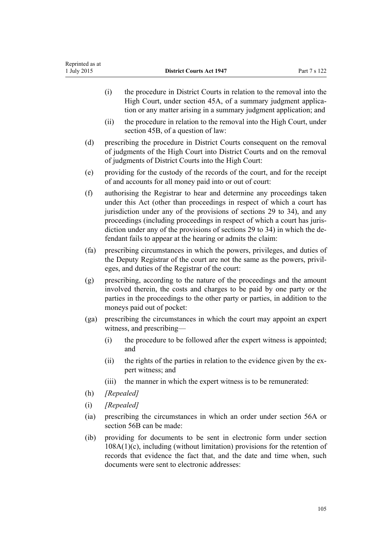|        | (i)                                                                                                                                                                                                                                                                                                                                                                                                                                                  | the procedure in District Courts in relation to the removal into the<br>High Court, under section 45A, of a summary judgment applica-<br>tion or any matter arising in a summary judgment application; and |  |
|--------|------------------------------------------------------------------------------------------------------------------------------------------------------------------------------------------------------------------------------------------------------------------------------------------------------------------------------------------------------------------------------------------------------------------------------------------------------|------------------------------------------------------------------------------------------------------------------------------------------------------------------------------------------------------------|--|
|        | (ii)                                                                                                                                                                                                                                                                                                                                                                                                                                                 | the procedure in relation to the removal into the High Court, under<br>section 45B, of a question of law:                                                                                                  |  |
| (d)    | prescribing the procedure in District Courts consequent on the removal<br>of judgments of the High Court into District Courts and on the removal<br>of judgments of District Courts into the High Court:                                                                                                                                                                                                                                             |                                                                                                                                                                                                            |  |
| (e)    | providing for the custody of the records of the court, and for the receipt<br>of and accounts for all money paid into or out of court:                                                                                                                                                                                                                                                                                                               |                                                                                                                                                                                                            |  |
| (f)    | authorising the Registrar to hear and determine any proceedings taken<br>under this Act (other than proceedings in respect of which a court has<br>jurisdiction under any of the provisions of sections 29 to 34), and any<br>proceedings (including proceedings in respect of which a court has juris-<br>diction under any of the provisions of sections 29 to 34) in which the de-<br>fendant fails to appear at the hearing or admits the claim: |                                                                                                                                                                                                            |  |
| (fa)   | prescribing circumstances in which the powers, privileges, and duties of<br>the Deputy Registrar of the court are not the same as the powers, privil-<br>eges, and duties of the Registrar of the court:                                                                                                                                                                                                                                             |                                                                                                                                                                                                            |  |
| (g)    | prescribing, according to the nature of the proceedings and the amount<br>involved therein, the costs and charges to be paid by one party or the<br>parties in the proceedings to the other party or parties, in addition to the<br>moneys paid out of pocket:                                                                                                                                                                                       |                                                                                                                                                                                                            |  |
| (ga)   |                                                                                                                                                                                                                                                                                                                                                                                                                                                      | prescribing the circumstances in which the court may appoint an expert<br>witness, and prescribing-                                                                                                        |  |
|        | (i)                                                                                                                                                                                                                                                                                                                                                                                                                                                  | the procedure to be followed after the expert witness is appointed;<br>and                                                                                                                                 |  |
|        | (ii)                                                                                                                                                                                                                                                                                                                                                                                                                                                 | the rights of the parties in relation to the evidence given by the ex-<br>pert witness; and                                                                                                                |  |
|        | (iii)                                                                                                                                                                                                                                                                                                                                                                                                                                                | the manner in which the expert witness is to be remunerated:                                                                                                                                               |  |
| (h)    | [Repealed]                                                                                                                                                                                                                                                                                                                                                                                                                                           |                                                                                                                                                                                                            |  |
| (i)    | [Repealed]                                                                                                                                                                                                                                                                                                                                                                                                                                           |                                                                                                                                                                                                            |  |
| (ia)   | prescribing the circumstances in which an order under section 56A or<br>section 56B can be made:                                                                                                                                                                                                                                                                                                                                                     |                                                                                                                                                                                                            |  |
| $(ib)$ | providing for documents to be sent in electronic form under section<br>$108A(1)(c)$ , including (without limitation) provisions for the retention of<br>records that evidence the fact that, and the date and time when, such                                                                                                                                                                                                                        |                                                                                                                                                                                                            |  |

documents were sent to electronic addresses: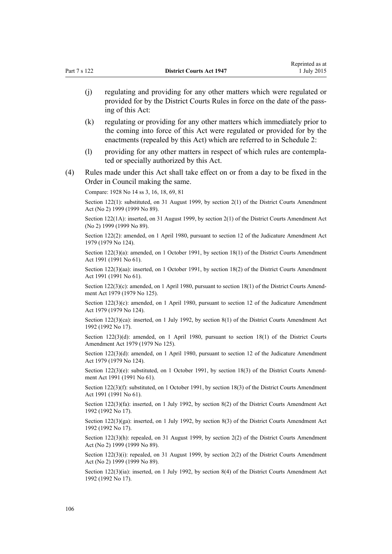|     | (j) | regulating and providing for any other matters which were regulated or<br>provided for by the District Courts Rules in force on the date of the pass-<br>ing of this Act:                                                     |
|-----|-----|-------------------------------------------------------------------------------------------------------------------------------------------------------------------------------------------------------------------------------|
|     | (k) | regulating or providing for any other matters which immediately prior to<br>the coming into force of this Act were regulated or provided for by the<br>enactments (repealed by this Act) which are referred to in Schedule 2: |
|     | (1) | providing for any other matters in respect of which rules are contempla-<br>ted or specially authorized by this Act.                                                                                                          |
| (4) |     | Rules made under this Act shall take effect on or from a day to be fixed in the<br>Order in Council making the same.                                                                                                          |
|     |     | Compare: 1928 No 14 ss 3, 16, 18, 69, 81                                                                                                                                                                                      |
|     |     | Section 122(1): substituted, on 31 August 1999, by section $2(1)$ of the District Courts Amendment<br>Act (No 2) 1999 (1999 No 89).                                                                                           |
|     |     | Section 122(1A): inserted, on 31 August 1999, by section 2(1) of the District Courts Amendment Act<br>(No 2) 1999 (1999 No 89).                                                                                               |
|     |     | Section 122(2): amended, on 1 April 1980, pursuant to section 12 of the Judicature Amendment Act<br>1979 (1979 No 124).                                                                                                       |
|     |     | Section 122(3)(a): amended, on 1 October 1991, by section 18(1) of the District Courts Amendment<br>Act 1991 (1991 No 61).                                                                                                    |
|     |     | Section 122(3)(aa): inserted, on 1 October 1991, by section 18(2) of the District Courts Amendment<br>Act 1991 (1991 No 61).                                                                                                  |
|     |     | Section 122(3)(c): amended, on 1 April 1980, pursuant to section 18(1) of the District Courts Amend-<br>ment Act 1979 (1979 No 125).                                                                                          |
|     |     | Section 122(3)(c): amended, on 1 April 1980, pursuant to section 12 of the Judicature Amendment<br>Act 1979 (1979 No 124).                                                                                                    |
|     |     | Section $122(3)(ca)$ : inserted, on 1 July 1992, by section 8(1) of the District Courts Amendment Act<br>1992 (1992 No 17).                                                                                                   |
|     |     | Section 122(3)(d): amended, on 1 April 1980, pursuant to section 18(1) of the District Courts<br>Amendment Act 1979 (1979 No 125).                                                                                            |
|     |     | Section 122(3)(d): amended, on 1 April 1980, pursuant to section 12 of the Judicature Amendment<br>Act 1979 (1979 No 124).                                                                                                    |
|     |     | Section 122(3)(e): substituted, on 1 October 1991, by section 18(3) of the District Courts Amend-<br>ment Act 1991 (1991 No 61).                                                                                              |
|     |     | Section 122(3)(f): substituted, on 1 October 1991, by section 18(3) of the District Courts Amendment<br>Act 1991 (1991 No 61).                                                                                                |
|     |     | Section $122(3)(fa)$ : inserted, on 1 July 1992, by section 8(2) of the District Courts Amendment Act<br>1992 (1992 No 17).                                                                                                   |
|     |     | Section $122(3)(ga)$ : inserted, on 1 July 1992, by section 8(3) of the District Courts Amendment Act<br>1992 (1992 No 17).                                                                                                   |
|     |     | Section 122(3)(h): repealed, on 31 August 1999, by section 2(2) of the District Courts Amendment<br>Act (No 2) 1999 (1999 No 89).                                                                                             |
|     |     | Section $122(3)(i)$ : repealed, on 31 August 1999, by section $2(2)$ of the District Courts Amendment<br>Act (No 2) 1999 (1999 No 89).                                                                                        |
|     |     | Section 122(3)(ia): inserted, on 1 July 1992, by section 8(4) of the District Courts Amendment Act<br>1992 (1992 No 17).                                                                                                      |
|     |     |                                                                                                                                                                                                                               |
| 106 |     |                                                                                                                                                                                                                               |

Reprinted as at 1 July 2015

Part 7 s 122 **District Courts Act 1947**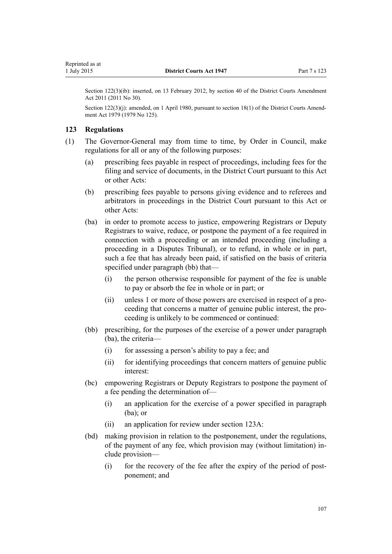Section 122(3)(ib): inserted, on 13 February 2012, by [section 40](http://prd-lgnz-nlb.prd.pco.net.nz/pdflink.aspx?id=DLM2929819) of the District Courts Amendment Act 2011 (2011 No 30).

Section 122(3)(i): amended, on 1 April 1980, pursuant to [section 18\(1\)](http://prd-lgnz-nlb.prd.pco.net.nz/pdflink.aspx?id=DLM35085) of the District Courts Amendment Act 1979 (1979 No 125).

## **123 Regulations**

Reprinted as at

- (1) The Governor-General may from time to time, by Order in Council, make regulations for all or any of the following purposes:
	- (a) prescribing fees payable in respect of proceedings, including fees for the filing and service of documents, in the District Court pursuant to this Act or other Acts:
	- (b) prescribing fees payable to persons giving evidence and to referees and arbitrators in proceedings in the District Court pursuant to this Act or other Acts:
	- (ba) in order to promote access to justice, empowering Registrars or Deputy Registrars to waive, reduce, or postpone the payment of a fee required in connection with a proceeding or an intended proceeding (including a proceeding in a Disputes Tribunal), or to refund, in whole or in part, such a fee that has already been paid, if satisfied on the basis of criteria specified under paragraph (bb) that—
		- (i) the person otherwise responsible for payment of the fee is unable to pay or absorb the fee in whole or in part; or
		- (ii) unless 1 or more of those powers are exercised in respect of a proceeding that concerns a matter of genuine public interest, the proceeding is unlikely to be commenced or continued:
	- (bb) prescribing, for the purposes of the exercise of a power under paragraph (ba), the criteria—
		- (i) for assessing a person's ability to pay a fee; and
		- (ii) for identifying proceedings that concern matters of genuine public interest:
	- (bc) empowering Registrars or Deputy Registrars to postpone the payment of a fee pending the determination of—
		- (i) an application for the exercise of a power specified in paragraph (ba); or
		- (ii) an application for review under [section 123A](#page-108-0):
	- (bd) making provision in relation to the postponement, under the regulations, of the payment of any fee, which provision may (without limitation) include provision—
		- (i) for the recovery of the fee after the expiry of the period of postponement; and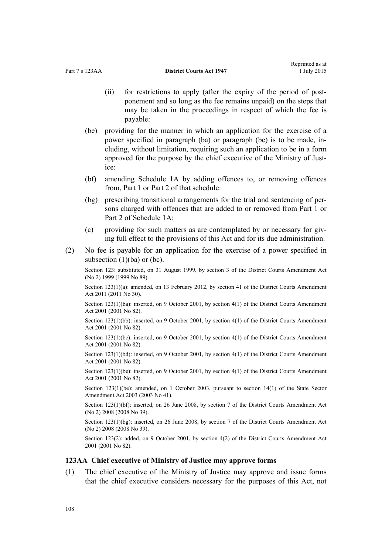- (ii) for restrictions to apply (after the expiry of the period of postponement and so long as the fee remains unpaid) on the steps that may be taken in the proceedings in respect of which the fee is payable:
- (be) providing for the manner in which an application for the exercise of a power specified in paragraph (ba) or paragraph (bc) is to be made, including, without limitation, requiring such an application to be in a form approved for the purpose by the chief executive of the Ministry of Justice:
- (bf) amending [Schedule 1A](#page-109-0) by adding offences to, or removing offences from, Part 1 or Part 2 of that schedule:
- (bg) prescribing transitional arrangements for the trial and sentencing of persons charged with offences that are added to or removed from [Part 1](#page-109-0) or [Part 2](#page-109-0) of Schedule 1A:
- (c) providing for such matters as are contemplated by or necessary for giving full effect to the provisions of this Act and for its due administration.
- (2) No fee is payable for an application for the exercise of a power specified in subsection  $(1)(ba)$  or  $(bc)$ .

Section 123: substituted, on 31 August 1999, by [section 3](http://prd-lgnz-nlb.prd.pco.net.nz/pdflink.aspx?id=DLM32229) of the District Courts Amendment Act (No 2) 1999 (1999 No 89).

Section 123(1)(a): amended, on 13 February 2012, by [section 41](http://prd-lgnz-nlb.prd.pco.net.nz/pdflink.aspx?id=DLM2929820) of the District Courts Amendment Act 2011 (2011 No 30).

Section 123(1)(ba): inserted, on 9 October 2001, by [section 4\(1\)](http://prd-lgnz-nlb.prd.pco.net.nz/pdflink.aspx?id=DLM113905) of the District Courts Amendment Act 2001 (2001 No 82).

Section 123(1)(bb): inserted, on 9 October 2001, by [section 4\(1\)](http://prd-lgnz-nlb.prd.pco.net.nz/pdflink.aspx?id=DLM113905) of the District Courts Amendment Act 2001 (2001 No 82).

Section 123(1)(bc): inserted, on 9 October 2001, by [section 4\(1\)](http://prd-lgnz-nlb.prd.pco.net.nz/pdflink.aspx?id=DLM113905) of the District Courts Amendment Act 2001 (2001 No 82).

Section 123(1)(bd): inserted, on 9 October 2001, by [section 4\(1\)](http://prd-lgnz-nlb.prd.pco.net.nz/pdflink.aspx?id=DLM113905) of the District Courts Amendment Act 2001 (2001 No 82).

Section 123(1)(be): inserted, on 9 October 2001, by [section 4\(1\)](http://prd-lgnz-nlb.prd.pco.net.nz/pdflink.aspx?id=DLM113905) of the District Courts Amendment Act 2001 (2001 No 82).

Section 123(1)(be): amended, on 1 October 2003, pursuant to [section 14\(1\)](http://prd-lgnz-nlb.prd.pco.net.nz/pdflink.aspx?id=DLM201378) of the State Sector Amendment Act 2003 (2003 No 41).

Section 123(1)(bf): inserted, on 26 June 2008, by [section 7](http://prd-lgnz-nlb.prd.pco.net.nz/pdflink.aspx?id=DLM1379112) of the District Courts Amendment Act (No 2) 2008 (2008 No 39).

Section 123(1)(bg): inserted, on 26 June 2008, by [section 7](http://prd-lgnz-nlb.prd.pco.net.nz/pdflink.aspx?id=DLM1379112) of the District Courts Amendment Act (No 2) 2008 (2008 No 39).

Section 123(2): added, on 9 October 2001, by [section 4\(2\)](http://prd-lgnz-nlb.prd.pco.net.nz/pdflink.aspx?id=DLM113905) of the District Courts Amendment Act 2001 (2001 No 82).

## **123AA Chief executive of Ministry of Justice may approve forms**

(1) The chief executive of the Ministry of Justice may approve and issue forms that the chief executive considers necessary for the purposes of this Act, not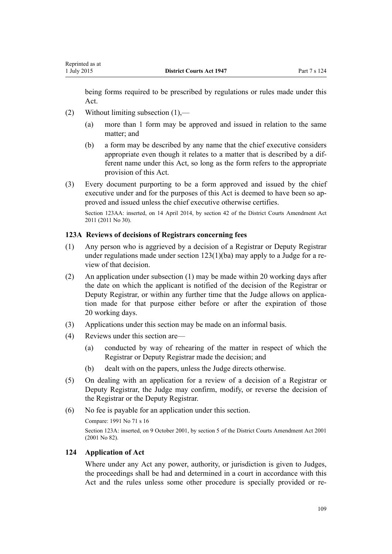being forms required to be prescribed by regulations or rules made under this Act.

- (2) Without limiting subsection (1),—
	- (a) more than 1 form may be approved and issued in relation to the same matter; and
	- (b) a form may be described by any name that the chief executive considers appropriate even though it relates to a matter that is described by a different name under this Act, so long as the form refers to the appropriate provision of this Act.
- (3) Every document purporting to be a form approved and issued by the chief executive under and for the purposes of this Act is deemed to have been so approved and issued unless the chief executive otherwise certifies.

Section 123AA: inserted, on 14 April 2014, by [section 42](http://prd-lgnz-nlb.prd.pco.net.nz/pdflink.aspx?id=DLM3556525) of the District Courts Amendment Act 2011 (2011 No 30).

# **123A Reviews of decisions of Registrars concerning fees**

- (1) Any person who is aggrieved by a decision of a Registrar or Deputy Registrar under regulations made under [section 123\(1\)\(ba\)](#page-106-0) may apply to a Judge for a review of that decision.
- (2) An application under subsection (1) may be made within 20 working days after the date on which the applicant is notified of the decision of the Registrar or Deputy Registrar, or within any further time that the Judge allows on application made for that purpose either before or after the expiration of those 20 working days.
- (3) Applications under this section may be made on an informal basis.
- (4) Reviews under this section are—
	- (a) conducted by way of rehearing of the matter in respect of which the Registrar or Deputy Registrar made the decision; and
	- (b) dealt with on the papers, unless the Judge directs otherwise.
- (5) On dealing with an application for a review of a decision of a Registrar or Deputy Registrar, the Judge may confirm, modify, or reverse the decision of the Registrar or the Deputy Registrar.
- (6) No fee is payable for an application under this section.

Compare: 1991 No 71 s 16

Section 123A: inserted, on 9 October 2001, by [section 5](http://prd-lgnz-nlb.prd.pco.net.nz/pdflink.aspx?id=DLM113906) of the District Courts Amendment Act 2001 (2001 No 82).

# **124 Application of Act**

Where under any Act any power, authority, or jurisdiction is given to Judges, the proceedings shall be had and determined in a court in accordance with this Act and the rules unless some other procedure is specially provided or re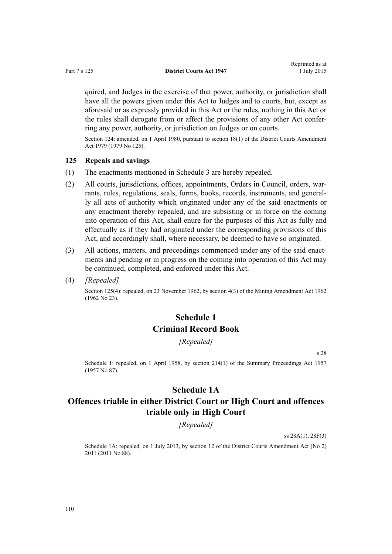<span id="page-109-0"></span>quired, and Judges in the exercise of that power, authority, or jurisdiction shall have all the powers given under this Act to Judges and to courts, but, except as aforesaid or as expressly provided in this Act or the rules, nothing in this Act or the rules shall derogate from or affect the provisions of any other Act conferring any power, authority, or jurisdiction on Judges or on courts.

Section 124: amended, on 1 April 1980, pursuant to [section 18\(1\)](http://prd-lgnz-nlb.prd.pco.net.nz/pdflink.aspx?id=DLM35085) of the District Courts Amendment Act 1979 (1979 No 125).

#### **125 Repeals and savings**

- (1) The enactments mentioned in [Schedule 3](#page-111-0) are hereby repealed.
- (2) All courts, jurisdictions, offices, appointments, Orders in Council, orders, warrants, rules, regulations, seals, forms, books, records, instruments, and generally all acts of authority which originated under any of the said enactments or any enactment thereby repealed, and are subsisting or in force on the coming into operation of this Act, shall enure for the purposes of this Act as fully and effectually as if they had originated under the corresponding provisions of this Act, and accordingly shall, where necessary, be deemed to have so originated.
- (3) All actions, matters, and proceedings commenced under any of the said enactments and pending or in progress on the coming into operation of this Act may be continued, completed, and enforced under this Act.
- (4) *[Repealed]*

Section 125(4): repealed, on 23 November 1962, by section 4(3) of the Mining Amendment Act 1962 (1962 No 23).

# **Schedule 1 Criminal Record Book**

*[Repealed]*

s 28

Schedule 1: repealed, on 1 April 1958, by [section 214\(1\)](http://prd-lgnz-nlb.prd.pco.net.nz/pdflink.aspx?id=DLM314306) of the Summary Proceedings Act 1957 (1957 No 87).

# **Schedule 1A**

# **Offences triable in either District Court or High Court and offences triable only in High Court**

*[Repealed]*

ss 28A(1), 28F(3)

Schedule 1A: repealed, on 1 July 2013, by [section 12](http://prd-lgnz-nlb.prd.pco.net.nz/pdflink.aspx?id=DLM4058121) of the District Courts Amendment Act (No 2) 2011 (2011 No 88).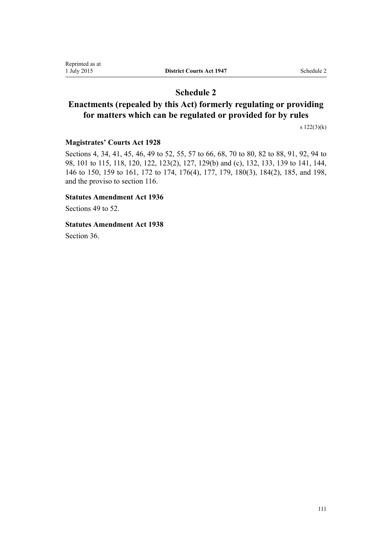# **Schedule 2**

# **Enactments (repealed by this Act) formerly regulating or providing for matters which can be regulated or provided for by rules**

[s 122\(3\)\(k\)](#page-103-0)

## **Magistrates' Courts Act 1928**

Sections 4, 34, 41, 45, 46, 49 to 52, 55, 57 to 66, 68, 70 to 80, 82 to 88, 91, 92, 94 to 98, 101 to 115, 118, 120, 122, 123(2), 127, 129(b) and (c), 132, 133, 139 to 141, 144, 146 to 150, 159 to 161, 172 to 174, 176(4), 177, 179, 180(3), 184(2), 185, and 198, and the proviso to section 116.

## **Statutes Amendment Act 1936**

[Sections 49 to 52.](http://prd-lgnz-nlb.prd.pco.net.nz/pdflink.aspx?id=DLM221398)

**Statutes Amendment Act 1938**

[Section 36](http://prd-lgnz-nlb.prd.pco.net.nz/pdflink.aspx?id=DLM226376).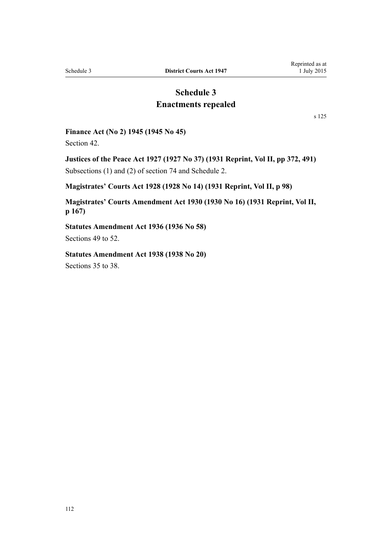# **Schedule 3 Enactments repealed**

[s 125](#page-109-0)

### <span id="page-111-0"></span>**Finance Act (No 2) 1945 (1945 No 45)**

[Section 42](http://prd-lgnz-nlb.prd.pco.net.nz/pdflink.aspx?id=DLM239781).

**Justices of the Peace Act 1927 (1927 No 37) (1931 Reprint, Vol II, pp 372, 491)** Subsections (1) and (2) of section 74 and Schedule 2.

## **Magistrates' Courts Act 1928 (1928 No 14) (1931 Reprint, Vol II, p 98)**

**Magistrates' Courts Amendment Act 1930 (1930 No 16) (1931 Reprint, Vol II, p 167)**

**Statutes Amendment Act 1936 (1936 No 58)** [Sections 49 to 52.](http://prd-lgnz-nlb.prd.pco.net.nz/pdflink.aspx?id=DLM221398)

**Statutes Amendment Act 1938 (1938 No 20)** [Sections 35 to 38.](http://prd-lgnz-nlb.prd.pco.net.nz/pdflink.aspx?id=DLM226374)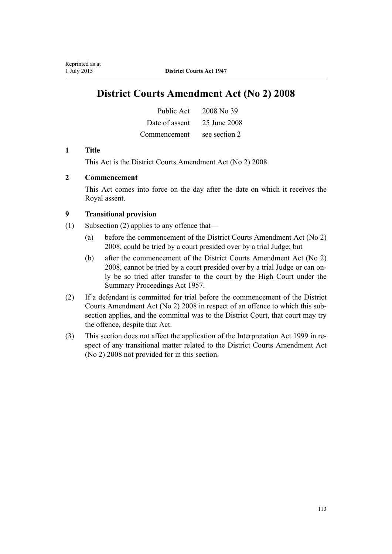# **District Courts Amendment Act (No 2) 2008**

| Public Act     | 2008 No 39    |
|----------------|---------------|
| Date of assent | 25 June 2008  |
| Commencement   | see section 2 |

## **1 Title**

This Act is the [District Courts Amendment Act \(No 2\) 2008.](http://prd-lgnz-nlb.prd.pco.net.nz/pdflink.aspx?id=DLM1379103)

# **2 Commencement**

This Act comes into force on the day after the date on which it receives the Royal assent.

# **9 Transitional provision**

- (1) Subsection (2) applies to any offence that—
	- (a) before the commencement of the District Courts Amendment Act (No 2) 2008, could be tried by a court presided over by a trial Judge; but
	- (b) after the commencement of the District Courts Amendment Act (No 2) 2008, cannot be tried by a court presided over by a trial Judge or can only be so tried after transfer to the court by the High Court under the Summary Proceedings Act 1957.
- (2) If a defendant is committed for trial before the commencement of the District Courts Amendment Act (No 2) 2008 in respect of an offence to which this subsection applies, and the committal was to the District Court, that court may try the offence, despite that Act.
- (3) This section does not affect the application of the Interpretation Act 1999 in respect of any transitional matter related to the District Courts Amendment Act (No 2) 2008 not provided for in this section.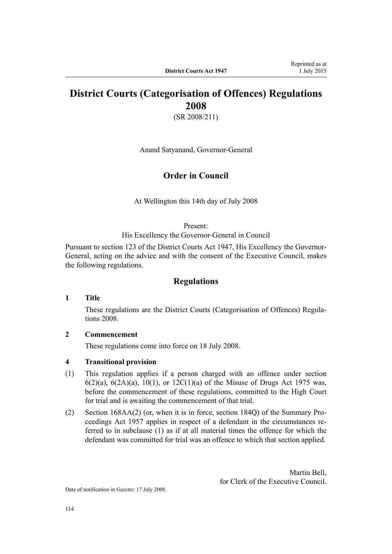# **District Courts (Categorisation of Offences) Regulations 2008**

(SR 2008/211)

Anand Satyanand, Governor-General

# **Order in Council**

At Wellington this 14th day of July 2008

Present:

His Excellency the Governor-General in Council

Pursuant to section 123 of the District Courts Act 1947, His Excellency the Governor-General, acting on the advice and with the consent of the Executive Council, makes the following regulations.

# **Regulations**

### **1 Title**

These regulations are the [District Courts \(Categorisation of Offences\) Regula](http://prd-lgnz-nlb.prd.pco.net.nz/pdflink.aspx?id=DLM1434900)[tions 2008](http://prd-lgnz-nlb.prd.pco.net.nz/pdflink.aspx?id=DLM1434900).

## **2 Commencement**

These regulations come into force on 18 July 2008.

## **4 Transitional provision**

- (1) This regulation applies if a person charged with an offence under section 6(2)(a), 6(2A)(a), 10(1), or 12C(1)(a) of the Misuse of Drugs Act 1975 was, before the commencement of these regulations, committed to the High Court for trial and is awaiting the commencement of that trial.
- (2) Section 168AA(2) (or, when it is in force, section 184Q) of the Summary Proceedings Act 1957 applies in respect of a defendant in the circumstances referred to in subclause (1) as if at all material times the offence for which the defendant was committed for trial was an offence to which that section applied.

Martin Bell, for Clerk of the Executive Council.

Date of notification in *Gazette*: 17 July 2008.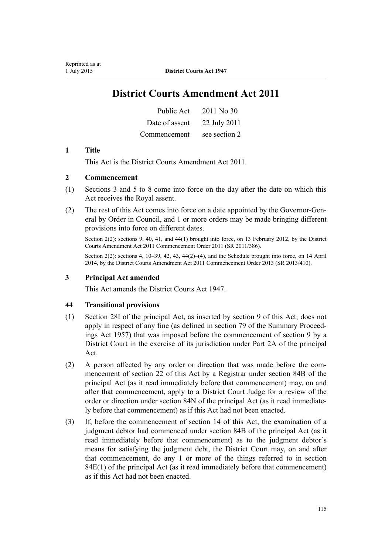# **District Courts Amendment Act 2011**

| Public Act     | 2011 No 30    |
|----------------|---------------|
| Date of assent | 22 July 2011  |
| Commencement   | see section 2 |

## **1 Title**

This Act is the [District Courts Amendment Act 2011](http://prd-lgnz-nlb.prd.pco.net.nz/pdflink.aspx?id=DLM2929702).

## **2 Commencement**

- (1) Sections 3 and 5 to 8 come into force on the day after the date on which this Act receives the Royal assent.
- (2) The rest of this Act comes into force on a date appointed by the Governor-General by Order in Council, and 1 or more orders may be made bringing different provisions into force on different dates.

Section 2(2): sections 9, 40, 41, and 44(1) brought into force, on 13 February 2012, by the [District](http://prd-lgnz-nlb.prd.pco.net.nz/pdflink.aspx?id=DLM4116400) [Courts Amendment Act 2011 Commencement Order 2011](http://prd-lgnz-nlb.prd.pco.net.nz/pdflink.aspx?id=DLM4116400) (SR 2011/386).

Section 2(2): sections 4, 10–39, 42, 43, 44(2)–(4), and the Schedule brought into force, on 14 April 2014, by the [District Courts Amendment Act 2011 Commencement Order 2013](http://prd-lgnz-nlb.prd.pco.net.nz/pdflink.aspx?id=DLM5637209) (SR 2013/410).

## **3 Principal Act amended**

This Act amends the District Courts Act 1947.

#### **44 Transitional provisions**

- (1) Section 28I of the principal Act, as inserted by section 9 of this Act, does not apply in respect of any fine (as defined in section 79 of the Summary Proceedings Act 1957) that was imposed before the commencement of section 9 by a District Court in the exercise of its jurisdiction under Part 2A of the principal Act.
- (2) A person affected by any order or direction that was made before the commencement of section 22 of this Act by a Registrar under section 84B of the principal Act (as it read immediately before that commencement) may, on and after that commencement, apply to a District Court Judge for a review of the order or direction under section 84N of the principal Act (as it read immediately before that commencement) as if this Act had not been enacted.
- (3) If, before the commencement of section 14 of this Act, the examination of a judgment debtor had commenced under section 84B of the principal Act (as it read immediately before that commencement) as to the judgment debtor's means for satisfying the judgment debt, the District Court may, on and after that commencement, do any 1 or more of the things referred to in section 84E(1) of the principal Act (as it read immediately before that commencement) as if this Act had not been enacted.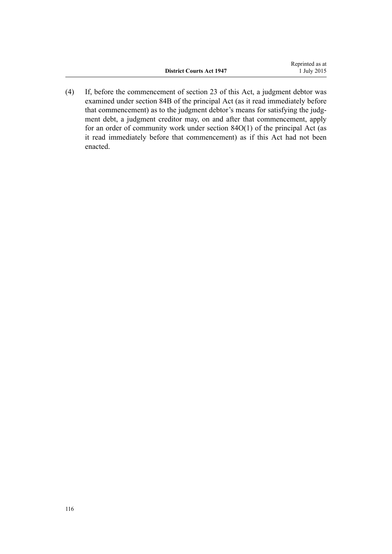(4) If, before the commencement of section 23 of this Act, a judgment debtor was examined under section 84B of the principal Act (as it read immediately before that commencement) as to the judgment debtor's means for satisfying the judgment debt, a judgment creditor may, on and after that commencement, apply for an order of community work under section 84O(1) of the principal Act (as it read immediately before that commencement) as if this Act had not been enacted.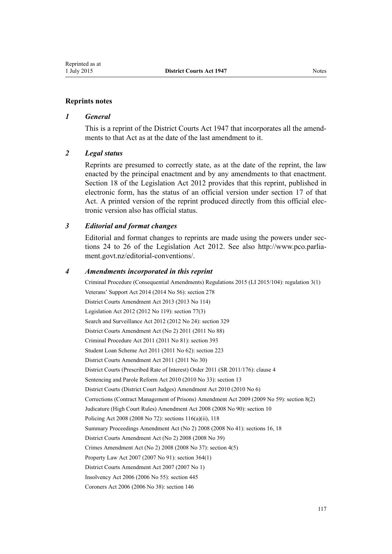## **Reprints notes**

### *1 General*

This is a reprint of the District Courts Act 1947 that incorporates all the amendments to that Act as at the date of the last amendment to it.

### *2 Legal status*

Reprints are presumed to correctly state, as at the date of the reprint, the law enacted by the principal enactment and by any amendments to that enactment. [Section 18](http://prd-lgnz-nlb.prd.pco.net.nz/pdflink.aspx?id=DLM2998516) of the Legislation Act 2012 provides that this reprint, published in electronic form, has the status of an official version under [section 17](http://prd-lgnz-nlb.prd.pco.net.nz/pdflink.aspx?id=DLM2998515) of that Act. A printed version of the reprint produced directly from this official electronic version also has official status.

### *3 Editorial and format changes*

Editorial and format changes to reprints are made using the powers under [sec](http://prd-lgnz-nlb.prd.pco.net.nz/pdflink.aspx?id=DLM2998532)[tions 24 to 26](http://prd-lgnz-nlb.prd.pco.net.nz/pdflink.aspx?id=DLM2998532) of the Legislation Act 2012. See also [http://www.pco.parlia](http://www.pco.parliament.govt.nz/editorial-conventions/)[ment.govt.nz/editorial-conventions/](http://www.pco.parliament.govt.nz/editorial-conventions/).

#### *4 Amendments incorporated in this reprint*

Criminal Procedure (Consequential Amendments) Regulations 2015 (LI 2015/104): [regulation 3\(1\)](http://prd-lgnz-nlb.prd.pco.net.nz/pdflink.aspx?id=DLM6474113) Veterans' Support Act 2014 (2014 No 56): [section 278](http://prd-lgnz-nlb.prd.pco.net.nz/pdflink.aspx?id=DLM5546587) [District Courts Amendment Act 2013](http://prd-lgnz-nlb.prd.pco.net.nz/pdflink.aspx?id=DLM5621700) (2013 No 114) Legislation Act 2012 (2012 No 119): [section 77\(3\)](http://prd-lgnz-nlb.prd.pco.net.nz/pdflink.aspx?id=DLM2998633) Search and Surveillance Act 2012 (2012 No 24): [section 329](http://prd-lgnz-nlb.prd.pco.net.nz/pdflink.aspx?id=DLM2137125) [District Courts Amendment Act \(No 2\) 2011](http://prd-lgnz-nlb.prd.pco.net.nz/pdflink.aspx?id=DLM4058109) (2011 No 88) Criminal Procedure Act 2011 (2011 No 81): [section 393](http://prd-lgnz-nlb.prd.pco.net.nz/pdflink.aspx?id=DLM3865810) Student Loan Scheme Act 2011 (2011 No 62): [section 223](http://prd-lgnz-nlb.prd.pco.net.nz/pdflink.aspx?id=DLM3180446) [District Courts Amendment Act 2011](http://prd-lgnz-nlb.prd.pco.net.nz/pdflink.aspx?id=DLM2929702) (2011 No 30) District Courts (Prescribed Rate of Interest) Order 2011 (SR 2011/176): [clause 4](http://prd-lgnz-nlb.prd.pco.net.nz/pdflink.aspx?id=DLM3738607) Sentencing and Parole Reform Act 2010 (2010 No 33): [section 13](http://prd-lgnz-nlb.prd.pco.net.nz/pdflink.aspx?id=DLM2836314) [District Courts \(District Court Judges\) Amendment Act 2010](http://prd-lgnz-nlb.prd.pco.net.nz/pdflink.aspx?id=DLM2753103) (2010 No 6) Corrections (Contract Management of Prisons) Amendment Act 2009 (2009 No 59): [section 8\(2\)](http://prd-lgnz-nlb.prd.pco.net.nz/pdflink.aspx?id=DLM1888329) Judicature (High Court Rules) Amendment Act 2008 (2008 No 90): [section 10](http://prd-lgnz-nlb.prd.pco.net.nz/pdflink.aspx?id=DLM1463527) Policing Act 2008 (2008 No 72): [sections 116\(a\)\(ii\),](http://prd-lgnz-nlb.prd.pco.net.nz/pdflink.aspx?id=DLM1102349) [118](http://prd-lgnz-nlb.prd.pco.net.nz/pdflink.aspx?id=DLM1351225) Summary Proceedings Amendment Act (No 2) 2008 (2008 No 41): [sections 16](http://prd-lgnz-nlb.prd.pco.net.nz/pdflink.aspx?id=DLM1380048), [18](http://prd-lgnz-nlb.prd.pco.net.nz/pdflink.aspx?id=DLM1380050) [District Courts Amendment Act \(No 2\) 2008](http://prd-lgnz-nlb.prd.pco.net.nz/pdflink.aspx?id=DLM1379103) (2008 No 39) Crimes Amendment Act (No 2) 2008 (2008 No 37): [section 4\(5\)](http://prd-lgnz-nlb.prd.pco.net.nz/pdflink.aspx?id=DLM1378602) Property Law Act 2007 (2007 No 91): [section 364\(1\)](http://prd-lgnz-nlb.prd.pco.net.nz/pdflink.aspx?id=DLM969644) [District Courts Amendment Act 2007](http://prd-lgnz-nlb.prd.pco.net.nz/pdflink.aspx?id=DLM404757) (2007 No 1) Insolvency Act 2006 (2006 No 55): [section 445](http://prd-lgnz-nlb.prd.pco.net.nz/pdflink.aspx?id=DLM387857) Coroners Act 2006 (2006 No 38): [section 146](http://prd-lgnz-nlb.prd.pco.net.nz/pdflink.aspx?id=DLM378303)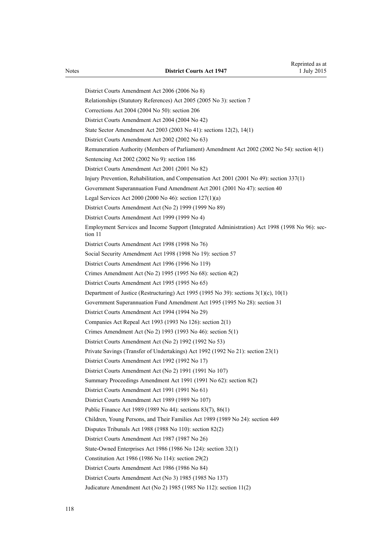[District Courts Amendment Act 2006](http://prd-lgnz-nlb.prd.pco.net.nz/pdflink.aspx?id=DLM371860) (2006 No 8) Relationships (Statutory References) Act 2005 (2005 No 3): [section 7](http://prd-lgnz-nlb.prd.pco.net.nz/pdflink.aspx?id=DLM333795) Corrections Act 2004 (2004 No 50): [section 206](http://prd-lgnz-nlb.prd.pco.net.nz/pdflink.aspx?id=DLM297136) [District Courts Amendment Act 2004](http://prd-lgnz-nlb.prd.pco.net.nz/pdflink.aspx?id=DLM293782) (2004 No 42) State Sector Amendment Act 2003 (2003 No 41): [sections 12\(2\),](http://prd-lgnz-nlb.prd.pco.net.nz/pdflink.aspx?id=DLM201376) [14\(1\)](http://prd-lgnz-nlb.prd.pco.net.nz/pdflink.aspx?id=DLM201378) [District Courts Amendment Act 2002](http://prd-lgnz-nlb.prd.pco.net.nz/pdflink.aspx?id=DLM167890) (2002 No 63) Remuneration Authority (Members of Parliament) Amendment Act 2002 (2002 No 54): [section 4\(1\)](http://prd-lgnz-nlb.prd.pco.net.nz/pdflink.aspx?id=DLM167443) Sentencing Act 2002 (2002 No 9): [section 186](http://prd-lgnz-nlb.prd.pco.net.nz/pdflink.aspx?id=DLM137267) [District Courts Amendment Act 2001](http://prd-lgnz-nlb.prd.pco.net.nz/pdflink.aspx?id=DLM113398) (2001 No 82) Injury Prevention, Rehabilitation, and Compensation Act 2001 (2001 No 49): [section 337\(1\)](http://prd-lgnz-nlb.prd.pco.net.nz/pdflink.aspx?id=DLM104117) Government Superannuation Fund Amendment Act 2001 (2001 No 47): [section 40](http://prd-lgnz-nlb.prd.pco.net.nz/pdflink.aspx?id=DLM99003) Legal Services Act 2000 (2000 No 46): [section 127\(1\)\(a\)](http://prd-lgnz-nlb.prd.pco.net.nz/pdflink.aspx?id=DLM73104) District Courts Amendment Act (No 2) 1999 (1999 No 89) [District Courts Amendment Act 1999](http://prd-lgnz-nlb.prd.pco.net.nz/pdflink.aspx?id=DLM19358) (1999 No 4) Employment Services and Income Support (Integrated Administration) Act 1998 (1998 No 96): [sec](http://prd-lgnz-nlb.prd.pco.net.nz/pdflink.aspx?id=DLM429013)[tion 11](http://prd-lgnz-nlb.prd.pco.net.nz/pdflink.aspx?id=DLM429013) [District Courts Amendment Act 1998](http://prd-lgnz-nlb.prd.pco.net.nz/pdflink.aspx?id=DLM427909) (1998 No 76) Social Security Amendment Act 1998 (1998 No 19): [section 57](http://prd-lgnz-nlb.prd.pco.net.nz/pdflink.aspx?id=DLM426000) District Courts Amendment Act 1996 (1996 No 119) Crimes Amendment Act (No 2) 1995 (1995 No 68): [section 4\(2\)](http://prd-lgnz-nlb.prd.pco.net.nz/pdflink.aspx?id=DLM371234) District Courts Amendment Act 1995 (1995 No 65) Department of Justice (Restructuring) Act 1995 (1995 No 39): [sections 3\(1\)\(c\),](http://prd-lgnz-nlb.prd.pco.net.nz/pdflink.aspx?id=DLM367228) [10\(1\)](http://prd-lgnz-nlb.prd.pco.net.nz/pdflink.aspx?id=DLM367235) Government Superannuation Fund Amendment Act 1995 (1995 No 28): [section 31](http://prd-lgnz-nlb.prd.pco.net.nz/pdflink.aspx?id=DLM366271) District Courts Amendment Act 1994 (1994 No 29) Companies Act Repeal Act 1993 (1993 No 126): [section 2\(1\)](http://prd-lgnz-nlb.prd.pco.net.nz/pdflink.aspx?id=DLM328327) Crimes Amendment Act (No 2) 1993 (1993 No 46): section 5(1) District Courts Amendment Act (No 2) 1992 (1992 No 53) Private Savings (Transfer of Undertakings) Act 1992 (1992 No 21): [section 23\(1\)](http://prd-lgnz-nlb.prd.pco.net.nz/pdflink.aspx?id=DLM261024) [District Courts Amendment Act 1992](http://prd-lgnz-nlb.prd.pco.net.nz/pdflink.aspx?id=DLM259674) (1992 No 17) District Courts Amendment Act (No 2) 1991 (1991 No 107) Summary Proceedings Amendment Act 1991 (1991 No 62): section 8(2) [District Courts Amendment Act 1991](http://prd-lgnz-nlb.prd.pco.net.nz/pdflink.aspx?id=DLM230232) (1991 No 61) District Courts Amendment Act 1989 (1989 No 107) Public Finance Act 1989 (1989 No 44): [sections 83\(7\),](http://prd-lgnz-nlb.prd.pco.net.nz/pdflink.aspx?id=DLM163167) [86\(1\)](http://prd-lgnz-nlb.prd.pco.net.nz/pdflink.aspx?id=DLM163175) Children, Young Persons, and Their Families Act 1989 (1989 No 24): [section 449](http://prd-lgnz-nlb.prd.pco.net.nz/pdflink.aspx?id=DLM155091) Disputes Tribunals Act 1988 (1988 No 110): [section 82\(2\)](http://prd-lgnz-nlb.prd.pco.net.nz/pdflink.aspx?id=DLM134169) District Courts Amendment Act 1987 (1987 No 26) State-Owned Enterprises Act 1986 (1986 No 124): [section 32\(1\)](http://prd-lgnz-nlb.prd.pco.net.nz/pdflink.aspx?id=DLM98437) Constitution Act 1986 (1986 No 114): section 29(2) District Courts Amendment Act 1986 (1986 No 84) [District Courts Amendment Act \(No 3\) 1985](http://prd-lgnz-nlb.prd.pco.net.nz/pdflink.aspx?id=DLM81026) (1985 No 137) Judicature Amendment Act (No 2) 1985 (1985 No 112): [section 11\(2\)](http://prd-lgnz-nlb.prd.pco.net.nz/pdflink.aspx?id=DLM75961)